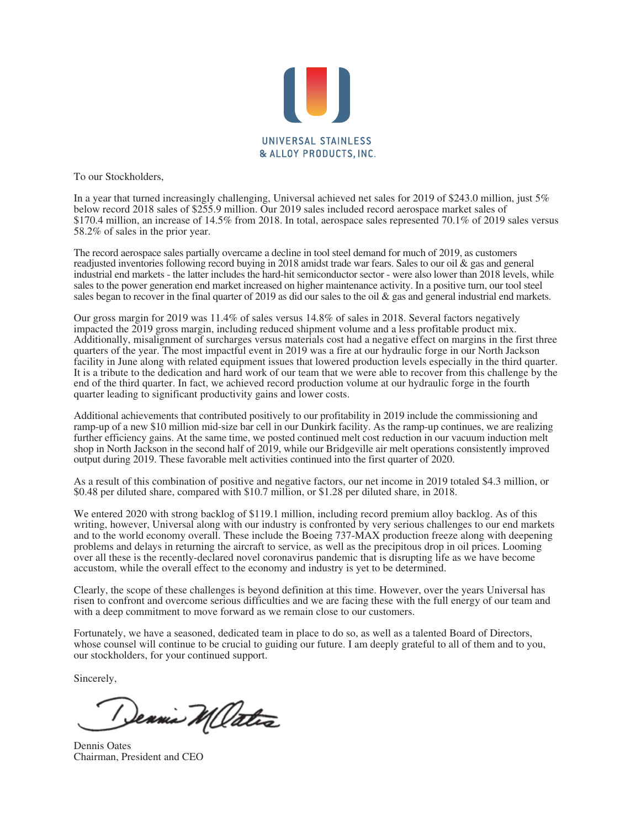

To our Stockholders,

In a year that turned increasingly challenging, Universal achieved net sales for 2019 of \$243.0 million, just 5% below record 2018 sales of \$255.9 million. Our 2019 sales included record aerospace market sales of \$170.4 million, an increase of 14.5% from 2018. In total, aerospace sales represented 70.1% of 2019 sales versus 58.2% of sales in the prior year.

The record aerospace sales partially overcame a decline in tool steel demand for much of 2019, as customers readjusted inventories following record buying in 2018 amidst trade war fears. Sales to our oil & gas and general industrial end markets - the latter includes the hard-hit semiconductor sector - were also lower than 2018 levels, while sales to the power generation end market increased on higher maintenance activity. In a positive turn, our tool steel sales began to recover in the final quarter of 2019 as did our sales to the oil & gas and general industrial end markets.

Our gross margin for 2019 was 11.4% of sales versus 14.8% of sales in 2018. Several factors negatively impacted the 2019 gross margin, including reduced shipment volume and a less profitable product mix. Additionally, misalignment of surcharges versus materials cost had a negative effect on margins in the first three quarters of the year. The most impactful event in 2019 was a fire at our hydraulic forge in our North Jackson facility in June along with related equipment issues that lowered production levels especially in the third quarter. It is a tribute to the dedication and hard work of our team that we were able to recover from this challenge by the end of the third quarter. In fact, we achieved record production volume at our hydraulic forge in the fourth quarter leading to significant productivity gains and lower costs.

Additional achievements that contributed positively to our profitability in 2019 include the commissioning and ramp-up of a new \$10 million mid-size bar cell in our Dunkirk facility. As the ramp-up continues, we are realizing further efficiency gains. At the same time, we posted continued melt cost reduction in our vacuum induction melt shop in North Jackson in the second half of 2019, while our Bridgeville air melt operations consistently improved output during 2019. These favorable melt activities continued into the first quarter of 2020.

As a result of this combination of positive and negative factors, our net income in 2019 totaled \$4.3 million, or \$0.48 per diluted share, compared with \$10.7 million, or \$1.28 per diluted share, in 2018.

We entered 2020 with strong backlog of \$119.1 million, including record premium alloy backlog. As of this writing, however, Universal along with our industry is confronted by very serious challenges to our end markets and to the world economy overall. These include the Boeing 737-MAX production freeze along with deepening problems and delays in returning the aircraft to service, as well as the precipitous drop in oil prices. Looming over all these is the recently-declared novel coronavirus pandemic that is disrupting life as we have become accustom, while the overall effect to the economy and industry is yet to be determined.

Clearly, the scope of these challenges is beyond definition at this time. However, over the years Universal has risen to confront and overcome serious difficulties and we are facing these with the full energy of our team and with a deep commitment to move forward as we remain close to our customers.

Fortunately, we have a seasoned, dedicated team in place to do so, as well as a talented Board of Directors, whose counsel will continue to be crucial to guiding our future. I am deeply grateful to all of them and to you, our stockholders, for your continued support.

Sincerely,

Dennis Matia

Dennis Oates Chairman, President and CEO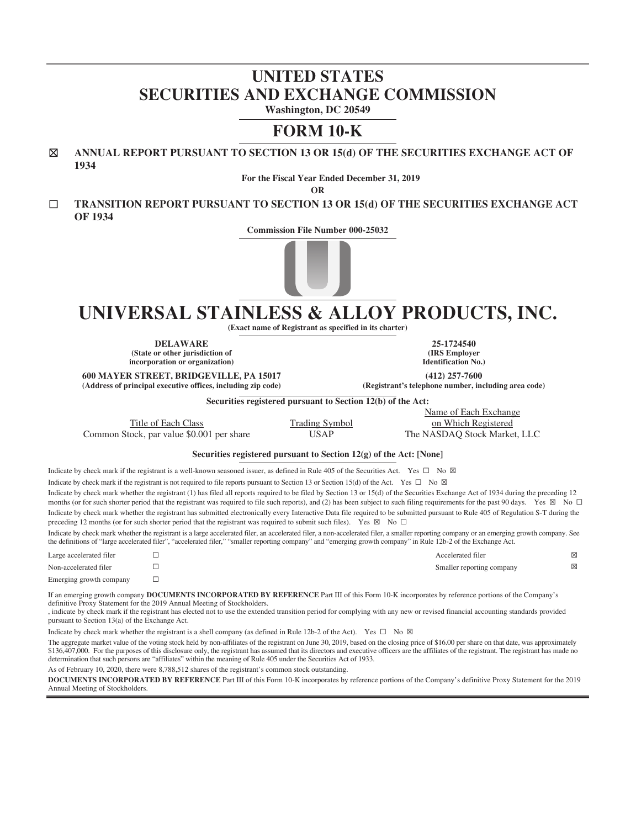# **UNITED STATES SECURITIES AND EXCHANGE COMMISSION**

**Washington, DC 20549**

# **FORM 10-K**

 **ANNUAL REPORT PURSUANT TO SECTION 13 OR 15(d) OF THE SECURITIES EXCHANGE ACT OF 1934**

**For the Fiscal Year Ended December 31, 2019**

**OR**

 **TRANSITION REPORT PURSUANT TO SECTION 13 OR 15(d) OF THE SECURITIES EXCHANGE ACT OF 1934**

**Commission File Number 000-25032**



# **UNIVERSAL STAINLESS & ALLOY PRODUCTS, INC.**

**(Exact name of Registrant as specified in its charter)**

**DELAWARE 25-1724540 (State or other jurisdiction of**

**incorporation or organization)**

**600 MAYER STREET, BRIDGEVILLE, PA 15017** (412) 257-7600 (Address of principal executive offices, including zip code) (Registrant's telephone number, including area code) **(Address of principal executive offices, including zip code) (Registrant's telephone number, including area code)**

**(IRS Employer Identification No.)**

**Securities registered pursuant to Section 12(b) of the Act:** 

Name of Each Exchange on Which Registered<br>The NASDAQ Stock Market, LLC

Common Stock, par value \$0.001 per share

Title of Each Class Trading Symbol<br>
ock. par value \$0.001 per share USAP

**Securities registered pursuant to Section 12(g) of the Act: [None]**

Indicate by check mark if the registrant is a well-known seasoned issuer, as defined in Rule 405 of the Securities Act. Yes  $\Box$  No  $\boxtimes$ 

Indicate by check mark if the registrant is not required to file reports pursuant to Section 13 or Section 15(d) of the Act. Yes  $\Box$  No  $\boxtimes$ 

Indicate by check mark whether the registrant (1) has filed all reports required to be filed by Section 13 or 15(d) of the Securities Exchange Act of 1934 during the preceding 12 months (or for such shorter period that the registrant was required to file such reports), and (2) has been subject to such filing requirements for the past 90 days. Yes  $\boxtimes$  No  $\Box$ Indicate by check mark whether the registrant has submitted electronically every Interactive Data file required to be submitted pursuant to Rule 405 of Regulation S-T during the preceding 12 months (or for such shorter period that the registrant was required to submit such files). Yes  $\boxtimes$  No  $\Box$ 

Indicate by check mark whether the registrant is a large accelerated filer, an accelerated filer, a non-accelerated filer, a smaller reporting company or an emerging growth company. See the definitions of "large accelerated filer", "accelerated filer," "smaller reporting company" and "emerging growth company" in Rule 12b-2 of the Exchange Act.

| Large accelerated filer | Accelerated filer         | 冈 |
|-------------------------|---------------------------|---|
| Non-accelerated filer   | Smaller reporting company | X |
| Emerging growth company |                           |   |

If an emerging growth company **DOCUMENTS INCORPORATED BY REFERENCE** Part III of this Form 10-K incorporates by reference portions of the Company's definitive Proxy Statement for the 2019 Annual Meeting of Stockholders.

, indicate by check mark if the registrant has elected not to use the extended transition period for complying with any new or revised financial accounting standards provided pursuant to Section 13(a) of the Exchange Act.

Indicate by check mark whether the registrant is a shell company (as defined in Rule 12b-2 of the Act). Yes  $\Box$  No  $\boxtimes$ 

The aggregate market value of the voting stock held by non-affiliates of the registrant on June 30, 2019, based on the closing price of \$16.00 per share on that date, was approximately \$136,407,000. For the purposes of this disclosure only, the registrant has assumed that its directors and executive officers are the affiliates of the registrant. The registrant has made no determination that such persons are "affiliates" within the meaning of Rule 405 under the Securities Act of 1933.

As of February 10, 2020, there were 8,788,512 shares of the registrant's common stock outstanding.

**DOCUMENTS INCORPORATED BY REFERENCE** Part III of this Form 10-K incorporates by reference portions of the Company's definitive Proxy Statement for the 2019 Annual Meeting of Stockholders.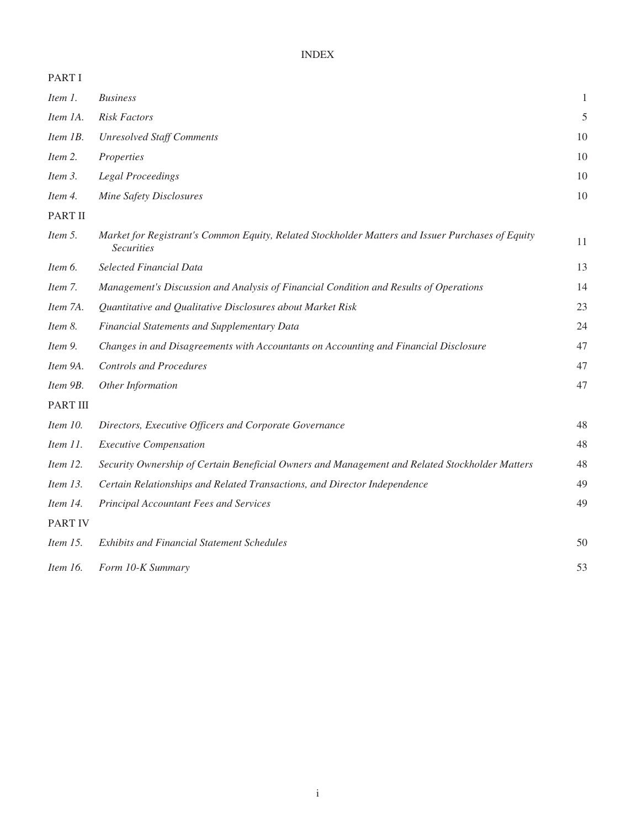# INDEX

| <b>PART I</b>  |                                                                                                                        |    |
|----------------|------------------------------------------------------------------------------------------------------------------------|----|
| Item 1.        | <b>Business</b>                                                                                                        | 1  |
| Item 1A.       | <b>Risk Factors</b>                                                                                                    | 5  |
| Item 1B.       | <b>Unresolved Staff Comments</b>                                                                                       | 10 |
| Item 2.        | Properties                                                                                                             | 10 |
| Item 3.        | <b>Legal Proceedings</b>                                                                                               | 10 |
| Item 4.        | Mine Safety Disclosures                                                                                                | 10 |
| PART II        |                                                                                                                        |    |
| Item 5.        | Market for Registrant's Common Equity, Related Stockholder Matters and Issuer Purchases of Equity<br><b>Securities</b> | 11 |
| Item 6.        | <b>Selected Financial Data</b>                                                                                         | 13 |
| Item 7.        | Management's Discussion and Analysis of Financial Condition and Results of Operations                                  | 14 |
| Item 7A.       | Quantitative and Qualitative Disclosures about Market Risk                                                             | 23 |
| Item 8.        | Financial Statements and Supplementary Data                                                                            | 24 |
| Item 9.        | Changes in and Disagreements with Accountants on Accounting and Financial Disclosure                                   | 47 |
| Item 9A.       | <b>Controls and Procedures</b>                                                                                         | 47 |
| Item 9B.       | Other Information                                                                                                      | 47 |
| PART III       |                                                                                                                        |    |
| Item 10.       | Directors, Executive Officers and Corporate Governance                                                                 | 48 |
| Item 11.       | <b>Executive Compensation</b>                                                                                          | 48 |
| Item 12.       | Security Ownership of Certain Beneficial Owners and Management and Related Stockholder Matters                         | 48 |
| Item 13.       | Certain Relationships and Related Transactions, and Director Independence                                              | 49 |
| Item 14.       | <b>Principal Accountant Fees and Services</b>                                                                          | 49 |
| <b>PART IV</b> |                                                                                                                        |    |
| Item 15.       | <b>Exhibits and Financial Statement Schedules</b>                                                                      | 50 |
| Item $16$ .    | Form 10-K Summary                                                                                                      | 53 |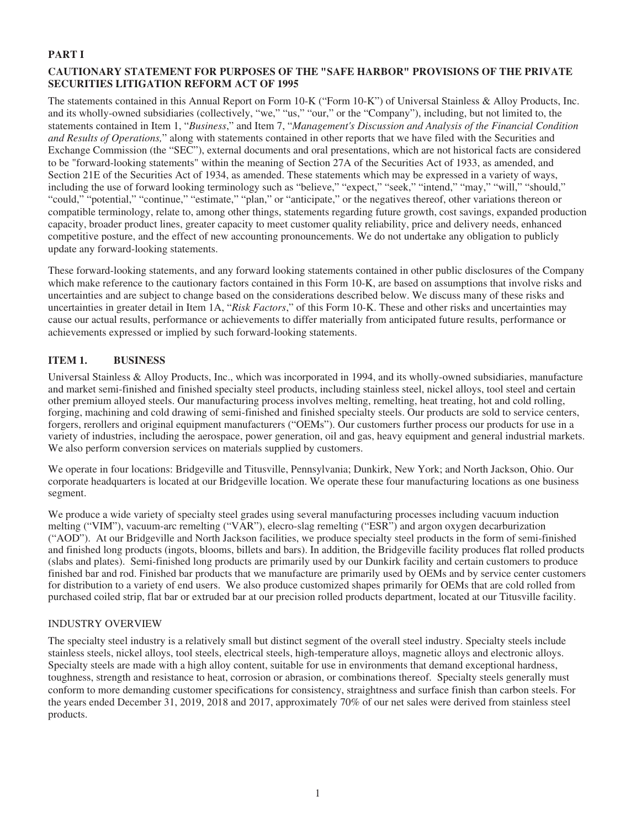# **PART I**

# **CAUTIONARY STATEMENT FOR PURPOSES OF THE "SAFE HARBOR" PROVISIONS OF THE PRIVATE SECURITIES LITIGATION REFORM ACT OF 1995**

The statements contained in this Annual Report on Form 10-K ("Form 10-K") of Universal Stainless & Alloy Products, Inc. and its wholly-owned subsidiaries (collectively, "we," "us," "our," or the "Company"), including, but not limited to, the statements contained in Item 1, "*Business*," and Item 7, "*Management's Discussion and Analysis of the Financial Condition and Results of Operations,*" along with statements contained in other reports that we have filed with the Securities and Exchange Commission (the "SEC"), external documents and oral presentations, which are not historical facts are considered to be "forward-looking statements" within the meaning of Section 27A of the Securities Act of 1933, as amended, and Section 21E of the Securities Act of 1934, as amended. These statements which may be expressed in a variety of ways, including the use of forward looking terminology such as "believe," "expect," "seek," "intend," "may," "will," "should," "could," "potential," "continue," "estimate," "plan," or "anticipate," or the negatives thereof, other variations thereon or compatible terminology, relate to, among other things, statements regarding future growth, cost savings, expanded production capacity, broader product lines, greater capacity to meet customer quality reliability, price and delivery needs, enhanced competitive posture, and the effect of new accounting pronouncements. We do not undertake any obligation to publicly update any forward-looking statements.

These forward-looking statements, and any forward looking statements contained in other public disclosures of the Company which make reference to the cautionary factors contained in this Form 10-K, are based on assumptions that involve risks and uncertainties and are subject to change based on the considerations described below. We discuss many of these risks and uncertainties in greater detail in Item 1A, "*Risk Factors*," of this Form 10-K. These and other risks and uncertainties may cause our actual results, performance or achievements to differ materially from anticipated future results, performance or achievements expressed or implied by such forward-looking statements.

# **ITEM 1. BUSINESS**

Universal Stainless & Alloy Products, Inc., which was incorporated in 1994, and its wholly-owned subsidiaries, manufacture and market semi-finished and finished specialty steel products, including stainless steel, nickel alloys, tool steel and certain other premium alloyed steels. Our manufacturing process involves melting, remelting, heat treating, hot and cold rolling, forging, machining and cold drawing of semi-finished and finished specialty steels. Our products are sold to service centers, forgers, rerollers and original equipment manufacturers ("OEMs"). Our customers further process our products for use in a variety of industries, including the aerospace, power generation, oil and gas, heavy equipment and general industrial markets. We also perform conversion services on materials supplied by customers.

We operate in four locations: Bridgeville and Titusville, Pennsylvania; Dunkirk, New York; and North Jackson, Ohio. Our corporate headquarters is located at our Bridgeville location. We operate these four manufacturing locations as one business segment.

We produce a wide variety of specialty steel grades using several manufacturing processes including vacuum induction melting ("VIM"), vacuum-arc remelting ("VAR"), elecro-slag remelting ("ESR") and argon oxygen decarburization ("AOD"). At our Bridgeville and North Jackson facilities, we produce specialty steel products in the form of semi-finished and finished long products (ingots, blooms, billets and bars). In addition, the Bridgeville facility produces flat rolled products (slabs and plates). Semi-finished long products are primarily used by our Dunkirk facility and certain customers to produce finished bar and rod. Finished bar products that we manufacture are primarily used by OEMs and by service center customers for distribution to a variety of end users. We also produce customized shapes primarily for OEMs that are cold rolled from purchased coiled strip, flat bar or extruded bar at our precision rolled products department, located at our Titusville facility.

# INDUSTRY OVERVIEW

The specialty steel industry is a relatively small but distinct segment of the overall steel industry. Specialty steels include stainless steels, nickel alloys, tool steels, electrical steels, high-temperature alloys, magnetic alloys and electronic alloys. Specialty steels are made with a high alloy content, suitable for use in environments that demand exceptional hardness, toughness, strength and resistance to heat, corrosion or abrasion, or combinations thereof. Specialty steels generally must conform to more demanding customer specifications for consistency, straightness and surface finish than carbon steels. For the years ended December 31, 2019, 2018 and 2017, approximately 70% of our net sales were derived from stainless steel products.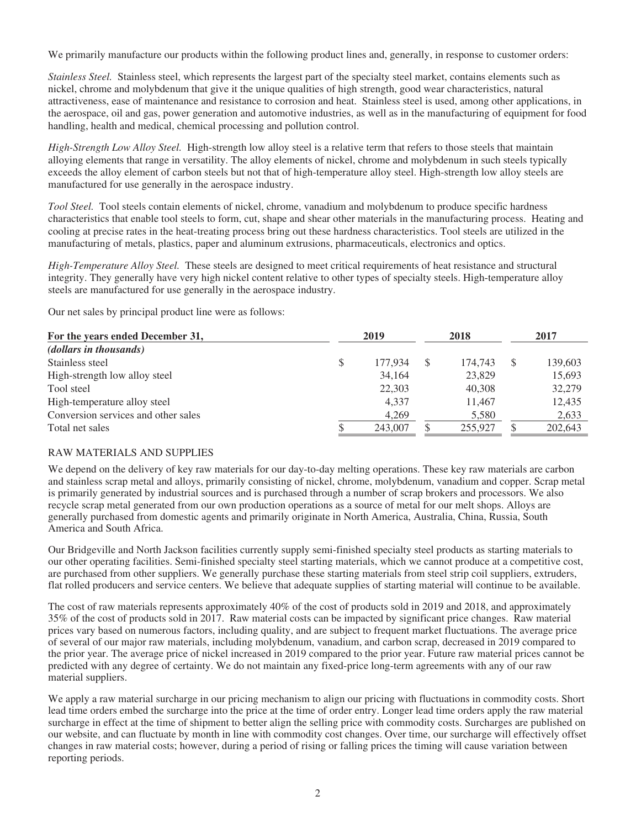We primarily manufacture our products within the following product lines and, generally, in response to customer orders:

*Stainless Steel.* Stainless steel, which represents the largest part of the specialty steel market, contains elements such as nickel, chrome and molybdenum that give it the unique qualities of high strength, good wear characteristics, natural attractiveness, ease of maintenance and resistance to corrosion and heat. Stainless steel is used, among other applications, in the aerospace, oil and gas, power generation and automotive industries, as well as in the manufacturing of equipment for food handling, health and medical, chemical processing and pollution control.

*High-Strength Low Alloy Steel.* High-strength low alloy steel is a relative term that refers to those steels that maintain alloying elements that range in versatility. The alloy elements of nickel, chrome and molybdenum in such steels typically exceeds the alloy element of carbon steels but not that of high-temperature alloy steel. High-strength low alloy steels are manufactured for use generally in the aerospace industry.

*Tool Steel.* Tool steels contain elements of nickel, chrome, vanadium and molybdenum to produce specific hardness characteristics that enable tool steels to form, cut, shape and shear other materials in the manufacturing process. Heating and cooling at precise rates in the heat-treating process bring out these hardness characteristics. Tool steels are utilized in the manufacturing of metals, plastics, paper and aluminum extrusions, pharmaceuticals, electronics and optics.

*High-Temperature Alloy Steel.* These steels are designed to meet critical requirements of heat resistance and structural integrity. They generally have very high nickel content relative to other types of specialty steels. High-temperature alloy steels are manufactured for use generally in the aerospace industry.

Our net sales by principal product line were as follows:

| For the years ended December 31,    | 2019 |         |  | 2018    | 2017 |         |  |
|-------------------------------------|------|---------|--|---------|------|---------|--|
| (dollars in thousands)              |      |         |  |         |      |         |  |
| Stainless steel                     | \$   | 177,934 |  | 174,743 |      | 139,603 |  |
| High-strength low alloy steel       |      | 34,164  |  | 23,829  |      | 15,693  |  |
| Tool steel                          |      | 22,303  |  | 40,308  |      | 32,279  |  |
| High-temperature alloy steel        |      | 4.337   |  | 11.467  |      | 12,435  |  |
| Conversion services and other sales |      | 4.269   |  | 5,580   |      | 2,633   |  |
| Total net sales                     |      | 243,007 |  | 255,927 |      | 202,643 |  |

# RAW MATERIALS AND SUPPLIES

We depend on the delivery of key raw materials for our day-to-day melting operations. These key raw materials are carbon and stainless scrap metal and alloys, primarily consisting of nickel, chrome, molybdenum, vanadium and copper. Scrap metal is primarily generated by industrial sources and is purchased through a number of scrap brokers and processors. We also recycle scrap metal generated from our own production operations as a source of metal for our melt shops. Alloys are generally purchased from domestic agents and primarily originate in North America, Australia, China, Russia, South America and South Africa.

Our Bridgeville and North Jackson facilities currently supply semi-finished specialty steel products as starting materials to our other operating facilities. Semi-finished specialty steel starting materials, which we cannot produce at a competitive cost, are purchased from other suppliers. We generally purchase these starting materials from steel strip coil suppliers, extruders, flat rolled producers and service centers. We believe that adequate supplies of starting material will continue to be available.

The cost of raw materials represents approximately 40% of the cost of products sold in 2019 and 2018, and approximately 35% of the cost of products sold in 2017. Raw material costs can be impacted by significant price changes. Raw material prices vary based on numerous factors, including quality, and are subject to frequent market fluctuations. The average price of several of our major raw materials, including molybdenum, vanadium, and carbon scrap, decreased in 2019 compared to the prior year. The average price of nickel increased in 2019 compared to the prior year. Future raw material prices cannot be predicted with any degree of certainty. We do not maintain any fixed-price long-term agreements with any of our raw material suppliers.

We apply a raw material surcharge in our pricing mechanism to align our pricing with fluctuations in commodity costs. Short lead time orders embed the surcharge into the price at the time of order entry. Longer lead time orders apply the raw material surcharge in effect at the time of shipment to better align the selling price with commodity costs. Surcharges are published on our website, and can fluctuate by month in line with commodity cost changes. Over time, our surcharge will effectively offset changes in raw material costs; however, during a period of rising or falling prices the timing will cause variation between reporting periods.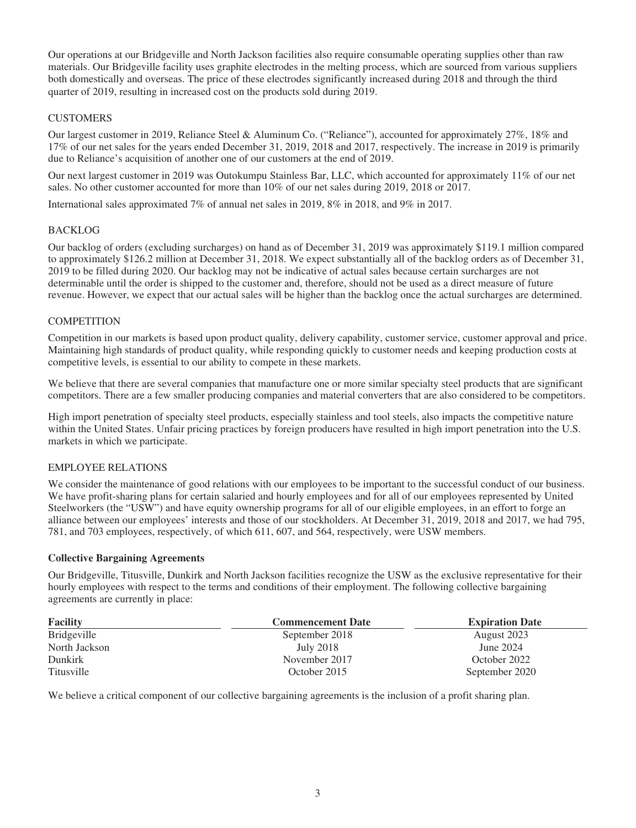Our operations at our Bridgeville and North Jackson facilities also require consumable operating supplies other than raw materials. Our Bridgeville facility uses graphite electrodes in the melting process, which are sourced from various suppliers both domestically and overseas. The price of these electrodes significantly increased during 2018 and through the third quarter of 2019, resulting in increased cost on the products sold during 2019.

# **CUSTOMERS**

Our largest customer in 2019, Reliance Steel & Aluminum Co. ("Reliance"), accounted for approximately 27%, 18% and 17% of our net sales for the years ended December 31, 2019, 2018 and 2017, respectively. The increase in 2019 is primarily due to Reliance's acquisition of another one of our customers at the end of 2019.

Our next largest customer in 2019 was Outokumpu Stainless Bar, LLC, which accounted for approximately 11% of our net sales. No other customer accounted for more than 10% of our net sales during 2019, 2018 or 2017.

International sales approximated 7% of annual net sales in 2019, 8% in 2018, and 9% in 2017.

## BACKLOG

Our backlog of orders (excluding surcharges) on hand as of December 31, 2019 was approximately \$119.1 million compared to approximately \$126.2 million at December 31, 2018. We expect substantially all of the backlog orders as of December 31, 2019 to be filled during 2020. Our backlog may not be indicative of actual sales because certain surcharges are not determinable until the order is shipped to the customer and, therefore, should not be used as a direct measure of future revenue. However, we expect that our actual sales will be higher than the backlog once the actual surcharges are determined.

#### **COMPETITION**

Competition in our markets is based upon product quality, delivery capability, customer service, customer approval and price. Maintaining high standards of product quality, while responding quickly to customer needs and keeping production costs at competitive levels, is essential to our ability to compete in these markets.

We believe that there are several companies that manufacture one or more similar specialty steel products that are significant competitors. There are a few smaller producing companies and material converters that are also considered to be competitors.

High import penetration of specialty steel products, especially stainless and tool steels, also impacts the competitive nature within the United States. Unfair pricing practices by foreign producers have resulted in high import penetration into the U.S. markets in which we participate.

## EMPLOYEE RELATIONS

We consider the maintenance of good relations with our employees to be important to the successful conduct of our business. We have profit-sharing plans for certain salaried and hourly employees and for all of our employees represented by United Steelworkers (the "USW") and have equity ownership programs for all of our eligible employees, in an effort to forge an alliance between our employees' interests and those of our stockholders. At December 31, 2019, 2018 and 2017, we had 795, 781, and 703 employees, respectively, of which 611, 607, and 564, respectively, were USW members.

## **Collective Bargaining Agreements**

Our Bridgeville, Titusville, Dunkirk and North Jackson facilities recognize the USW as the exclusive representative for their hourly employees with respect to the terms and conditions of their employment. The following collective bargaining agreements are currently in place:

| <b>Facility</b>    | <b>Commencement Date</b> | <b>Expiration Date</b> |
|--------------------|--------------------------|------------------------|
| <b>Bridgeville</b> | September 2018           | August 2023            |
| North Jackson      | July 2018                | June 2024              |
| Dunkirk            | November 2017            | October 2022           |
| Titusville         | October 2015             | September 2020         |

We believe a critical component of our collective bargaining agreements is the inclusion of a profit sharing plan.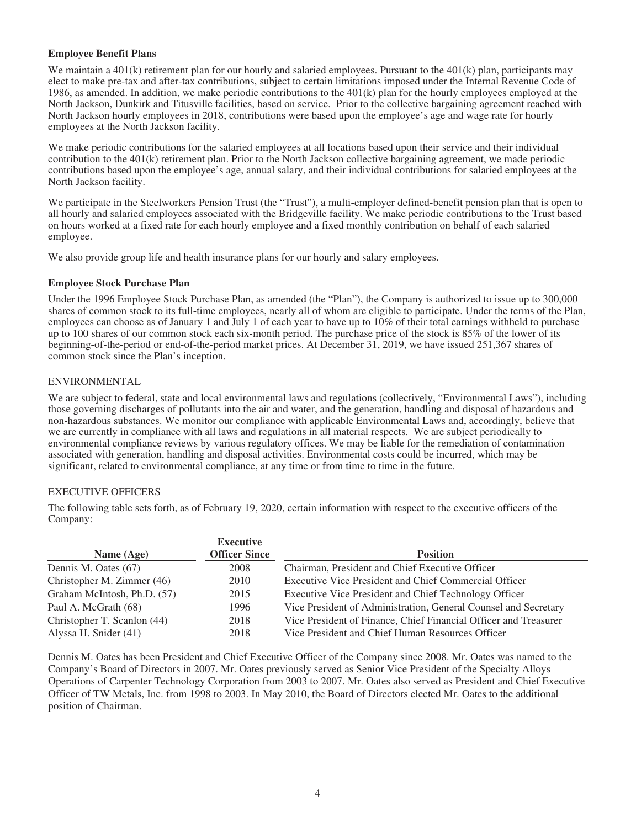# **Employee Benefit Plans**

We maintain a  $401(k)$  retirement plan for our hourly and salaried employees. Pursuant to the  $401(k)$  plan, participants may elect to make pre-tax and after-tax contributions, subject to certain limitations imposed under the Internal Revenue Code of 1986, as amended. In addition, we make periodic contributions to the 401(k) plan for the hourly employees employed at the North Jackson, Dunkirk and Titusville facilities, based on service. Prior to the collective bargaining agreement reached with North Jackson hourly employees in 2018, contributions were based upon the employee's age and wage rate for hourly employees at the North Jackson facility.

We make periodic contributions for the salaried employees at all locations based upon their service and their individual contribution to the 401(k) retirement plan. Prior to the North Jackson collective bargaining agreement, we made periodic contributions based upon the employee's age, annual salary, and their individual contributions for salaried employees at the North Jackson facility.

We participate in the Steelworkers Pension Trust (the "Trust"), a multi-employer defined-benefit pension plan that is open to all hourly and salaried employees associated with the Bridgeville facility. We make periodic contributions to the Trust based on hours worked at a fixed rate for each hourly employee and a fixed monthly contribution on behalf of each salaried employee.

We also provide group life and health insurance plans for our hourly and salary employees.

# **Employee Stock Purchase Plan**

Under the 1996 Employee Stock Purchase Plan, as amended (the "Plan"), the Company is authorized to issue up to 300,000 shares of common stock to its full-time employees, nearly all of whom are eligible to participate. Under the terms of the Plan, employees can choose as of January 1 and July 1 of each year to have up to 10% of their total earnings withheld to purchase up to 100 shares of our common stock each six-month period. The purchase price of the stock is 85% of the lower of its beginning-of-the-period or end-of-the-period market prices. At December 31, 2019, we have issued 251,367 shares of common stock since the Plan's inception.

# ENVIRONMENTAL

We are subject to federal, state and local environmental laws and regulations (collectively, "Environmental Laws"), including those governing discharges of pollutants into the air and water, and the generation, handling and disposal of hazardous and non-hazardous substances. We monitor our compliance with applicable Environmental Laws and, accordingly, believe that we are currently in compliance with all laws and regulations in all material respects. We are subject periodically to environmental compliance reviews by various regulatory offices. We may be liable for the remediation of contamination associated with generation, handling and disposal activities. Environmental costs could be incurred, which may be significant, related to environmental compliance, at any time or from time to time in the future.

## EXECUTIVE OFFICERS

The following table sets forth, as of February 19, 2020, certain information with respect to the executive officers of the Company:

|                             | <b>Executive</b>     |                                                                  |
|-----------------------------|----------------------|------------------------------------------------------------------|
| Name (Age)                  | <b>Officer Since</b> | <b>Position</b>                                                  |
| Dennis M. Oates (67)        | 2008                 | Chairman, President and Chief Executive Officer                  |
| Christopher M. Zimmer (46)  | 2010                 | Executive Vice President and Chief Commercial Officer            |
| Graham McIntosh, Ph.D. (57) | 2015                 | Executive Vice President and Chief Technology Officer            |
| Paul A. McGrath (68)        | 1996                 | Vice President of Administration, General Counsel and Secretary  |
| Christopher T. Scanlon (44) | 2018                 | Vice President of Finance, Chief Financial Officer and Treasurer |
| Alyssa H. Snider (41)       | 2018                 | Vice President and Chief Human Resources Officer                 |

Dennis M. Oates has been President and Chief Executive Officer of the Company since 2008. Mr. Oates was named to the Company's Board of Directors in 2007. Mr. Oates previously served as Senior Vice President of the Specialty Alloys Operations of Carpenter Technology Corporation from 2003 to 2007. Mr. Oates also served as President and Chief Executive Officer of TW Metals, Inc. from 1998 to 2003. In May 2010, the Board of Directors elected Mr. Oates to the additional position of Chairman.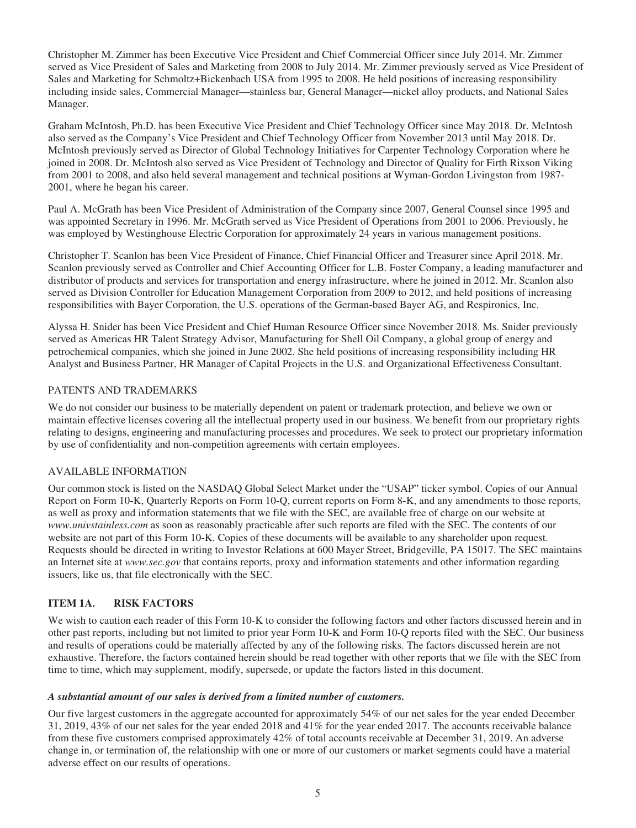Christopher M. Zimmer has been Executive Vice President and Chief Commercial Officer since July 2014. Mr. Zimmer served as Vice President of Sales and Marketing from 2008 to July 2014. Mr. Zimmer previously served as Vice President of Sales and Marketing for Schmoltz+Bickenbach USA from 1995 to 2008. He held positions of increasing responsibility including inside sales, Commercial Manager—stainless bar, General Manager—nickel alloy products, and National Sales Manager.

Graham McIntosh, Ph.D. has been Executive Vice President and Chief Technology Officer since May 2018. Dr. McIntosh also served as the Company's Vice President and Chief Technology Officer from November 2013 until May 2018. Dr. McIntosh previously served as Director of Global Technology Initiatives for Carpenter Technology Corporation where he joined in 2008. Dr. McIntosh also served as Vice President of Technology and Director of Quality for Firth Rixson Viking from 2001 to 2008, and also held several management and technical positions at Wyman-Gordon Livingston from 1987- 2001, where he began his career.

Paul A. McGrath has been Vice President of Administration of the Company since 2007, General Counsel since 1995 and was appointed Secretary in 1996. Mr. McGrath served as Vice President of Operations from 2001 to 2006. Previously, he was employed by Westinghouse Electric Corporation for approximately 24 years in various management positions.

Christopher T. Scanlon has been Vice President of Finance, Chief Financial Officer and Treasurer since April 2018. Mr. Scanlon previously served as Controller and Chief Accounting Officer for L.B. Foster Company, a leading manufacturer and distributor of products and services for transportation and energy infrastructure, where he joined in 2012. Mr. Scanlon also served as Division Controller for Education Management Corporation from 2009 to 2012, and held positions of increasing responsibilities with Bayer Corporation, the U.S. operations of the German-based Bayer AG, and Respironics, Inc.

Alyssa H. Snider has been Vice President and Chief Human Resource Officer since November 2018. Ms. Snider previously served as Americas HR Talent Strategy Advisor, Manufacturing for Shell Oil Company, a global group of energy and petrochemical companies, which she joined in June 2002. She held positions of increasing responsibility including HR Analyst and Business Partner, HR Manager of Capital Projects in the U.S. and Organizational Effectiveness Consultant.

# PATENTS AND TRADEMARKS

We do not consider our business to be materially dependent on patent or trademark protection, and believe we own or maintain effective licenses covering all the intellectual property used in our business. We benefit from our proprietary rights relating to designs, engineering and manufacturing processes and procedures. We seek to protect our proprietary information by use of confidentiality and non-competition agreements with certain employees.

## AVAILABLE INFORMATION

Our common stock is listed on the NASDAQ Global Select Market under the "USAP" ticker symbol. Copies of our Annual Report on Form 10-K, Quarterly Reports on Form 10-Q, current reports on Form 8-K, and any amendments to those reports, as well as proxy and information statements that we file with the SEC, are available free of charge on our website at *www.univstainless.com* as soon as reasonably practicable after such reports are filed with the SEC. The contents of our website are not part of this Form 10-K. Copies of these documents will be available to any shareholder upon request. Requests should be directed in writing to Investor Relations at 600 Mayer Street, Bridgeville, PA 15017. The SEC maintains an Internet site at *www.sec.gov* that contains reports, proxy and information statements and other information regarding issuers, like us, that file electronically with the SEC.

# **ITEM 1A. RISK FACTORS**

We wish to caution each reader of this Form 10-K to consider the following factors and other factors discussed herein and in other past reports, including but not limited to prior year Form 10-K and Form 10-Q reports filed with the SEC. Our business and results of operations could be materially affected by any of the following risks. The factors discussed herein are not exhaustive. Therefore, the factors contained herein should be read together with other reports that we file with the SEC from time to time, which may supplement, modify, supersede, or update the factors listed in this document.

## *A substantial amount of our sales is derived from a limited number of customers.*

Our five largest customers in the aggregate accounted for approximately 54% of our net sales for the year ended December 31, 2019, 43% of our net sales for the year ended 2018 and 41% for the year ended 2017. The accounts receivable balance from these five customers comprised approximately 42% of total accounts receivable at December 31, 2019. An adverse change in, or termination of, the relationship with one or more of our customers or market segments could have a material adverse effect on our results of operations.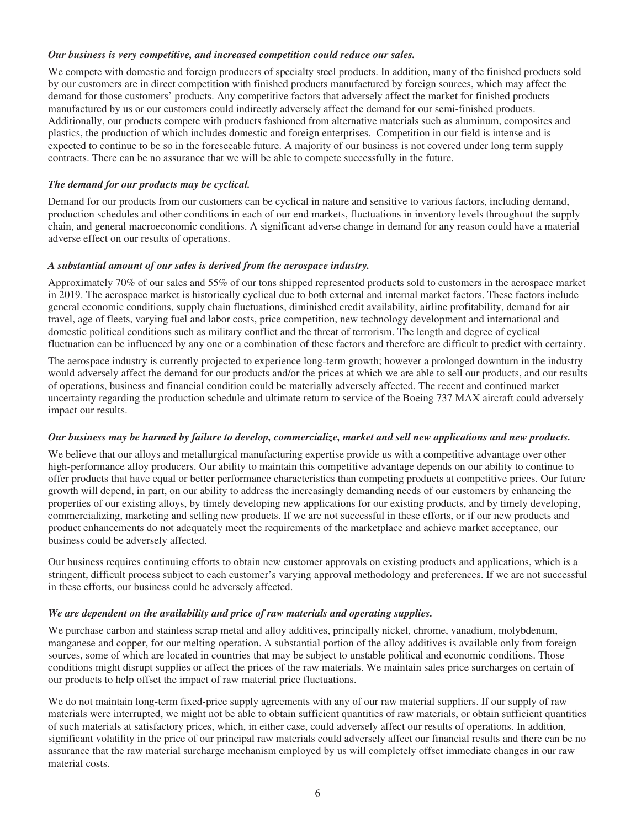### *Our business is very competitive, and increased competition could reduce our sales.*

We compete with domestic and foreign producers of specialty steel products. In addition, many of the finished products sold by our customers are in direct competition with finished products manufactured by foreign sources, which may affect the demand for those customers' products. Any competitive factors that adversely affect the market for finished products manufactured by us or our customers could indirectly adversely affect the demand for our semi-finished products. Additionally, our products compete with products fashioned from alternative materials such as aluminum, composites and plastics, the production of which includes domestic and foreign enterprises. Competition in our field is intense and is expected to continue to be so in the foreseeable future. A majority of our business is not covered under long term supply contracts. There can be no assurance that we will be able to compete successfully in the future.

## *The demand for our products may be cyclical.*

Demand for our products from our customers can be cyclical in nature and sensitive to various factors, including demand, production schedules and other conditions in each of our end markets, fluctuations in inventory levels throughout the supply chain, and general macroeconomic conditions. A significant adverse change in demand for any reason could have a material adverse effect on our results of operations.

## *A substantial amount of our sales is derived from the aerospace industry.*

Approximately 70% of our sales and 55% of our tons shipped represented products sold to customers in the aerospace market in 2019. The aerospace market is historically cyclical due to both external and internal market factors. These factors include general economic conditions, supply chain fluctuations, diminished credit availability, airline profitability, demand for air travel, age of fleets, varying fuel and labor costs, price competition, new technology development and international and domestic political conditions such as military conflict and the threat of terrorism. The length and degree of cyclical fluctuation can be influenced by any one or a combination of these factors and therefore are difficult to predict with certainty.

The aerospace industry is currently projected to experience long-term growth; however a prolonged downturn in the industry would adversely affect the demand for our products and/or the prices at which we are able to sell our products, and our results of operations, business and financial condition could be materially adversely affected. The recent and continued market uncertainty regarding the production schedule and ultimate return to service of the Boeing 737 MAX aircraft could adversely impact our results.

## *Our business may be harmed by failure to develop, commercialize, market and sell new applications and new products.*

We believe that our alloys and metallurgical manufacturing expertise provide us with a competitive advantage over other high-performance alloy producers. Our ability to maintain this competitive advantage depends on our ability to continue to offer products that have equal or better performance characteristics than competing products at competitive prices. Our future growth will depend, in part, on our ability to address the increasingly demanding needs of our customers by enhancing the properties of our existing alloys, by timely developing new applications for our existing products, and by timely developing, commercializing, marketing and selling new products. If we are not successful in these efforts, or if our new products and product enhancements do not adequately meet the requirements of the marketplace and achieve market acceptance, our business could be adversely affected.

Our business requires continuing efforts to obtain new customer approvals on existing products and applications, which is a stringent, difficult process subject to each customer's varying approval methodology and preferences. If we are not successful in these efforts, our business could be adversely affected.

# *We are dependent on the availability and price of raw materials and operating supplies.*

We purchase carbon and stainless scrap metal and alloy additives, principally nickel, chrome, vanadium, molybdenum, manganese and copper, for our melting operation. A substantial portion of the alloy additives is available only from foreign sources, some of which are located in countries that may be subject to unstable political and economic conditions. Those conditions might disrupt supplies or affect the prices of the raw materials. We maintain sales price surcharges on certain of our products to help offset the impact of raw material price fluctuations.

We do not maintain long-term fixed-price supply agreements with any of our raw material suppliers. If our supply of raw materials were interrupted, we might not be able to obtain sufficient quantities of raw materials, or obtain sufficient quantities of such materials at satisfactory prices, which, in either case, could adversely affect our results of operations. In addition, significant volatility in the price of our principal raw materials could adversely affect our financial results and there can be no assurance that the raw material surcharge mechanism employed by us will completely offset immediate changes in our raw material costs.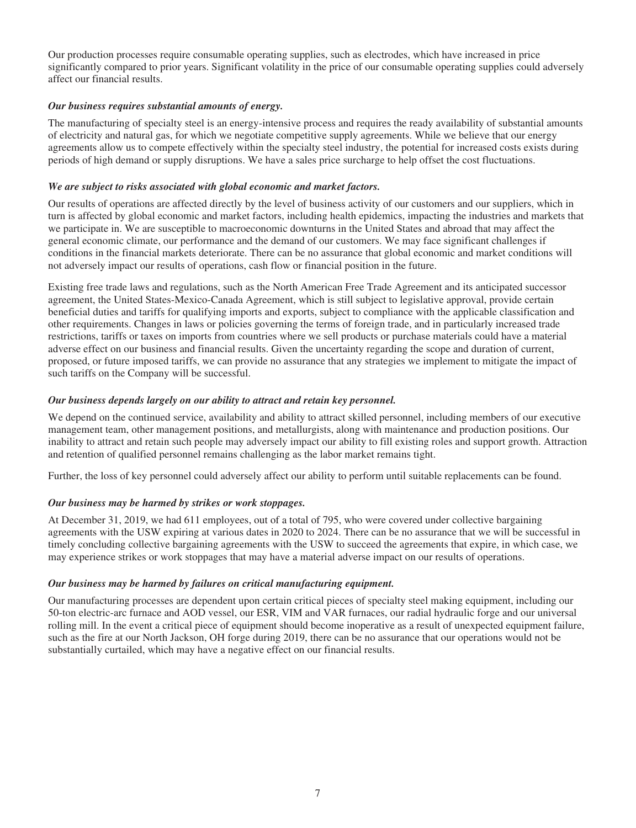Our production processes require consumable operating supplies, such as electrodes, which have increased in price significantly compared to prior years. Significant volatility in the price of our consumable operating supplies could adversely affect our financial results.

# *Our business requires substantial amounts of energy.*

The manufacturing of specialty steel is an energy-intensive process and requires the ready availability of substantial amounts of electricity and natural gas, for which we negotiate competitive supply agreements. While we believe that our energy agreements allow us to compete effectively within the specialty steel industry, the potential for increased costs exists during periods of high demand or supply disruptions. We have a sales price surcharge to help offset the cost fluctuations.

# *We are subject to risks associated with global economic and market factors.*

Our results of operations are affected directly by the level of business activity of our customers and our suppliers, which in turn is affected by global economic and market factors, including health epidemics, impacting the industries and markets that we participate in. We are susceptible to macroeconomic downturns in the United States and abroad that may affect the general economic climate, our performance and the demand of our customers. We may face significant challenges if conditions in the financial markets deteriorate. There can be no assurance that global economic and market conditions will not adversely impact our results of operations, cash flow or financial position in the future.

Existing free trade laws and regulations, such as the North American Free Trade Agreement and its anticipated successor agreement, the United States-Mexico-Canada Agreement, which is still subject to legislative approval, provide certain beneficial duties and tariffs for qualifying imports and exports, subject to compliance with the applicable classification and other requirements. Changes in laws or policies governing the terms of foreign trade, and in particularly increased trade restrictions, tariffs or taxes on imports from countries where we sell products or purchase materials could have a material adverse effect on our business and financial results. Given the uncertainty regarding the scope and duration of current, proposed, or future imposed tariffs, we can provide no assurance that any strategies we implement to mitigate the impact of such tariffs on the Company will be successful.

# *Our business depends largely on our ability to attract and retain key personnel.*

We depend on the continued service, availability and ability to attract skilled personnel, including members of our executive management team, other management positions, and metallurgists, along with maintenance and production positions. Our inability to attract and retain such people may adversely impact our ability to fill existing roles and support growth. Attraction and retention of qualified personnel remains challenging as the labor market remains tight.

Further, the loss of key personnel could adversely affect our ability to perform until suitable replacements can be found.

# *Our business may be harmed by strikes or work stoppages.*

At December 31, 2019, we had 611 employees, out of a total of 795, who were covered under collective bargaining agreements with the USW expiring at various dates in 2020 to 2024. There can be no assurance that we will be successful in timely concluding collective bargaining agreements with the USW to succeed the agreements that expire, in which case, we may experience strikes or work stoppages that may have a material adverse impact on our results of operations.

# *Our business may be harmed by failures on critical manufacturing equipment.*

Our manufacturing processes are dependent upon certain critical pieces of specialty steel making equipment, including our 50-ton electric-arc furnace and AOD vessel, our ESR, VIM and VAR furnaces, our radial hydraulic forge and our universal rolling mill. In the event a critical piece of equipment should become inoperative as a result of unexpected equipment failure, such as the fire at our North Jackson, OH forge during 2019, there can be no assurance that our operations would not be substantially curtailed, which may have a negative effect on our financial results.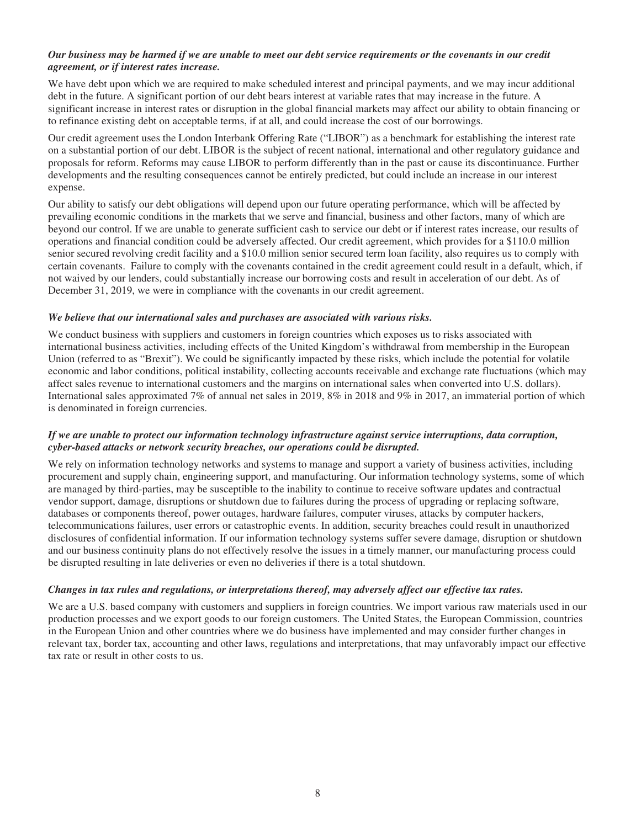## *Our business may be harmed if we are unable to meet our debt service requirements or the covenants in our credit agreement, or if interest rates increase.*

We have debt upon which we are required to make scheduled interest and principal payments, and we may incur additional debt in the future. A significant portion of our debt bears interest at variable rates that may increase in the future. A significant increase in interest rates or disruption in the global financial markets may affect our ability to obtain financing or to refinance existing debt on acceptable terms, if at all, and could increase the cost of our borrowings.

Our credit agreement uses the London Interbank Offering Rate ("LIBOR") as a benchmark for establishing the interest rate on a substantial portion of our debt. LIBOR is the subject of recent national, international and other regulatory guidance and proposals for reform. Reforms may cause LIBOR to perform differently than in the past or cause its discontinuance. Further developments and the resulting consequences cannot be entirely predicted, but could include an increase in our interest expense.

Our ability to satisfy our debt obligations will depend upon our future operating performance, which will be affected by prevailing economic conditions in the markets that we serve and financial, business and other factors, many of which are beyond our control. If we are unable to generate sufficient cash to service our debt or if interest rates increase, our results of operations and financial condition could be adversely affected. Our credit agreement, which provides for a \$110.0 million senior secured revolving credit facility and a \$10.0 million senior secured term loan facility, also requires us to comply with certain covenants. Failure to comply with the covenants contained in the credit agreement could result in a default, which, if not waived by our lenders, could substantially increase our borrowing costs and result in acceleration of our debt. As of December 31, 2019, we were in compliance with the covenants in our credit agreement.

## *We believe that our international sales and purchases are associated with various risks.*

We conduct business with suppliers and customers in foreign countries which exposes us to risks associated with international business activities, including effects of the United Kingdom's withdrawal from membership in the European Union (referred to as "Brexit"). We could be significantly impacted by these risks, which include the potential for volatile economic and labor conditions, political instability, collecting accounts receivable and exchange rate fluctuations (which may affect sales revenue to international customers and the margins on international sales when converted into U.S. dollars). International sales approximated 7% of annual net sales in 2019, 8% in 2018 and 9% in 2017, an immaterial portion of which is denominated in foreign currencies.

## *If we are unable to protect our information technology infrastructure against service interruptions, data corruption, cyber-based attacks or network security breaches, our operations could be disrupted.*

We rely on information technology networks and systems to manage and support a variety of business activities, including procurement and supply chain, engineering support, and manufacturing. Our information technology systems, some of which are managed by third-parties, may be susceptible to the inability to continue to receive software updates and contractual vendor support, damage, disruptions or shutdown due to failures during the process of upgrading or replacing software, databases or components thereof, power outages, hardware failures, computer viruses, attacks by computer hackers, telecommunications failures, user errors or catastrophic events. In addition, security breaches could result in unauthorized disclosures of confidential information. If our information technology systems suffer severe damage, disruption or shutdown and our business continuity plans do not effectively resolve the issues in a timely manner, our manufacturing process could be disrupted resulting in late deliveries or even no deliveries if there is a total shutdown.

## *Changes in tax rules and regulations, or interpretations thereof, may adversely affect our effective tax rates.*

We are a U.S. based company with customers and suppliers in foreign countries. We import various raw materials used in our production processes and we export goods to our foreign customers. The United States, the European Commission, countries in the European Union and other countries where we do business have implemented and may consider further changes in relevant tax, border tax, accounting and other laws, regulations and interpretations, that may unfavorably impact our effective tax rate or result in other costs to us.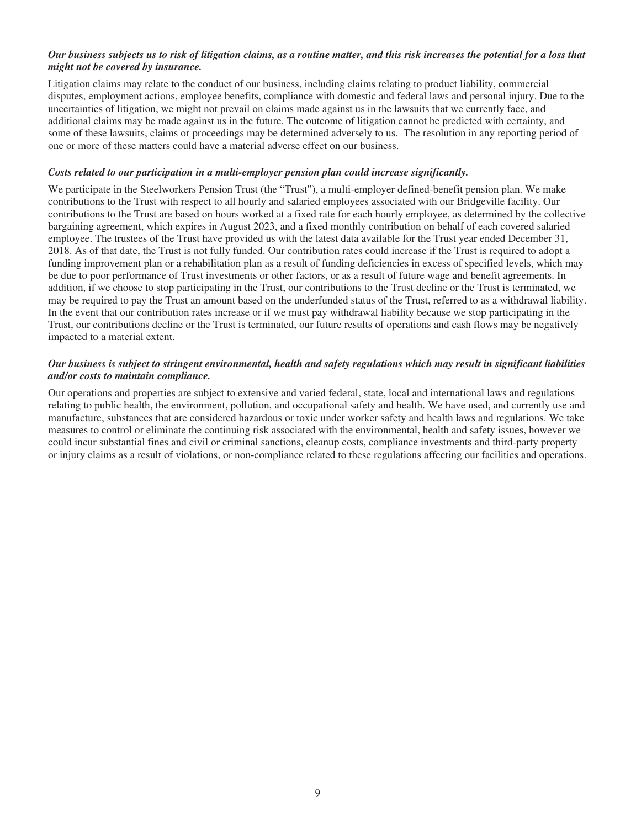## *Our business subjects us to risk of litigation claims, as a routine matter, and this risk increases the potential for a loss that might not be covered by insurance.*

Litigation claims may relate to the conduct of our business, including claims relating to product liability, commercial disputes, employment actions, employee benefits, compliance with domestic and federal laws and personal injury. Due to the uncertainties of litigation, we might not prevail on claims made against us in the lawsuits that we currently face, and additional claims may be made against us in the future. The outcome of litigation cannot be predicted with certainty, and some of these lawsuits, claims or proceedings may be determined adversely to us. The resolution in any reporting period of one or more of these matters could have a material adverse effect on our business.

## *Costs related to our participation in a multi-employer pension plan could increase significantly.*

We participate in the Steelworkers Pension Trust (the "Trust"), a multi-employer defined-benefit pension plan. We make contributions to the Trust with respect to all hourly and salaried employees associated with our Bridgeville facility. Our contributions to the Trust are based on hours worked at a fixed rate for each hourly employee, as determined by the collective bargaining agreement, which expires in August 2023, and a fixed monthly contribution on behalf of each covered salaried employee. The trustees of the Trust have provided us with the latest data available for the Trust year ended December 31, 2018. As of that date, the Trust is not fully funded. Our contribution rates could increase if the Trust is required to adopt a funding improvement plan or a rehabilitation plan as a result of funding deficiencies in excess of specified levels, which may be due to poor performance of Trust investments or other factors, or as a result of future wage and benefit agreements. In addition, if we choose to stop participating in the Trust, our contributions to the Trust decline or the Trust is terminated, we may be required to pay the Trust an amount based on the underfunded status of the Trust, referred to as a withdrawal liability. In the event that our contribution rates increase or if we must pay withdrawal liability because we stop participating in the Trust, our contributions decline or the Trust is terminated, our future results of operations and cash flows may be negatively impacted to a material extent.

# *Our business is subject to stringent environmental, health and safety regulations which may result in significant liabilities and/or costs to maintain compliance.*

Our operations and properties are subject to extensive and varied federal, state, local and international laws and regulations relating to public health, the environment, pollution, and occupational safety and health. We have used, and currently use and manufacture, substances that are considered hazardous or toxic under worker safety and health laws and regulations. We take measures to control or eliminate the continuing risk associated with the environmental, health and safety issues, however we could incur substantial fines and civil or criminal sanctions, cleanup costs, compliance investments and third-party property or injury claims as a result of violations, or non-compliance related to these regulations affecting our facilities and operations.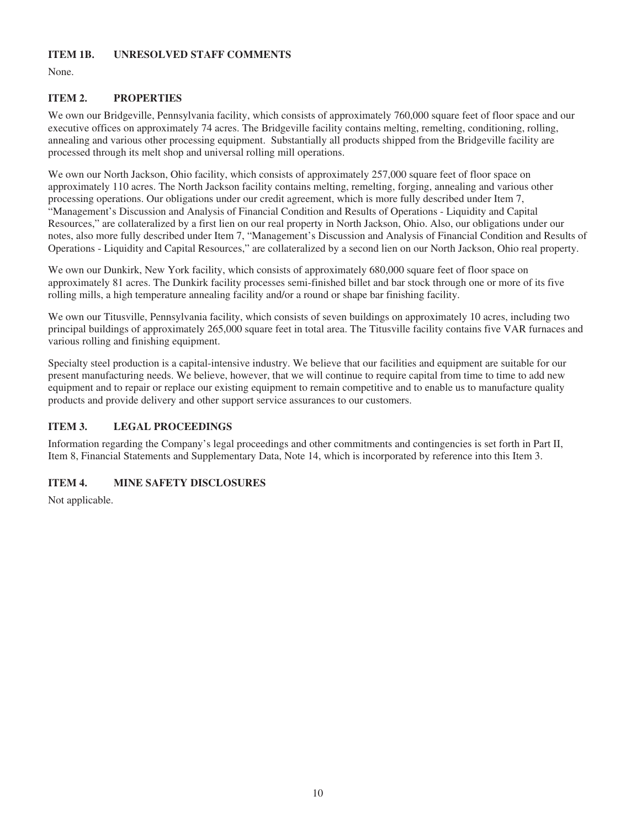# **ITEM 1B. UNRESOLVED STAFF COMMENTS**

None.

# **ITEM 2. PROPERTIES**

We own our Bridgeville, Pennsylvania facility, which consists of approximately 760,000 square feet of floor space and our executive offices on approximately 74 acres. The Bridgeville facility contains melting, remelting, conditioning, rolling, annealing and various other processing equipment. Substantially all products shipped from the Bridgeville facility are processed through its melt shop and universal rolling mill operations.

We own our North Jackson, Ohio facility, which consists of approximately 257,000 square feet of floor space on approximately 110 acres. The North Jackson facility contains melting, remelting, forging, annealing and various other processing operations. Our obligations under our credit agreement, which is more fully described under Item 7, "Management's Discussion and Analysis of Financial Condition and Results of Operations - Liquidity and Capital Resources," are collateralized by a first lien on our real property in North Jackson, Ohio. Also, our obligations under our notes, also more fully described under Item 7, "Management's Discussion and Analysis of Financial Condition and Results of Operations - Liquidity and Capital Resources," are collateralized by a second lien on our North Jackson, Ohio real property.

We own our Dunkirk, New York facility, which consists of approximately 680,000 square feet of floor space on approximately 81 acres. The Dunkirk facility processes semi-finished billet and bar stock through one or more of its five rolling mills, a high temperature annealing facility and/or a round or shape bar finishing facility.

We own our Titusville, Pennsylvania facility, which consists of seven buildings on approximately 10 acres, including two principal buildings of approximately 265,000 square feet in total area. The Titusville facility contains five VAR furnaces and various rolling and finishing equipment.

Specialty steel production is a capital-intensive industry. We believe that our facilities and equipment are suitable for our present manufacturing needs. We believe, however, that we will continue to require capital from time to time to add new equipment and to repair or replace our existing equipment to remain competitive and to enable us to manufacture quality products and provide delivery and other support service assurances to our customers.

# **ITEM 3. LEGAL PROCEEDINGS**

Information regarding the Company's legal proceedings and other commitments and contingencies is set forth in Part II, Item 8, Financial Statements and Supplementary Data, Note 14, which is incorporated by reference into this Item 3.

# **ITEM 4. MINE SAFETY DISCLOSURES**

Not applicable.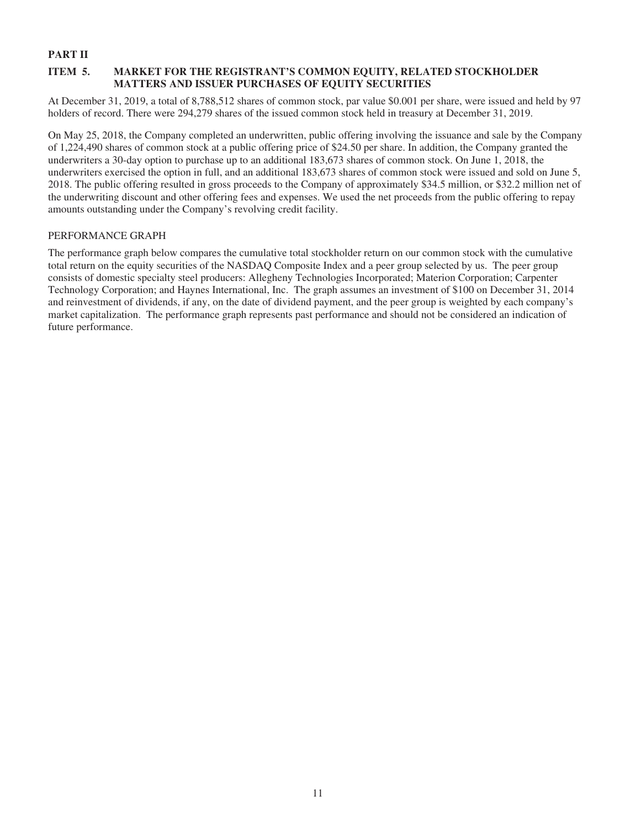# **PART II**

# **ITEM 5. MARKET FOR THE REGISTRANT'S COMMON EQUITY, RELATED STOCKHOLDER MATTERS AND ISSUER PURCHASES OF EQUITY SECURITIES**

At December 31, 2019, a total of 8,788,512 shares of common stock, par value \$0.001 per share, were issued and held by 97 holders of record. There were 294,279 shares of the issued common stock held in treasury at December 31, 2019.

On May 25, 2018, the Company completed an underwritten, public offering involving the issuance and sale by the Company of 1,224,490 shares of common stock at a public offering price of \$24.50 per share. In addition, the Company granted the underwriters a 30-day option to purchase up to an additional 183,673 shares of common stock. On June 1, 2018, the underwriters exercised the option in full, and an additional 183,673 shares of common stock were issued and sold on June 5, 2018. The public offering resulted in gross proceeds to the Company of approximately \$34.5 million, or \$32.2 million net of the underwriting discount and other offering fees and expenses. We used the net proceeds from the public offering to repay amounts outstanding under the Company's revolving credit facility.

# PERFORMANCE GRAPH

The performance graph below compares the cumulative total stockholder return on our common stock with the cumulative total return on the equity securities of the NASDAQ Composite Index and a peer group selected by us. The peer group consists of domestic specialty steel producers: Allegheny Technologies Incorporated; Materion Corporation; Carpenter Technology Corporation; and Haynes International, Inc. The graph assumes an investment of \$100 on December 31, 2014 and reinvestment of dividends, if any, on the date of dividend payment, and the peer group is weighted by each company's market capitalization. The performance graph represents past performance and should not be considered an indication of future performance.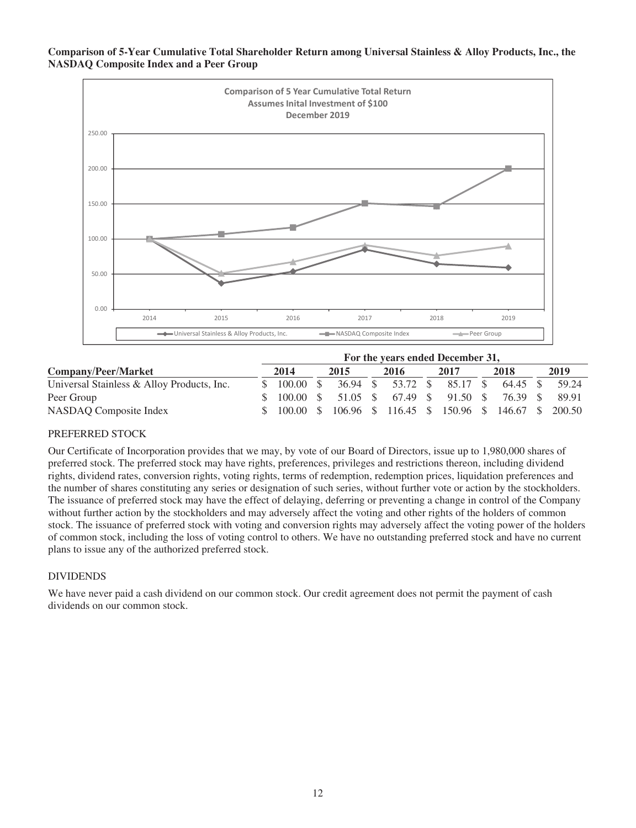

| Comparison of 5-Year Cumulative Total Shareholder Return among Universal Stainless & Alloy Products, Inc., the |  |  |
|----------------------------------------------------------------------------------------------------------------|--|--|
| <b>NASDAQ Composite Index and a Peer Group</b>                                                                 |  |  |

|                                            | For the years ended December 31, |              |  |      |  |                                                        |  |      |  |           |  |        |  |  |
|--------------------------------------------|----------------------------------|--------------|--|------|--|--------------------------------------------------------|--|------|--|-----------|--|--------|--|--|
| <b>Company/Peer/Market</b>                 |                                  | 2014         |  | 2015 |  | 2016                                                   |  | 2017 |  | 2018      |  | 2019   |  |  |
| Universal Stainless & Alloy Products, Inc. |                                  | \$ 100.00 \$ |  |      |  | 36.94 \$ 53.72 \$ 85.17 \$                             |  |      |  | 64.45 S   |  | 59.24  |  |  |
| Peer Group                                 |                                  |              |  |      |  | $$100.00 \text{ }$ \$ 51.05 \ \$ 67.49 \ \$ 91.50 \ \$ |  |      |  | 76.39 \$  |  | 89.91  |  |  |
| NASDAQ Composite Index                     |                                  | 100.00 S     |  |      |  | $106.96 \quad $116.45 \quad $150.96 \quad $$           |  |      |  | 146.67 \$ |  | 200.50 |  |  |

## PREFERRED STOCK

Our Certificate of Incorporation provides that we may, by vote of our Board of Directors, issue up to 1,980,000 shares of preferred stock. The preferred stock may have rights, preferences, privileges and restrictions thereon, including dividend rights, dividend rates, conversion rights, voting rights, terms of redemption, redemption prices, liquidation preferences and the number of shares constituting any series or designation of such series, without further vote or action by the stockholders. The issuance of preferred stock may have the effect of delaying, deferring or preventing a change in control of the Company without further action by the stockholders and may adversely affect the voting and other rights of the holders of common stock. The issuance of preferred stock with voting and conversion rights may adversely affect the voting power of the holders of common stock, including the loss of voting control to others. We have no outstanding preferred stock and have no current plans to issue any of the authorized preferred stock.

## DIVIDENDS

We have never paid a cash dividend on our common stock. Our credit agreement does not permit the payment of cash dividends on our common stock.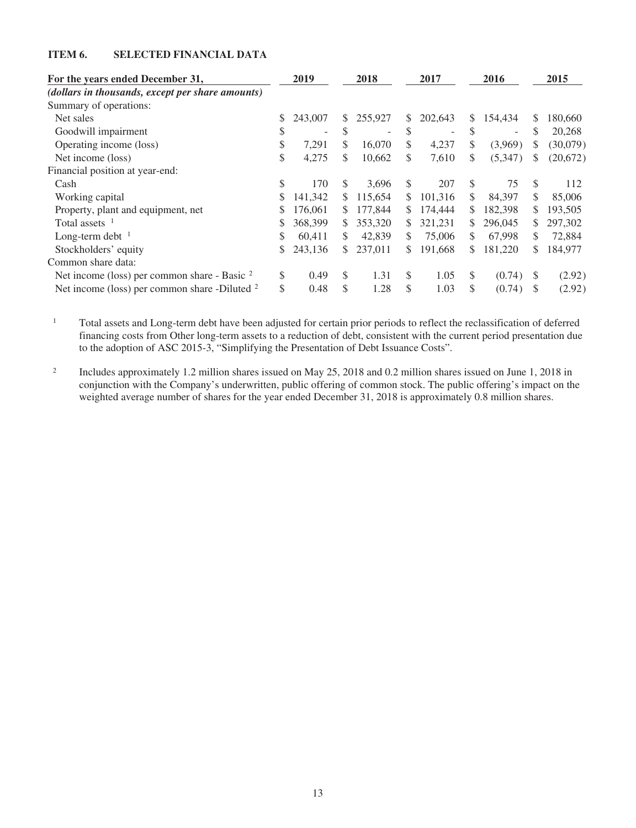# **ITEM 6. SELECTED FINANCIAL DATA**

| For the years ended December 31,                         |    | 2019    |    | 2018                     |    | 2017                     |    | 2016     |     | 2015     |
|----------------------------------------------------------|----|---------|----|--------------------------|----|--------------------------|----|----------|-----|----------|
| (dollars in thousands, except per share amounts)         |    |         |    |                          |    |                          |    |          |     |          |
| Summary of operations:                                   |    |         |    |                          |    |                          |    |          |     |          |
| Net sales                                                | S  | 243,007 | S. | 255,927                  | S. | 202,643                  | S. | 154,434  | S   | 180,660  |
| Goodwill impairment                                      | \$ | ۰       | \$ | $\overline{\phantom{a}}$ | \$ | $\overline{\phantom{0}}$ | S  | ۳        | S   | 20,268   |
| Operating income (loss)                                  | \$ | 7,291   | \$ | 16,070                   | \$ | 4,237                    | \$ | (3,969)  | S   | (30,079) |
| Net income (loss)                                        | \$ | 4,275   | \$ | 10,662                   | \$ | 7,610                    | S  | (5, 347) | S   | (20,672) |
| Financial position at year-end:                          |    |         |    |                          |    |                          |    |          |     |          |
| Cash                                                     | \$ | 170     | \$ | 3,696                    | \$ | 207                      | \$ | 75       | \$  | 112      |
| Working capital                                          | S  | 141,342 | S  | 115,654                  | S  | 101.316                  | S  | 84,397   | \$  | 85,006   |
| Property, plant and equipment, net                       | S  | 176,061 | S  | 177,844                  | S. | 174,444                  | \$ | 182,398  | S   | 193,505  |
| Total assets <sup>1</sup>                                | \$ | 368,399 | S. | 353,320                  | S. | 321,231                  | S. | 296,045  | \$  | 297,302  |
| Long-term debt $1$                                       | \$ | 60.411  | \$ | 42,839                   | \$ | 75,006                   | \$ | 67,998   | \$. | 72,884   |
| Stockholders' equity                                     | S  | 243,136 | S. | 237,011                  | S. | 191,668                  | S  | 181,220  | S   | 184,977  |
| Common share data:                                       |    |         |    |                          |    |                          |    |          |     |          |
| Net income (loss) per common share - Basic <sup>2</sup>  | \$ | 0.49    | \$ | 1.31                     | \$ | 1.05                     | S  | (0.74)   | S   | (2.92)   |
| Net income (loss) per common share -Diluted <sup>2</sup> | \$ | 0.48    | \$ | 1.28                     | \$ | 1.03                     | \$ | (0.74)   | S   | (2.92)   |
|                                                          |    |         |    |                          |    |                          |    |          |     |          |

<sup>1</sup> Total assets and Long-term debt have been adjusted for certain prior periods to reflect the reclassification of deferred financing costs from Other long-term assets to a reduction of debt, consistent with the current period presentation due to the adoption of ASC 2015-3, "Simplifying the Presentation of Debt Issuance Costs".

<sup>2</sup> Includes approximately 1.2 million shares issued on May 25, 2018 and 0.2 million shares issued on June 1, 2018 in conjunction with the Company's underwritten, public offering of common stock. The public offering's impact on the weighted average number of shares for the year ended December 31, 2018 is approximately 0.8 million shares.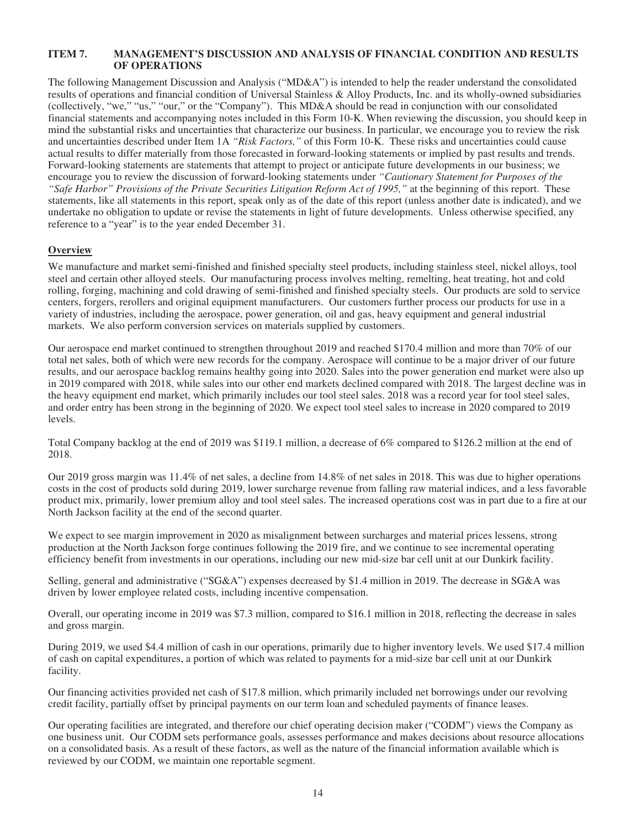### **ITEM 7. MANAGEMENT'S DISCUSSION AND ANALYSIS OF FINANCIAL CONDITION AND RESULTS OF OPERATIONS**

The following Management Discussion and Analysis ("MD&A") is intended to help the reader understand the consolidated results of operations and financial condition of Universal Stainless & Alloy Products, Inc. and its wholly-owned subsidiaries (collectively, "we," "us," "our," or the "Company"). This MD&A should be read in conjunction with our consolidated financial statements and accompanying notes included in this Form 10-K. When reviewing the discussion, you should keep in mind the substantial risks and uncertainties that characterize our business. In particular, we encourage you to review the risk and uncertainties described under Item 1A *"Risk Factors,"* of this Form 10-K. These risks and uncertainties could cause actual results to differ materially from those forecasted in forward-looking statements or implied by past results and trends. Forward-looking statements are statements that attempt to project or anticipate future developments in our business; we encourage you to review the discussion of forward-looking statements under *"Cautionary Statement for Purposes of the "Safe Harbor" Provisions of the Private Securities Litigation Reform Act of 1995,"* at the beginning of this report. These statements, like all statements in this report, speak only as of the date of this report (unless another date is indicated), and we undertake no obligation to update or revise the statements in light of future developments. Unless otherwise specified, any reference to a "year" is to the year ended December 31.

#### **Overview**

We manufacture and market semi-finished and finished specialty steel products, including stainless steel, nickel alloys, tool steel and certain other alloyed steels. Our manufacturing process involves melting, remelting, heat treating, hot and cold rolling, forging, machining and cold drawing of semi-finished and finished specialty steels. Our products are sold to service centers, forgers, rerollers and original equipment manufacturers. Our customers further process our products for use in a variety of industries, including the aerospace, power generation, oil and gas, heavy equipment and general industrial markets. We also perform conversion services on materials supplied by customers.

Our aerospace end market continued to strengthen throughout 2019 and reached \$170.4 million and more than 70% of our total net sales, both of which were new records for the company. Aerospace will continue to be a major driver of our future results, and our aerospace backlog remains healthy going into 2020. Sales into the power generation end market were also up in 2019 compared with 2018, while sales into our other end markets declined compared with 2018. The largest decline was in the heavy equipment end market, which primarily includes our tool steel sales. 2018 was a record year for tool steel sales, and order entry has been strong in the beginning of 2020. We expect tool steel sales to increase in 2020 compared to 2019 levels.

Total Company backlog at the end of 2019 was \$119.1 million, a decrease of 6% compared to \$126.2 million at the end of 2018.

Our 2019 gross margin was 11.4% of net sales, a decline from 14.8% of net sales in 2018. This was due to higher operations costs in the cost of products sold during 2019, lower surcharge revenue from falling raw material indices, and a less favorable product mix, primarily, lower premium alloy and tool steel sales. The increased operations cost was in part due to a fire at our North Jackson facility at the end of the second quarter.

We expect to see margin improvement in 2020 as misalignment between surcharges and material prices lessens, strong production at the North Jackson forge continues following the 2019 fire, and we continue to see incremental operating efficiency benefit from investments in our operations, including our new mid-size bar cell unit at our Dunkirk facility.

Selling, general and administrative ("SG&A") expenses decreased by \$1.4 million in 2019. The decrease in SG&A was driven by lower employee related costs, including incentive compensation.

Overall, our operating income in 2019 was \$7.3 million, compared to \$16.1 million in 2018, reflecting the decrease in sales and gross margin.

During 2019, we used \$4.4 million of cash in our operations, primarily due to higher inventory levels. We used \$17.4 million of cash on capital expenditures, a portion of which was related to payments for a mid-size bar cell unit at our Dunkirk facility.

Our financing activities provided net cash of \$17.8 million, which primarily included net borrowings under our revolving credit facility, partially offset by principal payments on our term loan and scheduled payments of finance leases.

Our operating facilities are integrated, and therefore our chief operating decision maker ("CODM") views the Company as one business unit. Our CODM sets performance goals, assesses performance and makes decisions about resource allocations on a consolidated basis. As a result of these factors, as well as the nature of the financial information available which is reviewed by our CODM, we maintain one reportable segment.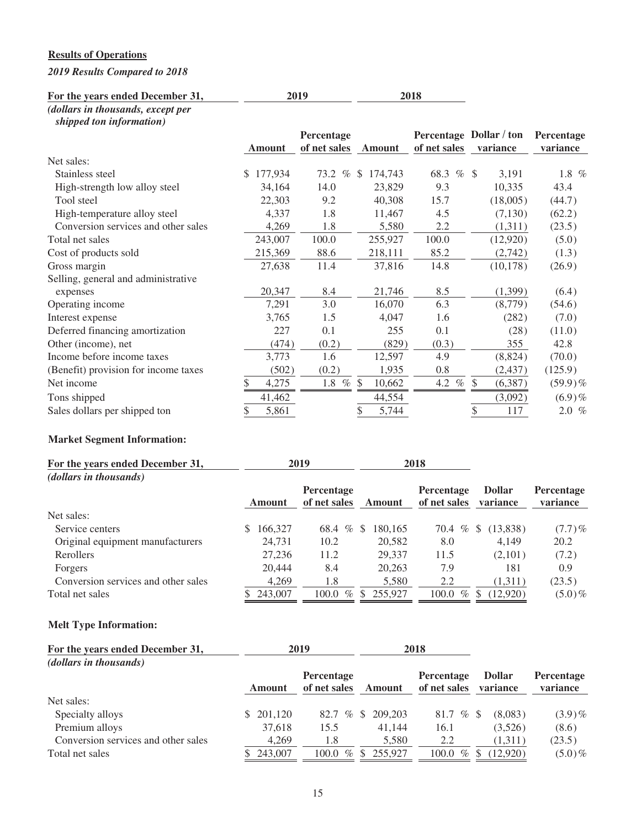# **Results of Operations**

# *2019 Results Compared to 2018*

# **For the years ended December 31, 2019** 2019 2018

*(dollars in thousands, except per*

 *shipped ton information)* 

|                                      |               | Percentage   |                          |              | Percentage Dollar / ton  | Percentage |
|--------------------------------------|---------------|--------------|--------------------------|--------------|--------------------------|------------|
|                                      | Amount        | of net sales | Amount                   | of net sales | variance                 | variance   |
| Net sales:                           |               |              |                          |              |                          |            |
| Stainless steel                      | 177,934<br>\$ | 73.2<br>$\%$ | <sup>\$</sup><br>174,743 | 68.3 %       | 3,191<br>-S              | 1.8 $%$    |
| High-strength low alloy steel        | 34,164        | 14.0         | 23,829                   | 9.3          | 10,335                   | 43.4       |
| Tool steel                           | 22,303        | 9.2          | 40,308                   | 15.7         | (18,005)                 | (44.7)     |
| High-temperature alloy steel         | 4,337         | 1.8          | 11,467                   | 4.5          | (7, 130)                 | (62.2)     |
| Conversion services and other sales  | 4,269         | 1.8          | 5,580                    | 2.2          | (1,311)                  | (23.5)     |
| Total net sales                      | 243,007       | 100.0        | 255,927                  | 100.0        | (12,920)                 | (5.0)      |
| Cost of products sold                | 215,369       | 88.6         | 218,111                  | 85.2         | (2,742)                  | (1.3)      |
| Gross margin                         | 27,638        | 11.4         | 37,816                   | 14.8         | (10, 178)                | (26.9)     |
| Selling, general and administrative  |               |              |                          |              |                          |            |
| expenses                             | 20,347        | 8.4          | 21,746                   | 8.5          | (1,399)                  | (6.4)      |
| Operating income                     | 7,291         | 3.0          | 16,070                   | 6.3          | (8,779)                  | (54.6)     |
| Interest expense                     | 3,765         | 1.5          | 4,047                    | 1.6          | (282)                    | (7.0)      |
| Deferred financing amortization      | 227           | 0.1          | 255                      | 0.1          | (28)                     | (11.0)     |
| Other (income), net                  | (474)         | (0.2)        | (829)                    | (0.3)        | 355                      | 42.8       |
| Income before income taxes           | 3,773         | 1.6          | 12,597                   | 4.9          | (8,824)                  | (70.0)     |
| (Benefit) provision for income taxes | (502)         | (0.2)        | 1,935                    | 0.8          | (2, 437)                 | (125.9)    |
| Net income                           | 4,275         | 1.8 $%$ \$   | 10,662                   | 4.2 %        | (6, 387)<br><sup>S</sup> | $(59.9)\%$ |
| Tons shipped                         | 41,462        |              | 44,554                   |              | (3,092)                  | $(6.9)$ %  |
| Sales dollars per shipped ton        | 5,861         |              | 5,744                    |              | 117                      | 2.0%       |

# **Market Segment Information:**

| For the years ended December 31, | 2019 | 2018 |
|----------------------------------|------|------|
| ( <i>dollars in thousands</i> )  |      |      |

| Amount         | Percentage<br>of net sales | Amount  | <b>Percentage</b><br>of net sales | <b>Dollar</b><br>variance | Percentage<br>variance |
|----------------|----------------------------|---------|-----------------------------------|---------------------------|------------------------|
|                |                            |         |                                   |                           |                        |
| 166,327<br>SS. |                            | 180.165 | 70.4 \%                           | (13,838)<br>-S            | $(7.7)\%$              |
| 24,731         | 10.2                       | 20,582  | 8.0                               | 4.149                     | 20.2                   |
| 27,236         | 11.2                       | 29.337  | 11.5                              | (2,101)                   | (7.2)                  |
| 20,444         | 8.4                        | 20,263  | 7.9                               | 181                       | 0.9                    |
| 4,269          | 1.8                        | 5,580   | 2.2                               | (1,311)                   | (23.5)                 |
| \$243,007      | 100.0 $%$                  | 255,927 | 100.0<br>$\%$                     | (12.920)                  | $(5.0)\%$              |
|                |                            |         | 68.4 % \$<br><sup>S</sup>         |                           |                        |

# **Melt Type Information:**

| For the years ended December 31,    |            | 2019                              |                          | 2018                              |                           |                               |
|-------------------------------------|------------|-----------------------------------|--------------------------|-----------------------------------|---------------------------|-------------------------------|
| ( <i>dollars in thousands</i> )     |            |                                   |                          |                                   |                           |                               |
|                                     | Amount     | <b>Percentage</b><br>of net sales | Amount                   | <b>Percentage</b><br>of net sales | <b>Dollar</b><br>variance | <b>Percentage</b><br>variance |
| Net sales:                          |            |                                   |                          |                                   |                           |                               |
| Specialty alloys                    | \$ 201,120 | 82.7 % \$                         | 209.203                  | $81.7 \%$ \$                      | (8,083)                   | $(3.9)\%$                     |
| Premium alloys                      | 37,618     | 15.5                              | 41,144                   | 16.1                              | (3,526)                   | (8.6)                         |
| Conversion services and other sales | 4,269      | 1.8                               | 5,580                    | 2.2                               | (1,311)                   | (23.5)                        |
| Total net sales                     | 243,007    | 100.0 $%$                         | 255,927<br><sup>\$</sup> | 100.0 $%$                         | (12,920)                  | $(5.0)\%$                     |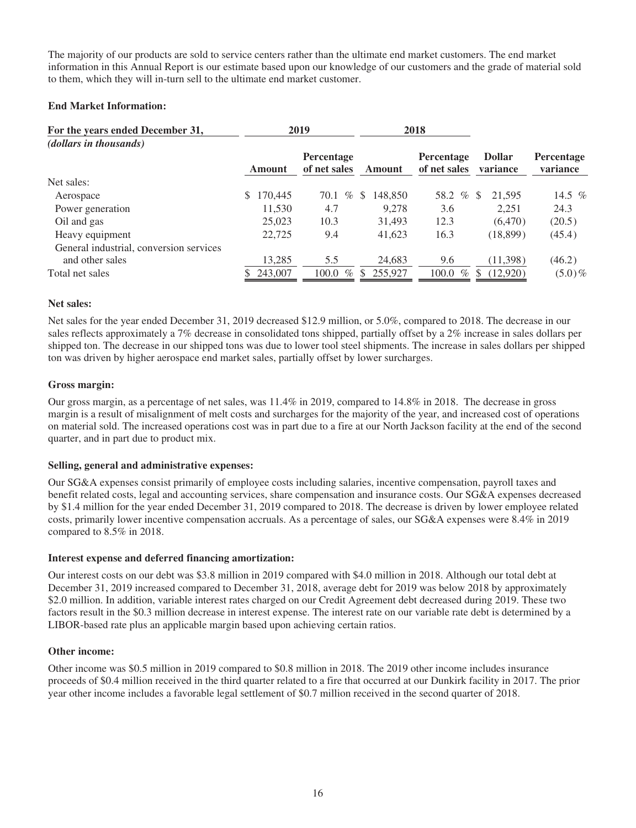The majority of our products are sold to service centers rather than the ultimate end market customers. The end market information in this Annual Report is our estimate based upon our knowledge of our customers and the grade of material sold to them, which they will in-turn sell to the ultimate end market customer.

# **End Market Information:**

| For the years ended December 31,        |               | 2019                       |                         | 2018                              |                           |                               |
|-----------------------------------------|---------------|----------------------------|-------------------------|-----------------------------------|---------------------------|-------------------------------|
| ( <i>dollars in thousands</i> )         | Amount        | Percentage<br>of net sales | Amount                  | <b>Percentage</b><br>of net sales | <b>Dollar</b><br>variance | <b>Percentage</b><br>variance |
| Net sales:                              |               |                            |                         |                                   |                           |                               |
| Aerospace                               | 170,445<br>S. | 70.1 $%$                   | 148,850<br><sup>S</sup> |                                   | 21,595<br>-S              | 14.5 $%$                      |
| Power generation                        | 11,530        | 4.7                        | 9,278                   | 3.6                               | 2,251                     | 24.3                          |
| Oil and gas                             | 25,023        | 10.3                       | 31,493                  | 12.3                              | (6, 470)                  | (20.5)                        |
| Heavy equipment                         | 22,725        | 9.4                        | 41,623                  | 16.3                              | (18, 899)                 | (45.4)                        |
| General industrial, conversion services |               |                            |                         |                                   |                           |                               |
| and other sales                         | 13,285        | 5.5                        | 24,683                  | 9.6                               | (11,398)                  | (46.2)                        |
| Total net sales                         | \$243,007     | 100.0 $%$                  | \$255,927               | 100.0<br>$\%$                     | (12, 920)                 | $(5.0)\%$                     |

## **Net sales:**

Net sales for the year ended December 31, 2019 decreased \$12.9 million, or 5.0%, compared to 2018. The decrease in our sales reflects approximately a 7% decrease in consolidated tons shipped, partially offset by a 2% increase in sales dollars per shipped ton. The decrease in our shipped tons was due to lower tool steel shipments. The increase in sales dollars per shipped ton was driven by higher aerospace end market sales, partially offset by lower surcharges.

## **Gross margin:**

Our gross margin, as a percentage of net sales, was 11.4% in 2019, compared to 14.8% in 2018. The decrease in gross margin is a result of misalignment of melt costs and surcharges for the majority of the year, and increased cost of operations on material sold. The increased operations cost was in part due to a fire at our North Jackson facility at the end of the second quarter, and in part due to product mix.

## **Selling, general and administrative expenses:**

Our SG&A expenses consist primarily of employee costs including salaries, incentive compensation, payroll taxes and benefit related costs, legal and accounting services, share compensation and insurance costs. Our SG&A expenses decreased by \$1.4 million for the year ended December 31, 2019 compared to 2018. The decrease is driven by lower employee related costs, primarily lower incentive compensation accruals. As a percentage of sales, our SG&A expenses were 8.4% in 2019 compared to 8.5% in 2018.

## **Interest expense and deferred financing amortization:**

Our interest costs on our debt was \$3.8 million in 2019 compared with \$4.0 million in 2018. Although our total debt at December 31, 2019 increased compared to December 31, 2018, average debt for 2019 was below 2018 by approximately \$2.0 million. In addition, variable interest rates charged on our Credit Agreement debt decreased during 2019. These two factors result in the \$0.3 million decrease in interest expense. The interest rate on our variable rate debt is determined by a LIBOR-based rate plus an applicable margin based upon achieving certain ratios.

## **Other income:**

Other income was \$0.5 million in 2019 compared to \$0.8 million in 2018. The 2019 other income includes insurance proceeds of \$0.4 million received in the third quarter related to a fire that occurred at our Dunkirk facility in 2017. The prior year other income includes a favorable legal settlement of \$0.7 million received in the second quarter of 2018.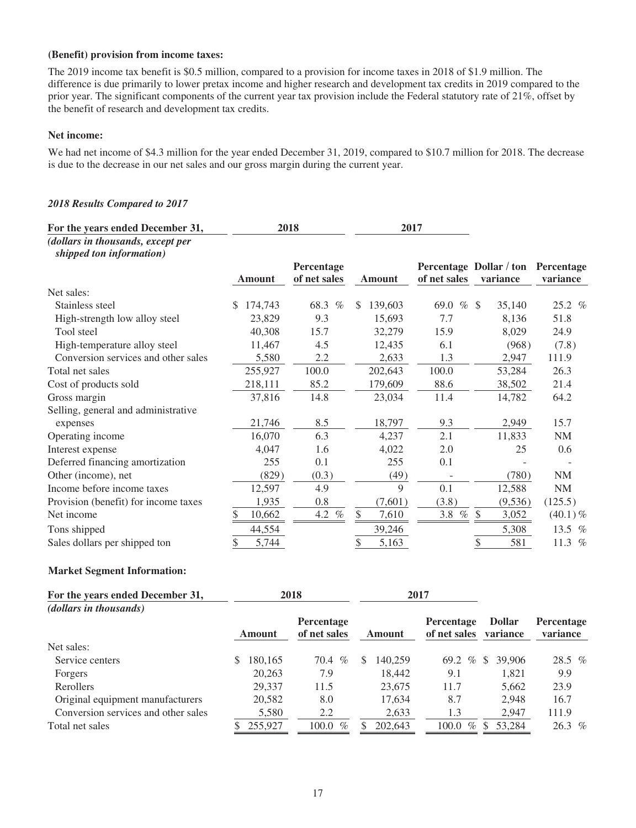# **(Benefit) provision from income taxes:**

The 2019 income tax benefit is \$0.5 million, compared to a provision for income taxes in 2018 of \$1.9 million. The difference is due primarily to lower pretax income and higher research and development tax credits in 2019 compared to the prior year. The significant components of the current year tax provision include the Federal statutory rate of 21%, offset by the benefit of research and development tax credits.

#### **Net income:**

We had net income of \$4.3 million for the year ended December 31, 2019, compared to \$10.7 million for 2018. The decrease is due to the decrease in our net sales and our gross margin during the current year.

## *2018 Results Compared to 2017*

| For the years ended December 31,                              |               | 2018         |               | 2017         |                         |            |
|---------------------------------------------------------------|---------------|--------------|---------------|--------------|-------------------------|------------|
| (dollars in thousands, except per<br>shipped ton information) |               |              |               |              |                         |            |
|                                                               |               | Percentage   |               |              | Percentage Dollar / ton | Percentage |
|                                                               | <b>Amount</b> | of net sales | <b>Amount</b> | of net sales | variance                | variance   |
| Net sales:                                                    |               |              |               |              |                         |            |
| Stainless steel                                               | 174,743<br>S  | 68.3 %       | 139,603<br>S. | $\%$<br>69.0 | 35,140<br>-S            | 25.2 %     |
| High-strength low alloy steel                                 | 23,829        | 9.3          | 15,693        | 7.7          | 8,136                   | 51.8       |
| Tool steel                                                    | 40,308        | 15.7         | 32,279        | 15.9         | 8,029                   | 24.9       |
| High-temperature alloy steel                                  | 11,467        | 4.5          | 12,435        | 6.1          | (968)                   | (7.8)      |
| Conversion services and other sales                           | 5,580         | 2.2          | 2,633         | 1.3          | 2,947                   | 111.9      |
| Total net sales                                               | 255,927       | 100.0        | 202,643       | 100.0        | 53,284                  | 26.3       |
| Cost of products sold                                         | 218,111       | 85.2         | 179,609       | 88.6         | 38,502                  | 21.4       |
| Gross margin                                                  | 37,816        | 14.8         | 23,034        | 11.4         | 14,782                  | 64.2       |
| Selling, general and administrative                           |               |              |               |              |                         |            |
| expenses                                                      | 21,746        | 8.5          | 18,797        | 9.3          | 2,949                   | 15.7       |
| Operating income                                              | 16,070        | 6.3          | 4,237         | 2.1          | 11,833                  | NM         |
| Interest expense                                              | 4,047         | 1.6          | 4,022         | 2.0          | 25                      | 0.6        |
| Deferred financing amortization                               | 255           | 0.1          | 255           | 0.1          |                         |            |
| Other (income), net                                           | (829)         | (0.3)        | (49)          |              | (780)                   | NM         |
| Income before income taxes                                    | 12,597        | 4.9          | 9             | 0.1          | 12,588                  | NM         |
| Provision (benefit) for income taxes                          | 1,935         | 0.8          | (7,601)       | (3.8)        | (9,536)                 | (125.5)    |
| Net income                                                    | 10,662        | 4.2 %        | \$<br>7,610   | $\%$<br>3.8  | $\mathcal{S}$<br>3,052  | $(40.1)\%$ |
| Tons shipped                                                  | 44,554        |              | 39,246        |              | 5,308                   | 13.5 %     |
| Sales dollars per shipped ton                                 | 5,744<br>\$   |              | \$<br>5,163   |              | 581<br>\$               | 11.3 %     |

#### **Market Segment Information:**

| For the years ended December 31,    |               | 2018                              | 2017          |                                   |                           |                               |
|-------------------------------------|---------------|-----------------------------------|---------------|-----------------------------------|---------------------------|-------------------------------|
| ( <i>dollars in thousands</i> )     |               |                                   |               |                                   |                           |                               |
|                                     | Amount        | <b>Percentage</b><br>of net sales | Amount        | <b>Percentage</b><br>of net sales | <b>Dollar</b><br>variance | <b>Percentage</b><br>variance |
| Net sales:                          |               |                                   |               |                                   |                           |                               |
| Service centers                     | \$<br>180,165 | 70.4<br>$\%$                      | 140,259<br>S. | 69.2 %                            | 39,906<br><sup>S</sup>    | 28.5 $%$                      |
| Forgers                             | 20,263        | 7.9                               | 18.442        | 9.1                               | 1.821                     | 9.9                           |
| Rerollers                           | 29.337        | 11.5                              | 23,675        | 11.7                              | 5,662                     | 23.9                          |
| Original equipment manufacturers    | 20,582        | 8.0                               | 17.634        | 8.7                               | 2.948                     | 16.7                          |
| Conversion services and other sales | 5,580         | 2.2                               | 2,633         | 1.3                               | 2,947                     | 111.9                         |
| Total net sales                     | 255,927       | 100.0<br>$\%$                     | 202,643       | $100.0~\%$                        | 53,284                    | 26.3 %                        |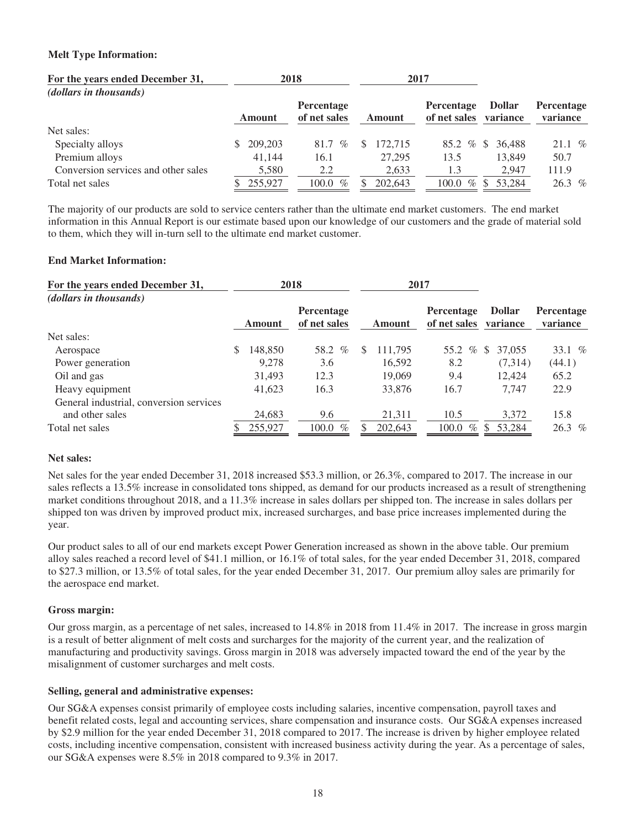# **Melt Type Information:**

| For the years ended December 31,    | 2018          |               | 2017                    |                   |                  |                   |
|-------------------------------------|---------------|---------------|-------------------------|-------------------|------------------|-------------------|
| ( <i>dollars in thousands</i> )     |               |               |                         |                   |                  |                   |
|                                     |               | Percentage    |                         | <b>Percentage</b> | <b>Dollar</b>    | <b>Percentage</b> |
|                                     | Amount        | of net sales  | Amount                  | of net sales      | variance         | variance          |
| Net sales:                          |               |               |                         |                   |                  |                   |
| Specialty alloys                    | 209,203<br>S. | $\%$<br>81.7  | 172.715<br><sup>S</sup> |                   | 85.2 % \$ 36.488 | 21.1 %            |
| Premium alloys                      | 41,144        | 16.1          | 27,295                  | 13.5              | 13,849           | 50.7              |
| Conversion services and other sales | 5,580         | 2.2           | 2,633                   | 1.3               | 2.947            | 111.9             |
| Total net sales                     | 255,927       | $\%$<br>100.0 | 202,643                 | 100.0<br>$\%$     | 53,284           | 26.3%             |

The majority of our products are sold to service centers rather than the ultimate end market customers. The end market information in this Annual Report is our estimate based upon our knowledge of our customers and the grade of material sold to them, which they will in-turn sell to the ultimate end market customer.

## **End Market Information:**

| For the years ended December 31,        |               | 2018 |                            | 2017 |         |                            |        |              |                           |                        |
|-----------------------------------------|---------------|------|----------------------------|------|---------|----------------------------|--------|--------------|---------------------------|------------------------|
| ( <i>dollars in thousands</i> )         |               |      |                            |      |         |                            |        |              |                           |                        |
|                                         | Amount        |      | Percentage<br>of net sales |      | Amount  | Percentage<br>of net sales |        |              | <b>Dollar</b><br>variance | Percentage<br>variance |
| Net sales:                              |               |      |                            |      |         |                            |        |              |                           |                        |
| Aerospace                               | \$<br>148,850 |      | 58.2 %                     | S.   | 111.795 |                            | 55.2 % | <sup>S</sup> | 37,055                    | 33.1 $%$               |
| Power generation                        | 9.278         |      | 3.6                        |      | 16,592  |                            | 8.2    |              | (7,314)                   | (44.1)                 |
| Oil and gas                             | 31,493        |      | 12.3                       |      | 19,069  |                            | 9.4    |              | 12.424                    | 65.2                   |
| Heavy equipment                         | 41.623        |      | 16.3                       |      | 33,876  | 16.7                       |        |              | 7.747                     | 22.9                   |
| General industrial, conversion services |               |      |                            |      |         |                            |        |              |                           |                        |
| and other sales                         | 24,683        |      | 9.6                        |      | 21,311  | 10.5                       |        |              | 3,372                     | 15.8                   |
| Total net sales                         | 255,927       |      | 100.0<br>$\%$              |      | 202,643 | 100.0                      | $\%$   |              | 53,284                    | 26.3 %                 |

## **Net sales:**

Net sales for the year ended December 31, 2018 increased \$53.3 million, or 26.3%, compared to 2017. The increase in our sales reflects a 13.5% increase in consolidated tons shipped, as demand for our products increased as a result of strengthening market conditions throughout 2018, and a 11.3% increase in sales dollars per shipped ton. The increase in sales dollars per shipped ton was driven by improved product mix, increased surcharges, and base price increases implemented during the year.

Our product sales to all of our end markets except Power Generation increased as shown in the above table. Our premium alloy sales reached a record level of \$41.1 million, or 16.1% of total sales, for the year ended December 31, 2018, compared to \$27.3 million, or 13.5% of total sales, for the year ended December 31, 2017. Our premium alloy sales are primarily for the aerospace end market.

## **Gross margin:**

Our gross margin, as a percentage of net sales, increased to 14.8% in 2018 from 11.4% in 2017. The increase in gross margin is a result of better alignment of melt costs and surcharges for the majority of the current year, and the realization of manufacturing and productivity savings. Gross margin in 2018 was adversely impacted toward the end of the year by the misalignment of customer surcharges and melt costs.

## **Selling, general and administrative expenses:**

Our SG&A expenses consist primarily of employee costs including salaries, incentive compensation, payroll taxes and benefit related costs, legal and accounting services, share compensation and insurance costs. Our SG&A expenses increased by \$2.9 million for the year ended December 31, 2018 compared to 2017. The increase is driven by higher employee related costs, including incentive compensation, consistent with increased business activity during the year. As a percentage of sales, our SG&A expenses were 8.5% in 2018 compared to 9.3% in 2017.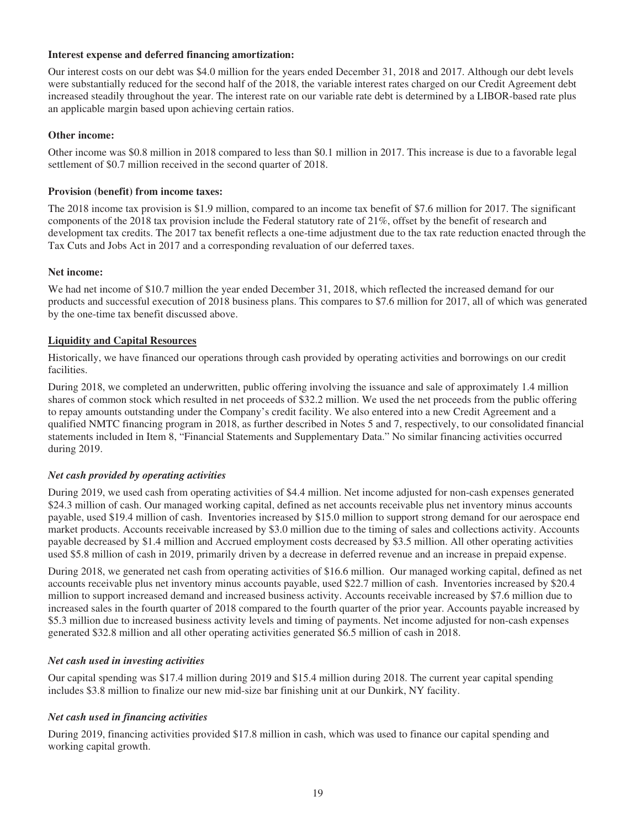### **Interest expense and deferred financing amortization:**

Our interest costs on our debt was \$4.0 million for the years ended December 31, 2018 and 2017. Although our debt levels were substantially reduced for the second half of the 2018, the variable interest rates charged on our Credit Agreement debt increased steadily throughout the year. The interest rate on our variable rate debt is determined by a LIBOR-based rate plus an applicable margin based upon achieving certain ratios.

## **Other income:**

Other income was \$0.8 million in 2018 compared to less than \$0.1 million in 2017. This increase is due to a favorable legal settlement of \$0.7 million received in the second quarter of 2018.

## **Provision (benefit) from income taxes:**

The 2018 income tax provision is \$1.9 million, compared to an income tax benefit of \$7.6 million for 2017. The significant components of the 2018 tax provision include the Federal statutory rate of 21%, offset by the benefit of research and development tax credits. The 2017 tax benefit reflects a one-time adjustment due to the tax rate reduction enacted through the Tax Cuts and Jobs Act in 2017 and a corresponding revaluation of our deferred taxes.

#### **Net income:**

We had net income of \$10.7 million the year ended December 31, 2018, which reflected the increased demand for our products and successful execution of 2018 business plans. This compares to \$7.6 million for 2017, all of which was generated by the one-time tax benefit discussed above.

#### **Liquidity and Capital Resources**

Historically, we have financed our operations through cash provided by operating activities and borrowings on our credit facilities.

During 2018, we completed an underwritten, public offering involving the issuance and sale of approximately 1.4 million shares of common stock which resulted in net proceeds of \$32.2 million. We used the net proceeds from the public offering to repay amounts outstanding under the Company's credit facility. We also entered into a new Credit Agreement and a qualified NMTC financing program in 2018, as further described in Notes 5 and 7, respectively, to our consolidated financial statements included in Item 8, "Financial Statements and Supplementary Data." No similar financing activities occurred during 2019.

## *Net cash provided by operating activities*

During 2019, we used cash from operating activities of \$4.4 million. Net income adjusted for non-cash expenses generated \$24.3 million of cash. Our managed working capital, defined as net accounts receivable plus net inventory minus accounts payable, used \$19.4 million of cash. Inventories increased by \$15.0 million to support strong demand for our aerospace end market products. Accounts receivable increased by \$3.0 million due to the timing of sales and collections activity. Accounts payable decreased by \$1.4 million and Accrued employment costs decreased by \$3.5 million. All other operating activities used \$5.8 million of cash in 2019, primarily driven by a decrease in deferred revenue and an increase in prepaid expense.

During 2018, we generated net cash from operating activities of \$16.6 million. Our managed working capital, defined as net accounts receivable plus net inventory minus accounts payable, used \$22.7 million of cash. Inventories increased by \$20.4 million to support increased demand and increased business activity. Accounts receivable increased by \$7.6 million due to increased sales in the fourth quarter of 2018 compared to the fourth quarter of the prior year. Accounts payable increased by \$5.3 million due to increased business activity levels and timing of payments. Net income adjusted for non-cash expenses generated \$32.8 million and all other operating activities generated \$6.5 million of cash in 2018.

## *Net cash used in investing activities*

Our capital spending was \$17.4 million during 2019 and \$15.4 million during 2018. The current year capital spending includes \$3.8 million to finalize our new mid-size bar finishing unit at our Dunkirk, NY facility.

## *Net cash used in financing activities*

During 2019, financing activities provided \$17.8 million in cash, which was used to finance our capital spending and working capital growth.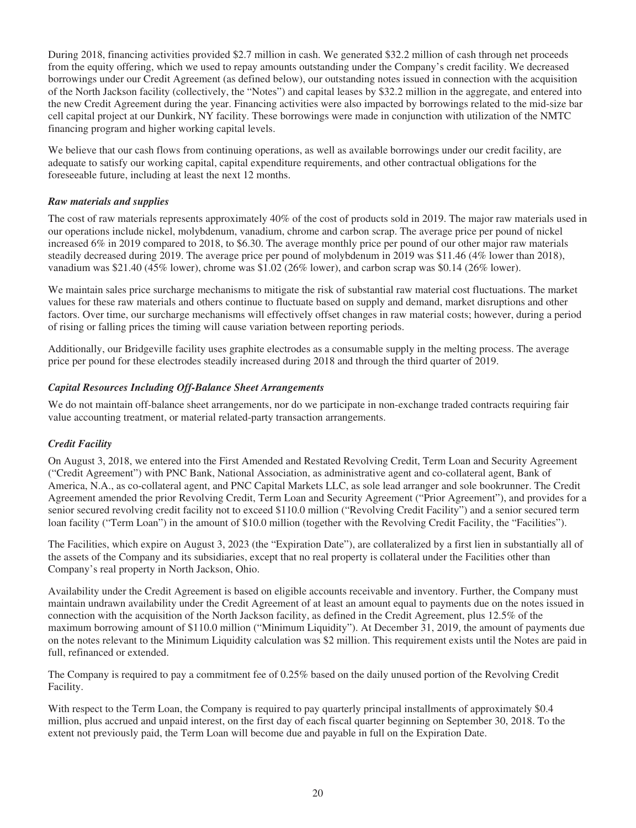During 2018, financing activities provided \$2.7 million in cash. We generated \$32.2 million of cash through net proceeds from the equity offering, which we used to repay amounts outstanding under the Company's credit facility. We decreased borrowings under our Credit Agreement (as defined below), our outstanding notes issued in connection with the acquisition of the North Jackson facility (collectively, the "Notes") and capital leases by \$32.2 million in the aggregate, and entered into the new Credit Agreement during the year. Financing activities were also impacted by borrowings related to the mid-size bar cell capital project at our Dunkirk, NY facility. These borrowings were made in conjunction with utilization of the NMTC financing program and higher working capital levels.

We believe that our cash flows from continuing operations, as well as available borrowings under our credit facility, are adequate to satisfy our working capital, capital expenditure requirements, and other contractual obligations for the foreseeable future, including at least the next 12 months.

# *Raw materials and supplies*

The cost of raw materials represents approximately 40% of the cost of products sold in 2019. The major raw materials used in our operations include nickel, molybdenum, vanadium, chrome and carbon scrap. The average price per pound of nickel increased 6% in 2019 compared to 2018, to \$6.30. The average monthly price per pound of our other major raw materials steadily decreased during 2019. The average price per pound of molybdenum in 2019 was \$11.46 (4% lower than 2018), vanadium was \$21.40 (45% lower), chrome was \$1.02 (26% lower), and carbon scrap was \$0.14 (26% lower).

We maintain sales price surcharge mechanisms to mitigate the risk of substantial raw material cost fluctuations. The market values for these raw materials and others continue to fluctuate based on supply and demand, market disruptions and other factors. Over time, our surcharge mechanisms will effectively offset changes in raw material costs; however, during a period of rising or falling prices the timing will cause variation between reporting periods.

Additionally, our Bridgeville facility uses graphite electrodes as a consumable supply in the melting process. The average price per pound for these electrodes steadily increased during 2018 and through the third quarter of 2019.

# *Capital Resources Including Off-Balance Sheet Arrangements*

We do not maintain off-balance sheet arrangements, nor do we participate in non-exchange traded contracts requiring fair value accounting treatment, or material related-party transaction arrangements.

## *Credit Facility*

On August 3, 2018, we entered into the First Amended and Restated Revolving Credit, Term Loan and Security Agreement ("Credit Agreement") with PNC Bank, National Association, as administrative agent and co-collateral agent, Bank of America, N.A., as co-collateral agent, and PNC Capital Markets LLC, as sole lead arranger and sole bookrunner. The Credit Agreement amended the prior Revolving Credit, Term Loan and Security Agreement ("Prior Agreement"), and provides for a senior secured revolving credit facility not to exceed \$110.0 million ("Revolving Credit Facility") and a senior secured term loan facility ("Term Loan") in the amount of \$10.0 million (together with the Revolving Credit Facility, the "Facilities").

The Facilities, which expire on August 3, 2023 (the "Expiration Date"), are collateralized by a first lien in substantially all of the assets of the Company and its subsidiaries, except that no real property is collateral under the Facilities other than Company's real property in North Jackson, Ohio.

Availability under the Credit Agreement is based on eligible accounts receivable and inventory. Further, the Company must maintain undrawn availability under the Credit Agreement of at least an amount equal to payments due on the notes issued in connection with the acquisition of the North Jackson facility, as defined in the Credit Agreement, plus 12.5% of the maximum borrowing amount of \$110.0 million ("Minimum Liquidity"). At December 31, 2019, the amount of payments due on the notes relevant to the Minimum Liquidity calculation was \$2 million. This requirement exists until the Notes are paid in full, refinanced or extended.

The Company is required to pay a commitment fee of 0.25% based on the daily unused portion of the Revolving Credit Facility.

With respect to the Term Loan, the Company is required to pay quarterly principal installments of approximately \$0.4 million, plus accrued and unpaid interest, on the first day of each fiscal quarter beginning on September 30, 2018. To the extent not previously paid, the Term Loan will become due and payable in full on the Expiration Date.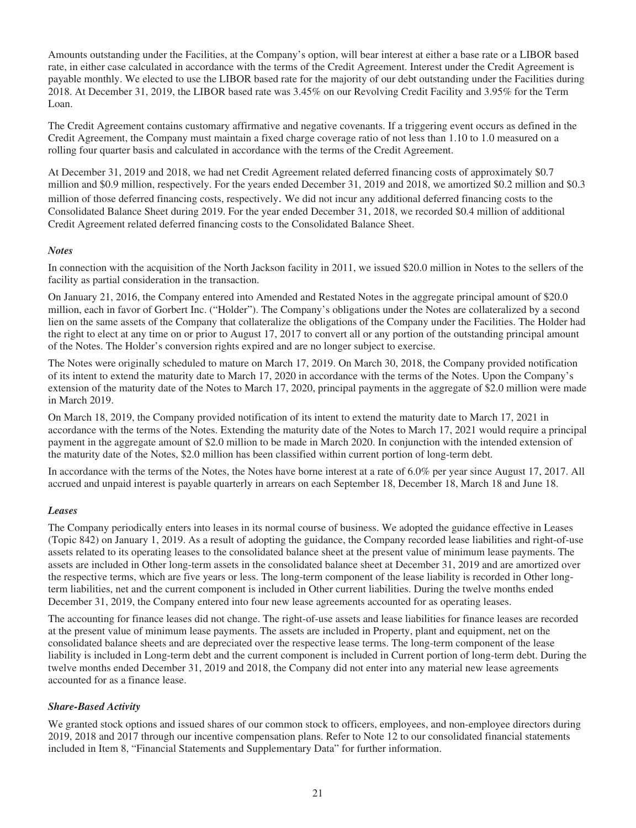Amounts outstanding under the Facilities, at the Company's option, will bear interest at either a base rate or a LIBOR based rate, in either case calculated in accordance with the terms of the Credit Agreement. Interest under the Credit Agreement is payable monthly. We elected to use the LIBOR based rate for the majority of our debt outstanding under the Facilities during 2018. At December 31, 2019, the LIBOR based rate was 3.45% on our Revolving Credit Facility and 3.95% for the Term Loan.

The Credit Agreement contains customary affirmative and negative covenants. If a triggering event occurs as defined in the Credit Agreement, the Company must maintain a fixed charge coverage ratio of not less than 1.10 to 1.0 measured on a rolling four quarter basis and calculated in accordance with the terms of the Credit Agreement.

At December 31, 2019 and 2018, we had net Credit Agreement related deferred financing costs of approximately \$0.7 million and \$0.9 million, respectively. For the years ended December 31, 2019 and 2018, we amortized \$0.2 million and \$0.3 million of those deferred financing costs, respectively. We did not incur any additional deferred financing costs to the Consolidated Balance Sheet during 2019. For the year ended December 31, 2018, we recorded \$0.4 million of additional Credit Agreement related deferred financing costs to the Consolidated Balance Sheet.

# *Notes*

In connection with the acquisition of the North Jackson facility in 2011, we issued \$20.0 million in Notes to the sellers of the facility as partial consideration in the transaction.

On January 21, 2016, the Company entered into Amended and Restated Notes in the aggregate principal amount of \$20.0 million, each in favor of Gorbert Inc. ("Holder"). The Company's obligations under the Notes are collateralized by a second lien on the same assets of the Company that collateralize the obligations of the Company under the Facilities. The Holder had the right to elect at any time on or prior to August 17, 2017 to convert all or any portion of the outstanding principal amount of the Notes. The Holder's conversion rights expired and are no longer subject to exercise.

The Notes were originally scheduled to mature on March 17, 2019. On March 30, 2018, the Company provided notification of its intent to extend the maturity date to March 17, 2020 in accordance with the terms of the Notes. Upon the Company's extension of the maturity date of the Notes to March 17, 2020, principal payments in the aggregate of \$2.0 million were made in March 2019.

On March 18, 2019, the Company provided notification of its intent to extend the maturity date to March 17, 2021 in accordance with the terms of the Notes. Extending the maturity date of the Notes to March 17, 2021 would require a principal payment in the aggregate amount of \$2.0 million to be made in March 2020. In conjunction with the intended extension of the maturity date of the Notes, \$2.0 million has been classified within current portion of long-term debt.

In accordance with the terms of the Notes, the Notes have borne interest at a rate of 6.0% per year since August 17, 2017. All accrued and unpaid interest is payable quarterly in arrears on each September 18, December 18, March 18 and June 18.

# *Leases*

The Company periodically enters into leases in its normal course of business. We adopted the guidance effective in Leases (Topic 842) on January 1, 2019. As a result of adopting the guidance, the Company recorded lease liabilities and right-of-use assets related to its operating leases to the consolidated balance sheet at the present value of minimum lease payments. The assets are included in Other long-term assets in the consolidated balance sheet at December 31, 2019 and are amortized over the respective terms, which are five years or less. The long-term component of the lease liability is recorded in Other longterm liabilities, net and the current component is included in Other current liabilities. During the twelve months ended December 31, 2019, the Company entered into four new lease agreements accounted for as operating leases.

The accounting for finance leases did not change. The right-of-use assets and lease liabilities for finance leases are recorded at the present value of minimum lease payments. The assets are included in Property, plant and equipment, net on the consolidated balance sheets and are depreciated over the respective lease terms. The long-term component of the lease liability is included in Long-term debt and the current component is included in Current portion of long-term debt. During the twelve months ended December 31, 2019 and 2018, the Company did not enter into any material new lease agreements accounted for as a finance lease.

# *Share-Based Activity*

We granted stock options and issued shares of our common stock to officers, employees, and non-employee directors during 2019, 2018 and 2017 through our incentive compensation plans. Refer to Note 12 to our consolidated financial statements included in Item 8, "Financial Statements and Supplementary Data" for further information.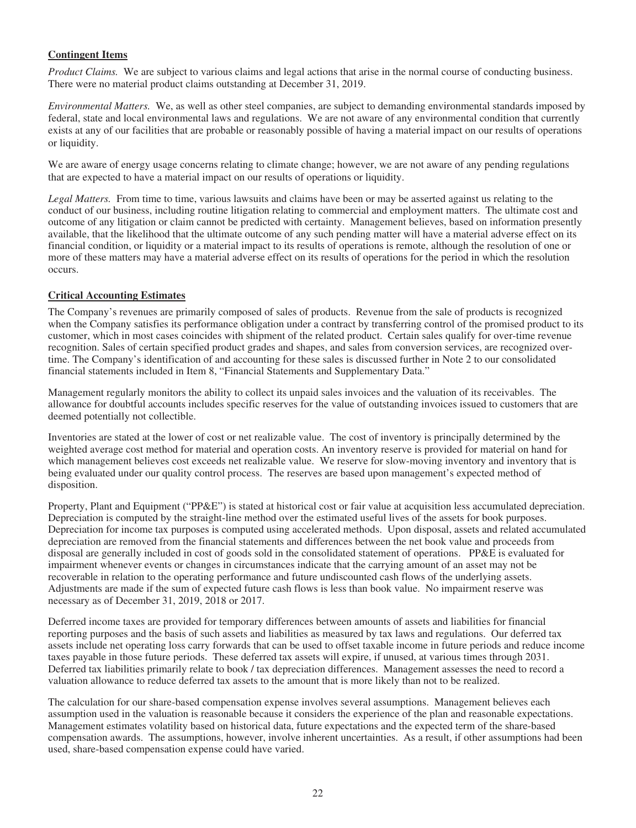# **Contingent Items**

*Product Claims.* We are subject to various claims and legal actions that arise in the normal course of conducting business. There were no material product claims outstanding at December 31, 2019.

*Environmental Matters.* We, as well as other steel companies, are subject to demanding environmental standards imposed by federal, state and local environmental laws and regulations. We are not aware of any environmental condition that currently exists at any of our facilities that are probable or reasonably possible of having a material impact on our results of operations or liquidity.

We are aware of energy usage concerns relating to climate change; however, we are not aware of any pending regulations that are expected to have a material impact on our results of operations or liquidity.

*Legal Matters.* From time to time, various lawsuits and claims have been or may be asserted against us relating to the conduct of our business, including routine litigation relating to commercial and employment matters. The ultimate cost and outcome of any litigation or claim cannot be predicted with certainty. Management believes, based on information presently available, that the likelihood that the ultimate outcome of any such pending matter will have a material adverse effect on its financial condition, or liquidity or a material impact to its results of operations is remote, although the resolution of one or more of these matters may have a material adverse effect on its results of operations for the period in which the resolution occurs.

# **Critical Accounting Estimates**

The Company's revenues are primarily composed of sales of products. Revenue from the sale of products is recognized when the Company satisfies its performance obligation under a contract by transferring control of the promised product to its customer, which in most cases coincides with shipment of the related product. Certain sales qualify for over-time revenue recognition. Sales of certain specified product grades and shapes, and sales from conversion services, are recognized overtime. The Company's identification of and accounting for these sales is discussed further in Note 2 to our consolidated financial statements included in Item 8, "Financial Statements and Supplementary Data."

Management regularly monitors the ability to collect its unpaid sales invoices and the valuation of its receivables. The allowance for doubtful accounts includes specific reserves for the value of outstanding invoices issued to customers that are deemed potentially not collectible.

Inventories are stated at the lower of cost or net realizable value. The cost of inventory is principally determined by the weighted average cost method for material and operation costs. An inventory reserve is provided for material on hand for which management believes cost exceeds net realizable value. We reserve for slow-moving inventory and inventory that is being evaluated under our quality control process. The reserves are based upon management's expected method of disposition.

Property, Plant and Equipment ("PP&E") is stated at historical cost or fair value at acquisition less accumulated depreciation. Depreciation is computed by the straight-line method over the estimated useful lives of the assets for book purposes. Depreciation for income tax purposes is computed using accelerated methods. Upon disposal, assets and related accumulated depreciation are removed from the financial statements and differences between the net book value and proceeds from disposal are generally included in cost of goods sold in the consolidated statement of operations. PP&E is evaluated for impairment whenever events or changes in circumstances indicate that the carrying amount of an asset may not be recoverable in relation to the operating performance and future undiscounted cash flows of the underlying assets. Adjustments are made if the sum of expected future cash flows is less than book value. No impairment reserve was necessary as of December 31, 2019, 2018 or 2017.

Deferred income taxes are provided for temporary differences between amounts of assets and liabilities for financial reporting purposes and the basis of such assets and liabilities as measured by tax laws and regulations. Our deferred tax assets include net operating loss carry forwards that can be used to offset taxable income in future periods and reduce income taxes payable in those future periods. These deferred tax assets will expire, if unused, at various times through 2031. Deferred tax liabilities primarily relate to book / tax depreciation differences. Management assesses the need to record a valuation allowance to reduce deferred tax assets to the amount that is more likely than not to be realized.

The calculation for our share-based compensation expense involves several assumptions. Management believes each assumption used in the valuation is reasonable because it considers the experience of the plan and reasonable expectations. Management estimates volatility based on historical data, future expectations and the expected term of the share-based compensation awards. The assumptions, however, involve inherent uncertainties. As a result, if other assumptions had been used, share-based compensation expense could have varied.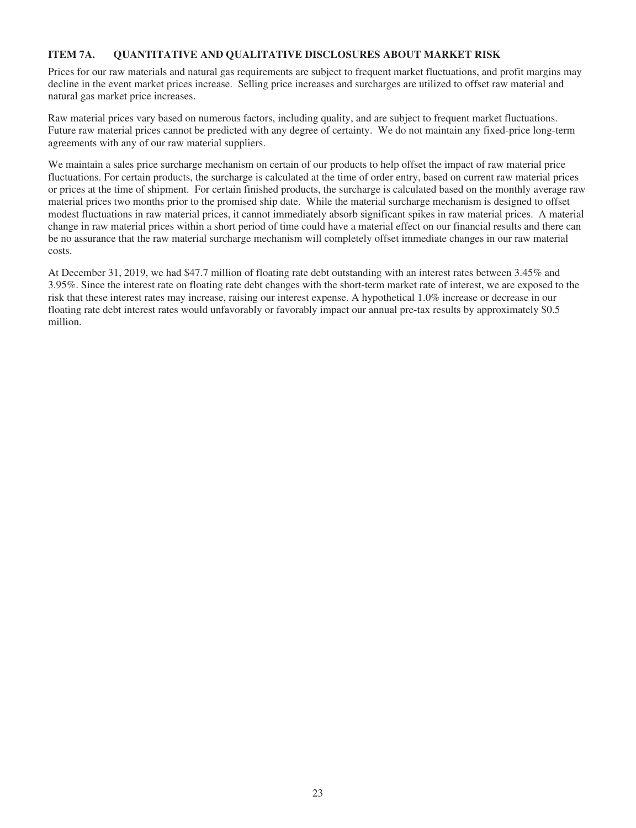# **ITEM 7A. QUANTITATIVE AND QUALITATIVE DISCLOSURES ABOUT MARKET RISK**

Prices for our raw materials and natural gas requirements are subject to frequent market fluctuations, and profit margins may decline in the event market prices increase. Selling price increases and surcharges are utilized to offset raw material and natural gas market price increases.

Raw material prices vary based on numerous factors, including quality, and are subject to frequent market fluctuations. Future raw material prices cannot be predicted with any degree of certainty. We do not maintain any fixed-price long-term agreements with any of our raw material suppliers.

We maintain a sales price surcharge mechanism on certain of our products to help offset the impact of raw material price fluctuations. For certain products, the surcharge is calculated at the time of order entry, based on current raw material prices or prices at the time of shipment. For certain finished products, the surcharge is calculated based on the monthly average raw material prices two months prior to the promised ship date. While the material surcharge mechanism is designed to offset modest fluctuations in raw material prices, it cannot immediately absorb significant spikes in raw material prices. A material change in raw material prices within a short period of time could have a material effect on our financial results and there can be no assurance that the raw material surcharge mechanism will completely offset immediate changes in our raw material costs.

At December 31, 2019, we had \$47.7 million of floating rate debt outstanding with an interest rates between 3.45% and 3.95%. Since the interest rate on floating rate debt changes with the short-term market rate of interest, we are exposed to the risk that these interest rates may increase, raising our interest expense. A hypothetical 1.0% increase or decrease in our floating rate debt interest rates would unfavorably or favorably impact our annual pre-tax results by approximately \$0.5 million.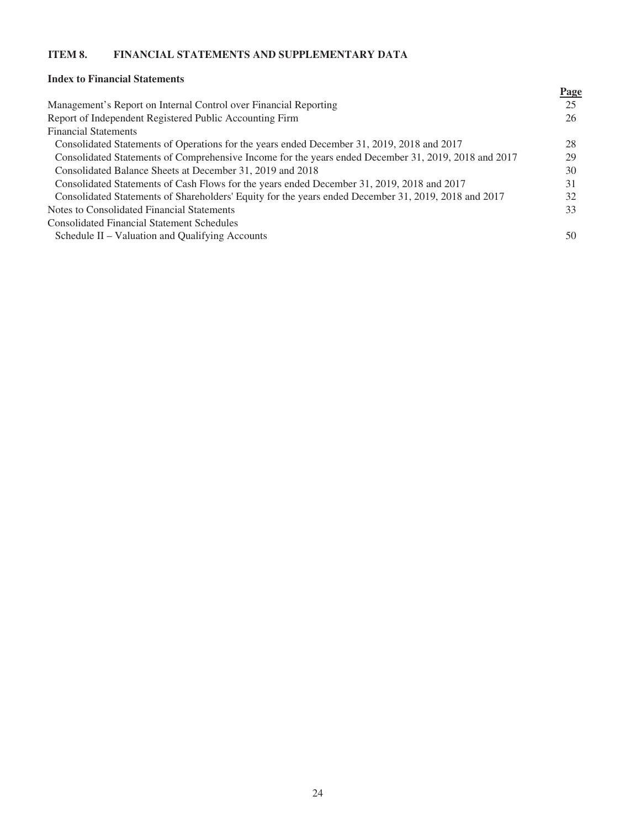# **ITEM 8. FINANCIAL STATEMENTS AND SUPPLEMENTARY DATA**

# **Index to Financial Statements**

|                                                                                                      | <b>Page</b> |
|------------------------------------------------------------------------------------------------------|-------------|
| Management's Report on Internal Control over Financial Reporting                                     | 25          |
| Report of Independent Registered Public Accounting Firm                                              | 26          |
| <b>Financial Statements</b>                                                                          |             |
| Consolidated Statements of Operations for the years ended December 31, 2019, 2018 and 2017           | 28          |
| Consolidated Statements of Comprehensive Income for the years ended December 31, 2019, 2018 and 2017 | 29          |
| Consolidated Balance Sheets at December 31, 2019 and 2018                                            | 30          |
| Consolidated Statements of Cash Flows for the years ended December 31, 2019, 2018 and 2017           | 31          |
| Consolidated Statements of Shareholders' Equity for the years ended December 31, 2019, 2018 and 2017 | 32          |
| Notes to Consolidated Financial Statements                                                           | 33          |
| <b>Consolidated Financial Statement Schedules</b>                                                    |             |
| Schedule II – Valuation and Qualifying Accounts                                                      | 50          |
|                                                                                                      |             |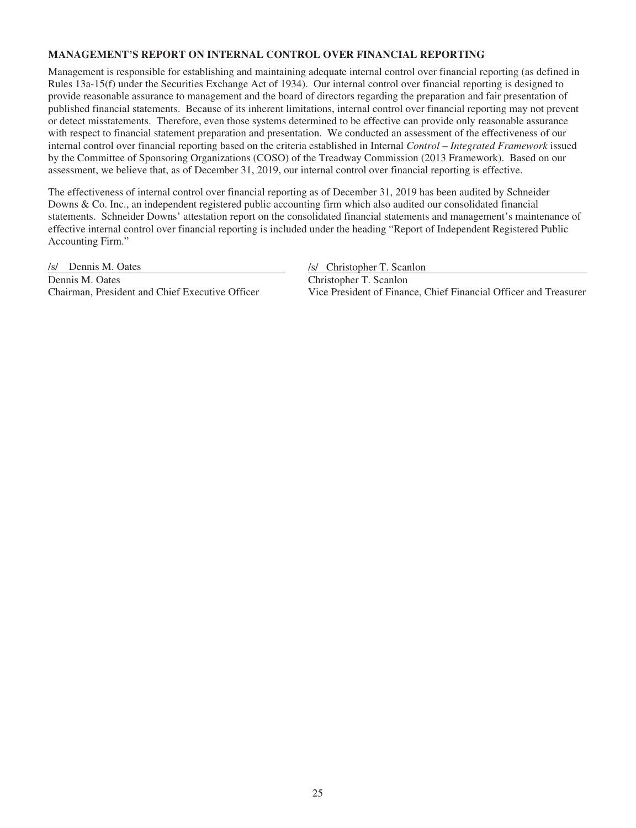# **MANAGEMENT'S REPORT ON INTERNAL CONTROL OVER FINANCIAL REPORTING**

Management is responsible for establishing and maintaining adequate internal control over financial reporting (as defined in Rules 13a-15(f) under the Securities Exchange Act of 1934). Our internal control over financial reporting is designed to provide reasonable assurance to management and the board of directors regarding the preparation and fair presentation of published financial statements. Because of its inherent limitations, internal control over financial reporting may not prevent or detect misstatements. Therefore, even those systems determined to be effective can provide only reasonable assurance with respect to financial statement preparation and presentation. We conducted an assessment of the effectiveness of our internal control over financial reporting based on the criteria established in Internal *Control – Integrated Framework* issued by the Committee of Sponsoring Organizations (COSO) of the Treadway Commission (2013 Framework). Based on our assessment, we believe that, as of December 31, 2019, our internal control over financial reporting is effective.

The effectiveness of internal control over financial reporting as of December 31, 2019 has been audited by Schneider Downs & Co. Inc., an independent registered public accounting firm which also audited our consolidated financial statements. Schneider Downs' attestation report on the consolidated financial statements and management's maintenance of effective internal control over financial reporting is included under the heading "Report of Independent Registered Public Accounting Firm."

Dennis M. Oates Christopher T. Scanlon

/s/ Dennis M. Oates /s/ Christopher T. Scanlon

Chairman, President and Chief Executive Officer Vice President of Finance, Chief Financial Officer and Treasurer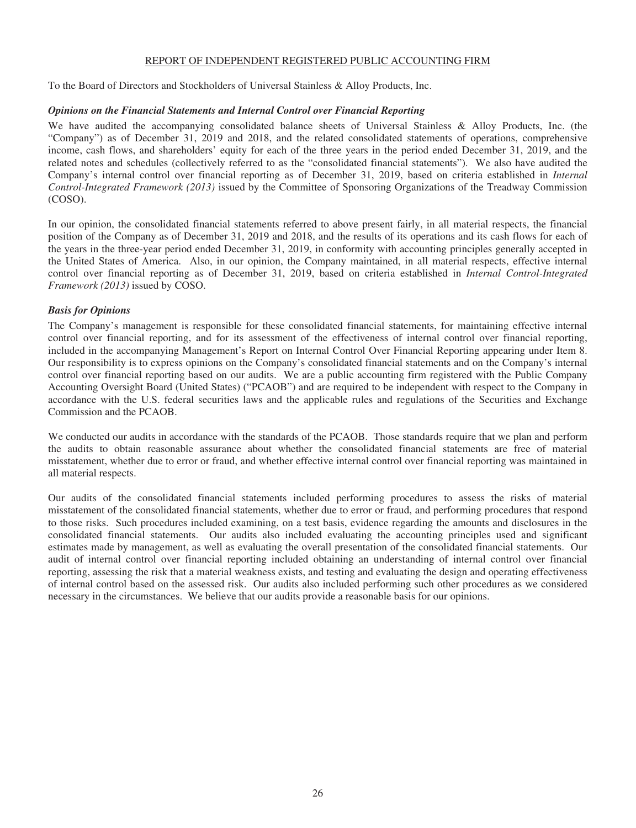## REPORT OF INDEPENDENT REGISTERED PUBLIC ACCOUNTING FIRM

To the Board of Directors and Stockholders of Universal Stainless & Alloy Products, Inc.

#### *Opinions on the Financial Statements and Internal Control over Financial Reporting*

We have audited the accompanying consolidated balance sheets of Universal Stainless & Alloy Products, Inc. (the "Company") as of December 31, 2019 and 2018, and the related consolidated statements of operations, comprehensive income, cash flows, and shareholders' equity for each of the three years in the period ended December 31, 2019, and the related notes and schedules (collectively referred to as the "consolidated financial statements"). We also have audited the Company's internal control over financial reporting as of December 31, 2019, based on criteria established in *Internal Control-Integrated Framework (2013)* issued by the Committee of Sponsoring Organizations of the Treadway Commission (COSO).

In our opinion, the consolidated financial statements referred to above present fairly, in all material respects, the financial position of the Company as of December 31, 2019 and 2018, and the results of its operations and its cash flows for each of the years in the three-year period ended December 31, 2019, in conformity with accounting principles generally accepted in the United States of America. Also, in our opinion, the Company maintained, in all material respects, effective internal control over financial reporting as of December 31, 2019, based on criteria established in *Internal Control-Integrated Framework (2013)* issued by COSO.

## *Basis for Opinions*

The Company's management is responsible for these consolidated financial statements, for maintaining effective internal control over financial reporting, and for its assessment of the effectiveness of internal control over financial reporting, included in the accompanying Management's Report on Internal Control Over Financial Reporting appearing under Item 8. Our responsibility is to express opinions on the Company's consolidated financial statements and on the Company's internal control over financial reporting based on our audits. We are a public accounting firm registered with the Public Company Accounting Oversight Board (United States) ("PCAOB") and are required to be independent with respect to the Company in accordance with the U.S. federal securities laws and the applicable rules and regulations of the Securities and Exchange Commission and the PCAOB.

We conducted our audits in accordance with the standards of the PCAOB. Those standards require that we plan and perform the audits to obtain reasonable assurance about whether the consolidated financial statements are free of material misstatement, whether due to error or fraud, and whether effective internal control over financial reporting was maintained in all material respects.

Our audits of the consolidated financial statements included performing procedures to assess the risks of material misstatement of the consolidated financial statements, whether due to error or fraud, and performing procedures that respond to those risks. Such procedures included examining, on a test basis, evidence regarding the amounts and disclosures in the consolidated financial statements. Our audits also included evaluating the accounting principles used and significant estimates made by management, as well as evaluating the overall presentation of the consolidated financial statements. Our audit of internal control over financial reporting included obtaining an understanding of internal control over financial reporting, assessing the risk that a material weakness exists, and testing and evaluating the design and operating effectiveness of internal control based on the assessed risk. Our audits also included performing such other procedures as we considered necessary in the circumstances. We believe that our audits provide a reasonable basis for our opinions.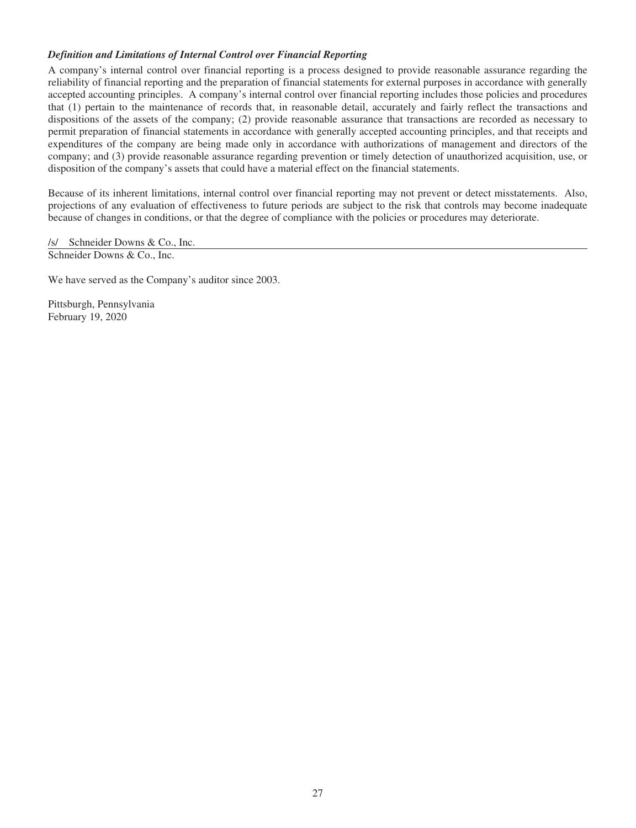# *Definition and Limitations of Internal Control over Financial Reporting*

A company's internal control over financial reporting is a process designed to provide reasonable assurance regarding the reliability of financial reporting and the preparation of financial statements for external purposes in accordance with generally accepted accounting principles. A company's internal control over financial reporting includes those policies and procedures that (1) pertain to the maintenance of records that, in reasonable detail, accurately and fairly reflect the transactions and dispositions of the assets of the company; (2) provide reasonable assurance that transactions are recorded as necessary to permit preparation of financial statements in accordance with generally accepted accounting principles, and that receipts and expenditures of the company are being made only in accordance with authorizations of management and directors of the company; and (3) provide reasonable assurance regarding prevention or timely detection of unauthorized acquisition, use, or disposition of the company's assets that could have a material effect on the financial statements.

Because of its inherent limitations, internal control over financial reporting may not prevent or detect misstatements. Also, projections of any evaluation of effectiveness to future periods are subject to the risk that controls may become inadequate because of changes in conditions, or that the degree of compliance with the policies or procedures may deteriorate.

/s/ Schneider Downs & Co., Inc. Schneider Downs & Co., Inc.

We have served as the Company's auditor since 2003.

Pittsburgh, Pennsylvania February 19, 2020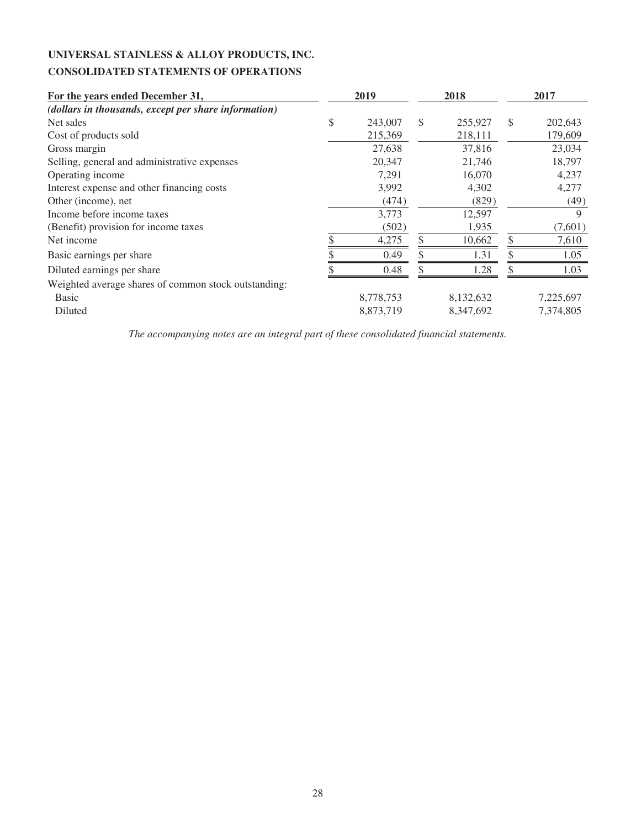# **UNIVERSAL STAINLESS & ALLOY PRODUCTS, INC. CONSOLIDATED STATEMENTS OF OPERATIONS**

| For the years ended December 31,                     |    | 2019      |   | 2018      | 2017 |           |
|------------------------------------------------------|----|-----------|---|-----------|------|-----------|
| (dollars in thousands, except per share information) |    |           |   |           |      |           |
| Net sales                                            | \$ | 243,007   | S | 255,927   | \$   | 202,643   |
| Cost of products sold                                |    | 215,369   |   | 218,111   |      | 179,609   |
| Gross margin                                         |    | 27,638    |   | 37,816    |      | 23,034    |
| Selling, general and administrative expenses         |    | 20,347    |   | 21,746    |      | 18,797    |
| Operating income                                     |    | 7,291     |   | 16,070    |      | 4,237     |
| Interest expense and other financing costs           |    | 3,992     |   | 4,302     |      | 4,277     |
| Other (income), net                                  |    | (474)     |   | (829)     |      | (49)      |
| Income before income taxes                           |    | 3,773     |   | 12,597    |      | 9         |
| (Benefit) provision for income taxes                 |    | (502)     |   | 1,935     |      | (7,601)   |
| Net income                                           |    | 4,275     |   | 10,662    | \$   | 7,610     |
| Basic earnings per share                             |    | 0.49      |   | 1.31      |      | 1.05      |
| Diluted earnings per share                           |    | 0.48      |   | 1.28      |      | 1.03      |
| Weighted average shares of common stock outstanding: |    |           |   |           |      |           |
| <b>Basic</b>                                         |    | 8,778,753 |   | 8,132,632 |      | 7,225,697 |
| Diluted                                              |    | 8,873,719 |   | 8,347,692 |      | 7,374,805 |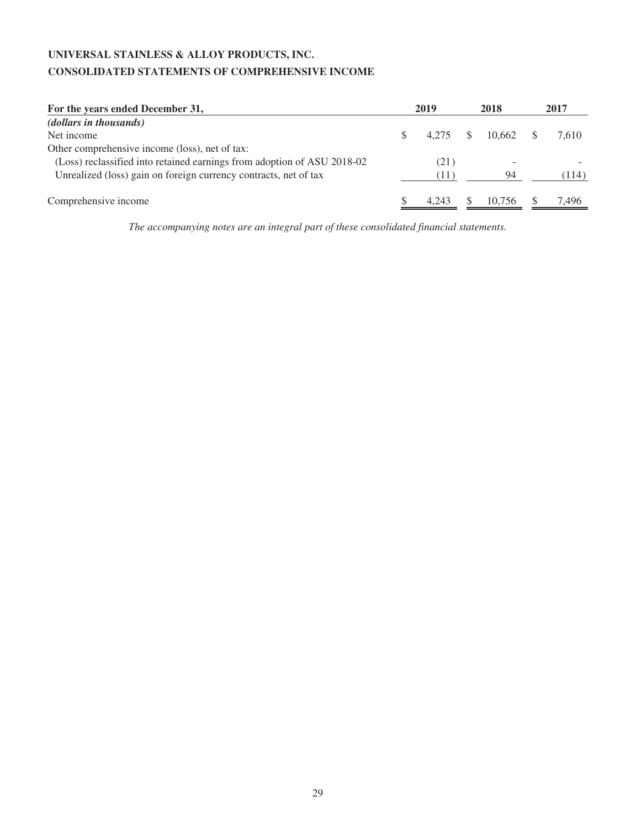# **UNIVERSAL STAINLESS & ALLOY PRODUCTS, INC. CONSOLIDATED STATEMENTS OF COMPREHENSIVE INCOME**

| For the years ended December 31,                                        | 2019 |       | 2018     |  | 2017  |  |
|-------------------------------------------------------------------------|------|-------|----------|--|-------|--|
| ( <i>dollars in thousands</i> )                                         |      |       |          |  |       |  |
| Net income                                                              | S.   | 4.275 | - 10.662 |  | 7,610 |  |
| Other comprehensive income (loss), net of tax:                          |      |       |          |  |       |  |
| (Loss) reclassified into retained earnings from adoption of ASU 2018-02 |      | (21)  | -        |  |       |  |
| Unrealized (loss) gain on foreign currency contracts, net of tax        |      | (11)  | 94       |  | (114) |  |
| Comprehensive income                                                    |      | 4.243 | 10.756   |  | 7.496 |  |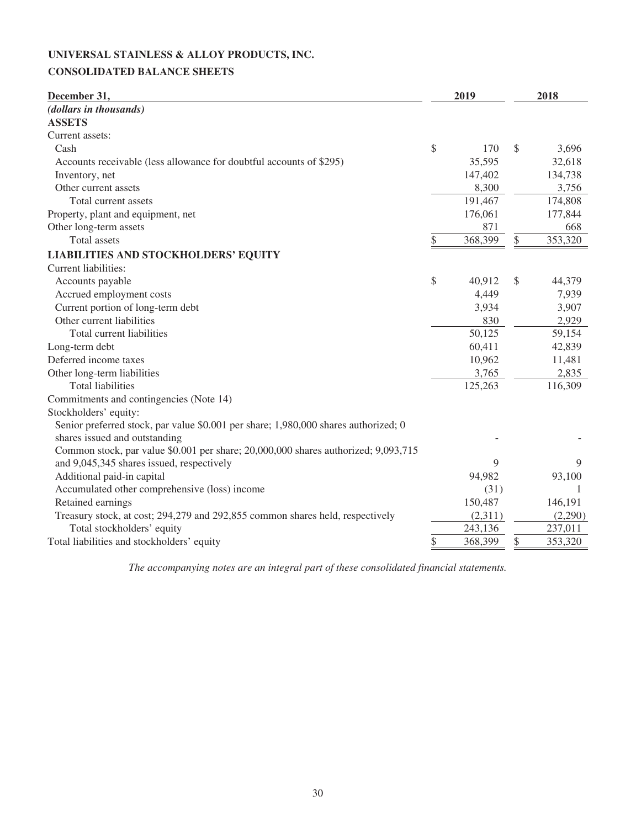# **UNIVERSAL STAINLESS & ALLOY PRODUCTS, INC.**

# **CONSOLIDATED BALANCE SHEETS**

| December 31,                                                                        | 2019 |         | 2018 |         |
|-------------------------------------------------------------------------------------|------|---------|------|---------|
| (dollars in thousands)                                                              |      |         |      |         |
| <b>ASSETS</b>                                                                       |      |         |      |         |
| Current assets:                                                                     |      |         |      |         |
| Cash                                                                                | \$   | 170     | \$   | 3,696   |
| Accounts receivable (less allowance for doubtful accounts of \$295)                 |      | 35,595  |      | 32,618  |
| Inventory, net                                                                      |      | 147,402 |      | 134,738 |
| Other current assets                                                                |      | 8,300   |      | 3,756   |
| Total current assets                                                                |      | 191,467 |      | 174,808 |
| Property, plant and equipment, net                                                  |      | 176,061 |      | 177,844 |
| Other long-term assets                                                              |      | 871     |      | 668     |
| Total assets                                                                        | \$   | 368,399 | \$   | 353,320 |
| LIABILITIES AND STOCKHOLDERS' EQUITY                                                |      |         |      |         |
| Current liabilities:                                                                |      |         |      |         |
| Accounts payable                                                                    | \$   | 40,912  | \$   | 44,379  |
| Accrued employment costs                                                            |      | 4,449   |      | 7,939   |
| Current portion of long-term debt                                                   |      | 3,934   |      | 3,907   |
| Other current liabilities                                                           |      | 830     |      | 2,929   |
| Total current liabilities                                                           |      | 50,125  |      | 59,154  |
| Long-term debt                                                                      |      | 60,411  |      | 42,839  |
| Deferred income taxes                                                               |      | 10,962  |      | 11,481  |
| Other long-term liabilities                                                         |      | 3,765   |      | 2,835   |
| <b>Total liabilities</b>                                                            |      | 125,263 |      | 116,309 |
| Commitments and contingencies (Note 14)                                             |      |         |      |         |
| Stockholders' equity:                                                               |      |         |      |         |
| Senior preferred stock, par value \$0.001 per share; 1,980,000 shares authorized; 0 |      |         |      |         |
| shares issued and outstanding                                                       |      |         |      |         |
| Common stock, par value \$0.001 per share; 20,000,000 shares authorized; 9,093,715  |      |         |      |         |
| and 9,045,345 shares issued, respectively                                           |      | 9       |      | 9       |
| Additional paid-in capital                                                          |      | 94,982  |      | 93,100  |
| Accumulated other comprehensive (loss) income                                       |      | (31)    |      | 1       |
| Retained earnings                                                                   |      | 150,487 |      | 146,191 |
| Treasury stock, at cost; 294,279 and 292,855 common shares held, respectively       |      | (2,311) |      | (2,290) |
| Total stockholders' equity                                                          |      | 243,136 |      | 237,011 |
| Total liabilities and stockholders' equity                                          | \$   | 368,399 | \$   | 353,320 |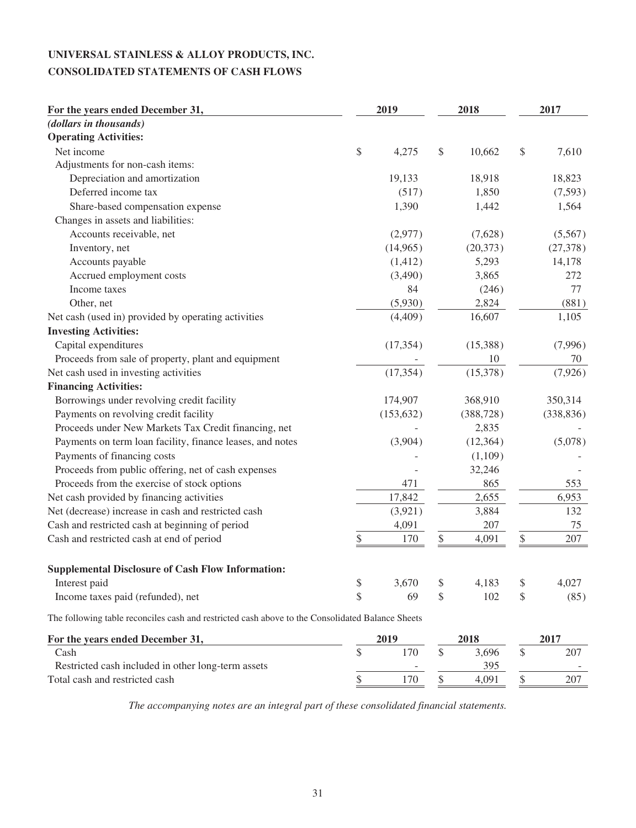# **UNIVERSAL STAINLESS & ALLOY PRODUCTS, INC. CONSOLIDATED STATEMENTS OF CASH FLOWS**

| For the years ended December 31,                                                                 | 2019<br>2018 |    | 2017       |    |            |
|--------------------------------------------------------------------------------------------------|--------------|----|------------|----|------------|
| (dollars in thousands)                                                                           |              |    |            |    |            |
| <b>Operating Activities:</b>                                                                     |              |    |            |    |            |
| Net income                                                                                       | \$<br>4,275  | \$ | 10,662     | \$ | 7,610      |
| Adjustments for non-cash items:                                                                  |              |    |            |    |            |
| Depreciation and amortization                                                                    | 19,133       |    | 18,918     |    | 18,823     |
| Deferred income tax                                                                              | (517)        |    | 1,850      |    | (7,593)    |
| Share-based compensation expense                                                                 | 1,390        |    | 1,442      |    | 1,564      |
| Changes in assets and liabilities:                                                               |              |    |            |    |            |
| Accounts receivable, net                                                                         | (2,977)      |    | (7,628)    |    | (5,567)    |
| Inventory, net                                                                                   | (14, 965)    |    | (20, 373)  |    | (27, 378)  |
| Accounts payable                                                                                 | (1, 412)     |    | 5,293      |    | 14,178     |
| Accrued employment costs                                                                         | (3,490)      |    | 3,865      |    | 272        |
| Income taxes                                                                                     | 84           |    | (246)      |    | 77         |
| Other, net                                                                                       | (5,930)      |    | 2,824      |    | (881)      |
| Net cash (used in) provided by operating activities                                              | (4,409)      |    | 16,607     |    | 1,105      |
| <b>Investing Activities:</b>                                                                     |              |    |            |    |            |
| Capital expenditures                                                                             | (17, 354)    |    | (15,388)   |    | (7,996)    |
| Proceeds from sale of property, plant and equipment                                              |              |    | 10         |    | 70         |
| Net cash used in investing activities                                                            | (17, 354)    |    | (15,378)   |    | (7,926)    |
| <b>Financing Activities:</b>                                                                     |              |    |            |    |            |
| Borrowings under revolving credit facility                                                       | 174,907      |    | 368,910    |    | 350,314    |
| Payments on revolving credit facility                                                            | (153, 632)   |    | (388, 728) |    | (338, 836) |
| Proceeds under New Markets Tax Credit financing, net                                             |              |    | 2,835      |    |            |
| Payments on term loan facility, finance leases, and notes                                        | (3,904)      |    | (12, 364)  |    | (5,078)    |
| Payments of financing costs                                                                      |              |    | (1,109)    |    |            |
| Proceeds from public offering, net of cash expenses                                              |              |    | 32,246     |    |            |
| Proceeds from the exercise of stock options                                                      | 471          |    | 865        |    | 553        |
| Net cash provided by financing activities                                                        | 17,842       |    | 2,655      |    | 6,953      |
| Net (decrease) increase in cash and restricted cash                                              | (3,921)      |    | 3,884      |    | 132        |
| Cash and restricted cash at beginning of period                                                  | 4,091        |    | 207        |    | 75         |
| Cash and restricted cash at end of period                                                        | \$<br>170    | \$ | 4,091      | \$ | 207        |
| <b>Supplemental Disclosure of Cash Flow Information:</b>                                         |              |    |            |    |            |
| Interest paid                                                                                    | \$<br>3,670  | \$ | 4,183      | \$ | 4,027      |
| Income taxes paid (refunded), net                                                                | \$<br>69     | \$ | 102        | \$ | (85)       |
| The following table reconciles cash and restricted cash above to the Consolidated Balance Sheets |              |    |            |    |            |
| For the years ended December 31,                                                                 | 2019         |    | 2018       |    | 2017       |
| Cash                                                                                             | \$<br>170    | \$ | 3,696      | \$ | 207        |
| Restricted cash included in other long-term assets                                               |              |    | 395        |    |            |
| Total cash and restricted cash                                                                   | \$<br>170    | \$ | 4,091      | \$ | 207        |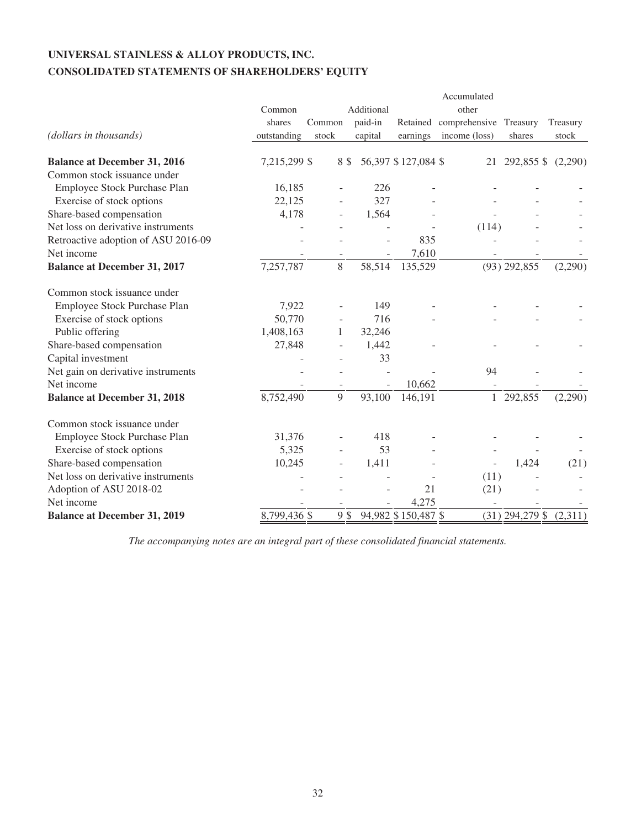# **UNIVERSAL STAINLESS & ALLOY PRODUCTS, INC. CONSOLIDATED STATEMENTS OF SHAREHOLDERS' EQUITY**

|                                     |              |                          |                          |                     | Accumulated            |                   |          |
|-------------------------------------|--------------|--------------------------|--------------------------|---------------------|------------------------|-------------------|----------|
|                                     | Common       |                          | Additional               |                     | other                  |                   |          |
|                                     | shares       | Common                   | paid-in                  | Retained            | comprehensive Treasury |                   | Treasury |
| (dollars in thousands)              | outstanding  | stock                    | capital                  | earnings            | income (loss)          | shares            | stock    |
| <b>Balance at December 31, 2016</b> | 7,215,299 \$ | 8\$                      |                          | 56,397 \$127,084 \$ |                        | 21 292,855 \$     | (2,290)  |
| Common stock issuance under         |              |                          |                          |                     |                        |                   |          |
| Employee Stock Purchase Plan        | 16,185       |                          | 226                      |                     |                        |                   |          |
| Exercise of stock options           | 22,125       |                          | 327                      |                     |                        |                   |          |
| Share-based compensation            | 4,178        |                          | 1,564                    |                     |                        |                   |          |
| Net loss on derivative instruments  |              |                          |                          |                     | (114)                  |                   |          |
| Retroactive adoption of ASU 2016-09 |              |                          |                          | 835                 |                        |                   |          |
| Net income                          |              | $\overline{\phantom{a}}$ |                          | 7,610               |                        |                   |          |
| <b>Balance at December 31, 2017</b> | 7,257,787    | $8\,$                    | 58,514                   | 135,529             |                        | $(93)$ 292,855    | (2,290)  |
| Common stock issuance under         |              |                          |                          |                     |                        |                   |          |
| Employee Stock Purchase Plan        | 7,922        |                          | 149                      |                     |                        |                   |          |
| Exercise of stock options           | 50,770       |                          | 716                      |                     |                        |                   |          |
| Public offering                     | 1,408,163    | 1                        | 32,246                   |                     |                        |                   |          |
| Share-based compensation            | 27,848       |                          | 1,442                    |                     |                        |                   |          |
| Capital investment                  |              |                          | 33                       |                     |                        |                   |          |
| Net gain on derivative instruments  |              |                          |                          |                     | 94                     |                   |          |
| Net income                          |              |                          |                          | 10,662              |                        |                   |          |
| <b>Balance at December 31, 2018</b> | 8,752,490    | 9                        | 93,100                   | 146,191             |                        | 1 292,855         | (2,290)  |
| Common stock issuance under         |              |                          |                          |                     |                        |                   |          |
| Employee Stock Purchase Plan        | 31,376       |                          | 418                      |                     |                        |                   |          |
| Exercise of stock options           | 5,325        |                          | 53                       |                     |                        |                   |          |
| Share-based compensation            | 10,245       | $\overline{\phantom{a}}$ | 1,411                    |                     | ÷.                     | 1,424             | (21)     |
| Net loss on derivative instruments  |              |                          | $\overline{\phantom{a}}$ |                     | (11)                   |                   |          |
| Adoption of ASU 2018-02             |              |                          |                          | 21                  | (21)                   |                   |          |
| Net income                          |              |                          |                          | 4,275               |                        |                   |          |
| <b>Balance at December 31, 2019</b> | 8,799,436 \$ | 9\$                      |                          | 94,982 \$150,487 \$ |                        | $(31)$ 294,279 \$ | (2,311)  |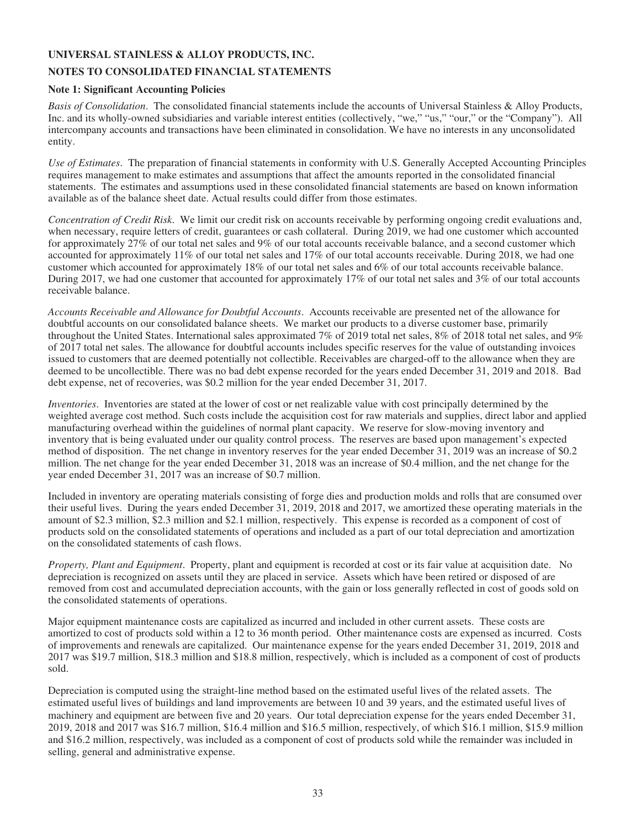# **UNIVERSAL STAINLESS & ALLOY PRODUCTS, INC.**

# **NOTES TO CONSOLIDATED FINANCIAL STATEMENTS**

#### **Note 1: Significant Accounting Policies**

*Basis of Consolidation*. The consolidated financial statements include the accounts of Universal Stainless & Alloy Products, Inc. and its wholly-owned subsidiaries and variable interest entities (collectively, "we," "us," "our," or the "Company"). All intercompany accounts and transactions have been eliminated in consolidation. We have no interests in any unconsolidated entity.

*Use of Estimates*. The preparation of financial statements in conformity with U.S. Generally Accepted Accounting Principles requires management to make estimates and assumptions that affect the amounts reported in the consolidated financial statements. The estimates and assumptions used in these consolidated financial statements are based on known information available as of the balance sheet date. Actual results could differ from those estimates.

*Concentration of Credit Risk*. We limit our credit risk on accounts receivable by performing ongoing credit evaluations and, when necessary, require letters of credit, guarantees or cash collateral. During 2019, we had one customer which accounted for approximately 27% of our total net sales and 9% of our total accounts receivable balance, and a second customer which accounted for approximately 11% of our total net sales and 17% of our total accounts receivable. During 2018, we had one customer which accounted for approximately 18% of our total net sales and 6% of our total accounts receivable balance. During 2017, we had one customer that accounted for approximately 17% of our total net sales and 3% of our total accounts receivable balance.

*Accounts Receivable and Allowance for Doubtful Accounts*. Accounts receivable are presented net of the allowance for doubtful accounts on our consolidated balance sheets. We market our products to a diverse customer base, primarily throughout the United States. International sales approximated 7% of 2019 total net sales, 8% of 2018 total net sales, and 9% of 2017 total net sales. The allowance for doubtful accounts includes specific reserves for the value of outstanding invoices issued to customers that are deemed potentially not collectible. Receivables are charged-off to the allowance when they are deemed to be uncollectible. There was no bad debt expense recorded for the years ended December 31, 2019 and 2018. Bad debt expense, net of recoveries, was \$0.2 million for the year ended December 31, 2017.

*Inventories*. Inventories are stated at the lower of cost or net realizable value with cost principally determined by the weighted average cost method. Such costs include the acquisition cost for raw materials and supplies, direct labor and applied manufacturing overhead within the guidelines of normal plant capacity. We reserve for slow-moving inventory and inventory that is being evaluated under our quality control process. The reserves are based upon management's expected method of disposition. The net change in inventory reserves for the year ended December 31, 2019 was an increase of \$0.2 million. The net change for the year ended December 31, 2018 was an increase of \$0.4 million, and the net change for the year ended December 31, 2017 was an increase of \$0.7 million.

Included in inventory are operating materials consisting of forge dies and production molds and rolls that are consumed over their useful lives. During the years ended December 31, 2019, 2018 and 2017, we amortized these operating materials in the amount of \$2.3 million, \$2.3 million and \$2.1 million, respectively. This expense is recorded as a component of cost of products sold on the consolidated statements of operations and included as a part of our total depreciation and amortization on the consolidated statements of cash flows.

*Property, Plant and Equipment*. Property, plant and equipment is recorded at cost or its fair value at acquisition date. No depreciation is recognized on assets until they are placed in service. Assets which have been retired or disposed of are removed from cost and accumulated depreciation accounts, with the gain or loss generally reflected in cost of goods sold on the consolidated statements of operations.

Major equipment maintenance costs are capitalized as incurred and included in other current assets. These costs are amortized to cost of products sold within a 12 to 36 month period. Other maintenance costs are expensed as incurred. Costs of improvements and renewals are capitalized. Our maintenance expense for the years ended December 31, 2019, 2018 and 2017 was \$19.7 million, \$18.3 million and \$18.8 million, respectively, which is included as a component of cost of products sold.

Depreciation is computed using the straight-line method based on the estimated useful lives of the related assets. The estimated useful lives of buildings and land improvements are between 10 and 39 years, and the estimated useful lives of machinery and equipment are between five and 20 years. Our total depreciation expense for the years ended December 31, 2019, 2018 and 2017 was \$16.7 million, \$16.4 million and \$16.5 million, respectively, of which \$16.1 million, \$15.9 million and \$16.2 million, respectively, was included as a component of cost of products sold while the remainder was included in selling, general and administrative expense.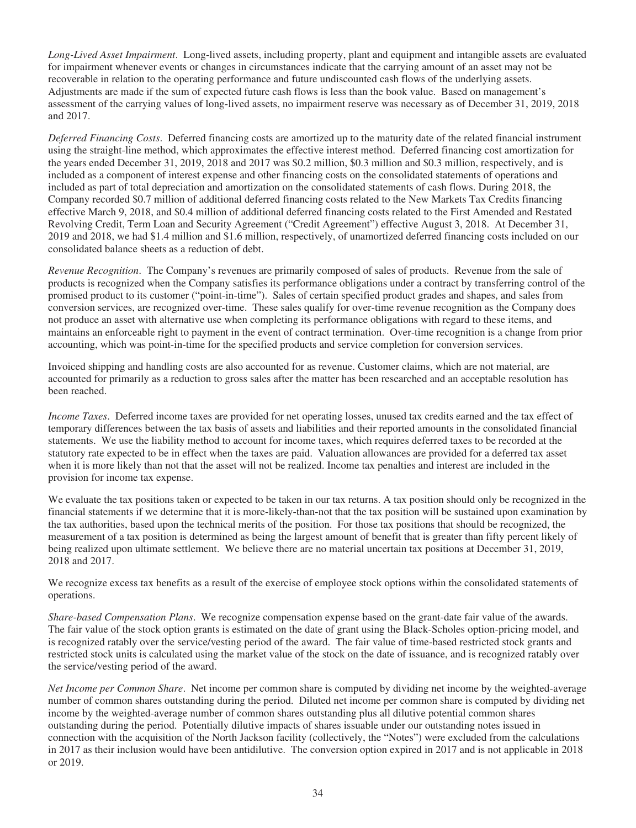*Long-Lived Asset Impairment*. Long-lived assets, including property, plant and equipment and intangible assets are evaluated for impairment whenever events or changes in circumstances indicate that the carrying amount of an asset may not be recoverable in relation to the operating performance and future undiscounted cash flows of the underlying assets. Adjustments are made if the sum of expected future cash flows is less than the book value. Based on management's assessment of the carrying values of long-lived assets, no impairment reserve was necessary as of December 31, 2019, 2018 and 2017.

*Deferred Financing Costs*. Deferred financing costs are amortized up to the maturity date of the related financial instrument using the straight-line method, which approximates the effective interest method. Deferred financing cost amortization for the years ended December 31, 2019, 2018 and 2017 was \$0.2 million, \$0.3 million and \$0.3 million, respectively, and is included as a component of interest expense and other financing costs on the consolidated statements of operations and included as part of total depreciation and amortization on the consolidated statements of cash flows. During 2018, the Company recorded \$0.7 million of additional deferred financing costs related to the New Markets Tax Credits financing effective March 9, 2018, and \$0.4 million of additional deferred financing costs related to the First Amended and Restated Revolving Credit, Term Loan and Security Agreement ("Credit Agreement") effective August 3, 2018. At December 31, 2019 and 2018, we had \$1.4 million and \$1.6 million, respectively, of unamortized deferred financing costs included on our consolidated balance sheets as a reduction of debt.

*Revenue Recognition*. The Company's revenues are primarily composed of sales of products. Revenue from the sale of products is recognized when the Company satisfies its performance obligations under a contract by transferring control of the promised product to its customer ("point-in-time"). Sales of certain specified product grades and shapes, and sales from conversion services, are recognized over-time. These sales qualify for over-time revenue recognition as the Company does not produce an asset with alternative use when completing its performance obligations with regard to these items, and maintains an enforceable right to payment in the event of contract termination. Over-time recognition is a change from prior accounting, which was point-in-time for the specified products and service completion for conversion services.

Invoiced shipping and handling costs are also accounted for as revenue. Customer claims, which are not material, are accounted for primarily as a reduction to gross sales after the matter has been researched and an acceptable resolution has been reached.

*Income Taxes*. Deferred income taxes are provided for net operating losses, unused tax credits earned and the tax effect of temporary differences between the tax basis of assets and liabilities and their reported amounts in the consolidated financial statements. We use the liability method to account for income taxes, which requires deferred taxes to be recorded at the statutory rate expected to be in effect when the taxes are paid. Valuation allowances are provided for a deferred tax asset when it is more likely than not that the asset will not be realized. Income tax penalties and interest are included in the provision for income tax expense.

We evaluate the tax positions taken or expected to be taken in our tax returns. A tax position should only be recognized in the financial statements if we determine that it is more-likely-than-not that the tax position will be sustained upon examination by the tax authorities, based upon the technical merits of the position. For those tax positions that should be recognized, the measurement of a tax position is determined as being the largest amount of benefit that is greater than fifty percent likely of being realized upon ultimate settlement. We believe there are no material uncertain tax positions at December 31, 2019, 2018 and 2017.

We recognize excess tax benefits as a result of the exercise of employee stock options within the consolidated statements of operations.

*Share-based Compensation Plans*. We recognize compensation expense based on the grant-date fair value of the awards. The fair value of the stock option grants is estimated on the date of grant using the Black-Scholes option-pricing model, and is recognized ratably over the service/vesting period of the award. The fair value of time-based restricted stock grants and restricted stock units is calculated using the market value of the stock on the date of issuance, and is recognized ratably over the service/vesting period of the award.

*Net Income per Common Share*. Net income per common share is computed by dividing net income by the weighted-average number of common shares outstanding during the period. Diluted net income per common share is computed by dividing net income by the weighted-average number of common shares outstanding plus all dilutive potential common shares outstanding during the period. Potentially dilutive impacts of shares issuable under our outstanding notes issued in connection with the acquisition of the North Jackson facility (collectively, the "Notes") were excluded from the calculations in 2017 as their inclusion would have been antidilutive. The conversion option expired in 2017 and is not applicable in 2018 or 2019.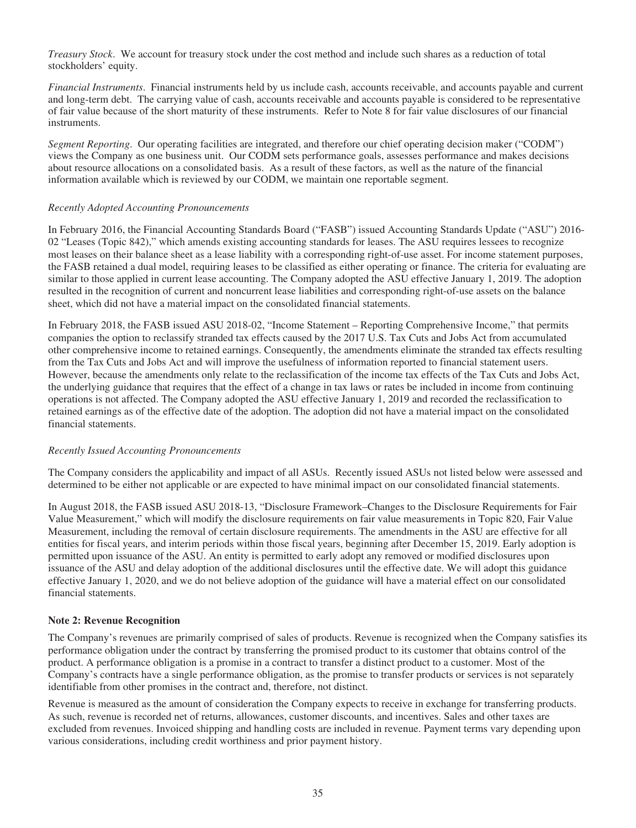*Treasury Stock*. We account for treasury stock under the cost method and include such shares as a reduction of total stockholders' equity.

*Financial Instruments*. Financial instruments held by us include cash, accounts receivable, and accounts payable and current and long-term debt. The carrying value of cash, accounts receivable and accounts payable is considered to be representative of fair value because of the short maturity of these instruments. Refer to Note 8 for fair value disclosures of our financial instruments.

*Segment Reporting*. Our operating facilities are integrated, and therefore our chief operating decision maker ("CODM") views the Company as one business unit. Our CODM sets performance goals, assesses performance and makes decisions about resource allocations on a consolidated basis. As a result of these factors, as well as the nature of the financial information available which is reviewed by our CODM, we maintain one reportable segment.

### *Recently Adopted Accounting Pronouncements*

In February 2016, the Financial Accounting Standards Board ("FASB") issued Accounting Standards Update ("ASU") 2016- 02 "Leases (Topic 842)," which amends existing accounting standards for leases. The ASU requires lessees to recognize most leases on their balance sheet as a lease liability with a corresponding right-of-use asset. For income statement purposes, the FASB retained a dual model, requiring leases to be classified as either operating or finance. The criteria for evaluating are similar to those applied in current lease accounting. The Company adopted the ASU effective January 1, 2019. The adoption resulted in the recognition of current and noncurrent lease liabilities and corresponding right-of-use assets on the balance sheet, which did not have a material impact on the consolidated financial statements.

In February 2018, the FASB issued ASU 2018-02, "Income Statement – Reporting Comprehensive Income," that permits companies the option to reclassify stranded tax effects caused by the 2017 U.S. Tax Cuts and Jobs Act from accumulated other comprehensive income to retained earnings. Consequently, the amendments eliminate the stranded tax effects resulting from the Tax Cuts and Jobs Act and will improve the usefulness of information reported to financial statement users. However, because the amendments only relate to the reclassification of the income tax effects of the Tax Cuts and Jobs Act, the underlying guidance that requires that the effect of a change in tax laws or rates be included in income from continuing operations is not affected. The Company adopted the ASU effective January 1, 2019 and recorded the reclassification to retained earnings as of the effective date of the adoption. The adoption did not have a material impact on the consolidated financial statements.

## *Recently Issued Accounting Pronouncements*

The Company considers the applicability and impact of all ASUs. Recently issued ASUs not listed below were assessed and determined to be either not applicable or are expected to have minimal impact on our consolidated financial statements.

In August 2018, the FASB issued ASU 2018-13, "Disclosure Framework–Changes to the Disclosure Requirements for Fair Value Measurement," which will modify the disclosure requirements on fair value measurements in Topic 820, Fair Value Measurement, including the removal of certain disclosure requirements. The amendments in the ASU are effective for all entities for fiscal years, and interim periods within those fiscal years, beginning after December 15, 2019. Early adoption is permitted upon issuance of the ASU. An entity is permitted to early adopt any removed or modified disclosures upon issuance of the ASU and delay adoption of the additional disclosures until the effective date. We will adopt this guidance effective January 1, 2020, and we do not believe adoption of the guidance will have a material effect on our consolidated financial statements.

#### **Note 2: Revenue Recognition**

The Company's revenues are primarily comprised of sales of products. Revenue is recognized when the Company satisfies its performance obligation under the contract by transferring the promised product to its customer that obtains control of the product. A performance obligation is a promise in a contract to transfer a distinct product to a customer. Most of the Company's contracts have a single performance obligation, as the promise to transfer products or services is not separately identifiable from other promises in the contract and, therefore, not distinct.

Revenue is measured as the amount of consideration the Company expects to receive in exchange for transferring products. As such, revenue is recorded net of returns, allowances, customer discounts, and incentives. Sales and other taxes are excluded from revenues. Invoiced shipping and handling costs are included in revenue. Payment terms vary depending upon various considerations, including credit worthiness and prior payment history.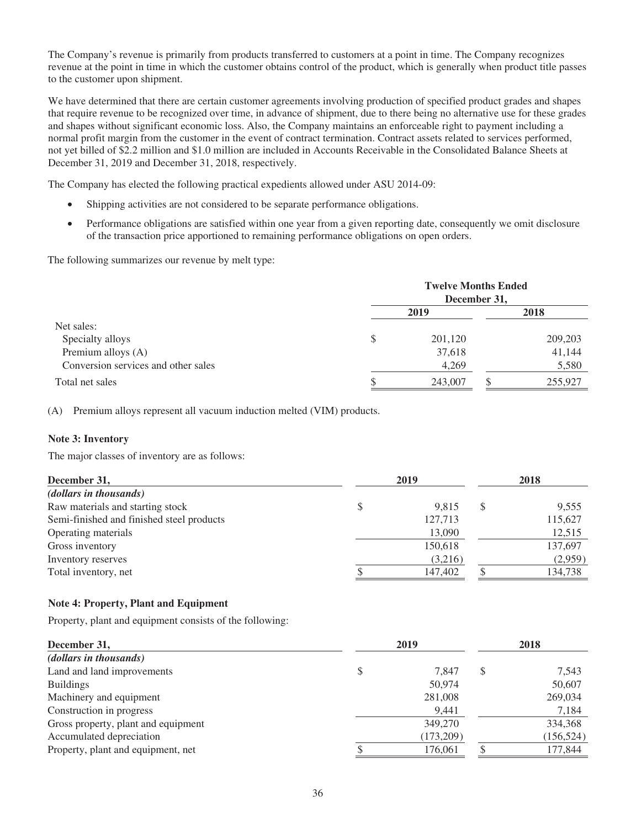The Company's revenue is primarily from products transferred to customers at a point in time. The Company recognizes revenue at the point in time in which the customer obtains control of the product, which is generally when product title passes to the customer upon shipment.

We have determined that there are certain customer agreements involving production of specified product grades and shapes that require revenue to be recognized over time, in advance of shipment, due to there being no alternative use for these grades and shapes without significant economic loss. Also, the Company maintains an enforceable right to payment including a normal profit margin from the customer in the event of contract termination. Contract assets related to services performed, not yet billed of \$2.2 million and \$1.0 million are included in Accounts Receivable in the Consolidated Balance Sheets at December 31, 2019 and December 31, 2018, respectively.

The Company has elected the following practical expedients allowed under ASU 2014-09:

- Shipping activities are not considered to be separate performance obligations.
- Performance obligations are satisfied within one year from a given reporting date, consequently we omit disclosure of the transaction price apportioned to remaining performance obligations on open orders.

The following summarizes our revenue by melt type:

|                                     |    | <b>Twelve Months Ended</b><br>December 31, |         |  |  |  |  |  |
|-------------------------------------|----|--------------------------------------------|---------|--|--|--|--|--|
|                                     |    | 2018                                       |         |  |  |  |  |  |
| Net sales:                          |    |                                            |         |  |  |  |  |  |
| Specialty alloys                    | \$ | 201,120                                    | 209,203 |  |  |  |  |  |
| Premium alloys (A)                  |    | 37,618                                     | 41,144  |  |  |  |  |  |
| Conversion services and other sales |    | 4,269                                      | 5,580   |  |  |  |  |  |
| Total net sales                     |    | 243,007                                    | 255,927 |  |  |  |  |  |

(A) Premium alloys represent all vacuum induction melted (VIM) products.

## **Note 3: Inventory**

The major classes of inventory are as follows:

| December 31,                              |  | 2018    |    |         |  |
|-------------------------------------------|--|---------|----|---------|--|
| (dollars in thousands)                    |  |         |    |         |  |
| Raw materials and starting stock          |  | 9,815   | \$ | 9,555   |  |
| Semi-finished and finished steel products |  | 127,713 |    | 115,627 |  |
| Operating materials                       |  | 13,090  |    | 12,515  |  |
| Gross inventory                           |  | 150,618 |    | 137,697 |  |
| Inventory reserves                        |  | (3,216) |    | (2,959) |  |
| Total inventory, net                      |  | 147,402 |    | 134,738 |  |

# **Note 4: Property, Plant and Equipment**

Property, plant and equipment consists of the following:

| December 31,                        | 2019 |           |    | 2018       |  |  |
|-------------------------------------|------|-----------|----|------------|--|--|
| (dollars in thousands)              |      |           |    |            |  |  |
| Land and land improvements          |      | 7.847     | \$ | 7,543      |  |  |
| <b>Buildings</b>                    |      | 50,974    |    | 50,607     |  |  |
| Machinery and equipment             |      | 281,008   |    | 269,034    |  |  |
| Construction in progress            |      | 9,441     |    | 7,184      |  |  |
| Gross property, plant and equipment |      | 349,270   |    | 334,368    |  |  |
| Accumulated depreciation            |      | (173,209) |    | (156, 524) |  |  |
| Property, plant and equipment, net  |      | 176,061   |    | 177,844    |  |  |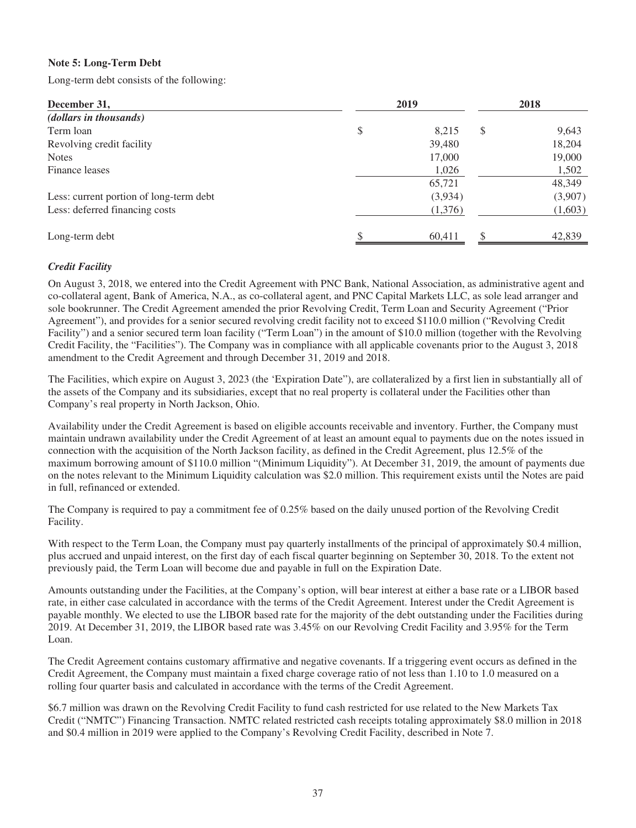# **Note 5: Long-Term Debt**

Long-term debt consists of the following:

| December 31,                            | 2019 | 2018    |               |         |
|-----------------------------------------|------|---------|---------------|---------|
| (dollars in thousands)                  |      |         |               |         |
| Term loan                               | \$   | 8,215   | <sup>\$</sup> | 9,643   |
| Revolving credit facility               |      | 39,480  |               | 18,204  |
| <b>Notes</b>                            |      | 17,000  |               | 19,000  |
| Finance leases                          |      | 1,026   |               | 1,502   |
|                                         |      | 65,721  |               | 48,349  |
| Less: current portion of long-term debt |      | (3,934) |               | (3,907) |
| Less: deferred financing costs          |      | (1,376) |               | (1,603) |
| Long-term debt                          |      | 60,411  | S             | 42,839  |

# *Credit Facility*

On August 3, 2018, we entered into the Credit Agreement with PNC Bank, National Association, as administrative agent and co-collateral agent, Bank of America, N.A., as co-collateral agent, and PNC Capital Markets LLC, as sole lead arranger and sole bookrunner. The Credit Agreement amended the prior Revolving Credit, Term Loan and Security Agreement ("Prior Agreement"), and provides for a senior secured revolving credit facility not to exceed \$110.0 million ("Revolving Credit Facility") and a senior secured term loan facility ("Term Loan") in the amount of \$10.0 million (together with the Revolving Credit Facility, the "Facilities"). The Company was in compliance with all applicable covenants prior to the August 3, 2018 amendment to the Credit Agreement and through December 31, 2019 and 2018.

The Facilities, which expire on August 3, 2023 (the 'Expiration Date"), are collateralized by a first lien in substantially all of the assets of the Company and its subsidiaries, except that no real property is collateral under the Facilities other than Company's real property in North Jackson, Ohio.

Availability under the Credit Agreement is based on eligible accounts receivable and inventory. Further, the Company must maintain undrawn availability under the Credit Agreement of at least an amount equal to payments due on the notes issued in connection with the acquisition of the North Jackson facility, as defined in the Credit Agreement, plus 12.5% of the maximum borrowing amount of \$110.0 million "(Minimum Liquidity"). At December 31, 2019, the amount of payments due on the notes relevant to the Minimum Liquidity calculation was \$2.0 million. This requirement exists until the Notes are paid in full, refinanced or extended.

The Company is required to pay a commitment fee of 0.25% based on the daily unused portion of the Revolving Credit Facility.

With respect to the Term Loan, the Company must pay quarterly installments of the principal of approximately \$0.4 million, plus accrued and unpaid interest, on the first day of each fiscal quarter beginning on September 30, 2018. To the extent not previously paid, the Term Loan will become due and payable in full on the Expiration Date.

Amounts outstanding under the Facilities, at the Company's option, will bear interest at either a base rate or a LIBOR based rate, in either case calculated in accordance with the terms of the Credit Agreement. Interest under the Credit Agreement is payable monthly. We elected to use the LIBOR based rate for the majority of the debt outstanding under the Facilities during 2019. At December 31, 2019, the LIBOR based rate was 3.45% on our Revolving Credit Facility and 3.95% for the Term Loan.

The Credit Agreement contains customary affirmative and negative covenants. If a triggering event occurs as defined in the Credit Agreement, the Company must maintain a fixed charge coverage ratio of not less than 1.10 to 1.0 measured on a rolling four quarter basis and calculated in accordance with the terms of the Credit Agreement.

\$6.7 million was drawn on the Revolving Credit Facility to fund cash restricted for use related to the New Markets Tax Credit ("NMTC") Financing Transaction. NMTC related restricted cash receipts totaling approximately \$8.0 million in 2018 and \$0.4 million in 2019 were applied to the Company's Revolving Credit Facility, described in Note 7.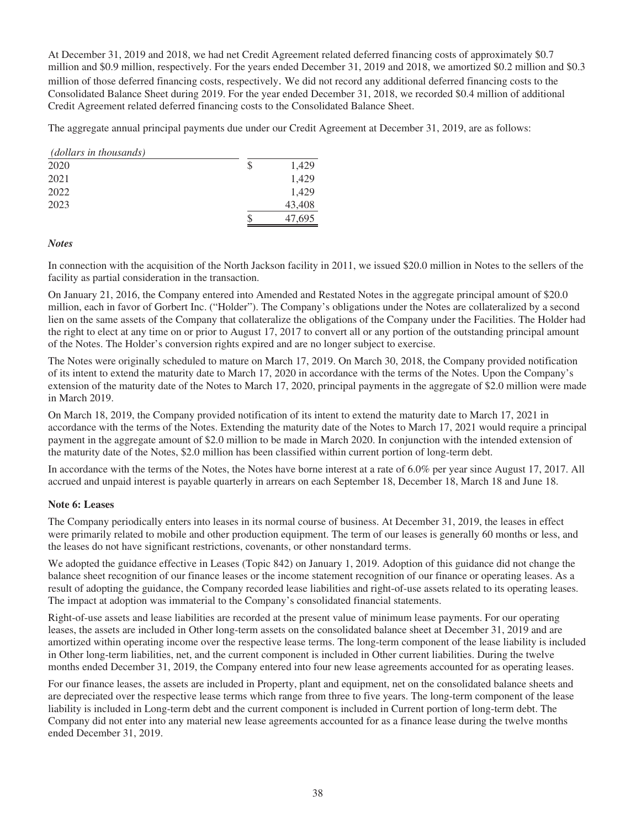At December 31, 2019 and 2018, we had net Credit Agreement related deferred financing costs of approximately \$0.7 million and \$0.9 million, respectively. For the years ended December 31, 2019 and 2018, we amortized \$0.2 million and \$0.3 million of those deferred financing costs, respectively. We did not record any additional deferred financing costs to the Consolidated Balance Sheet during 2019. For the year ended December 31, 2018, we recorded \$0.4 million of additional Credit Agreement related deferred financing costs to the Consolidated Balance Sheet.

The aggregate annual principal payments due under our Credit Agreement at December 31, 2019, are as follows:

| (dollars in thousands) |   |        |
|------------------------|---|--------|
| 2020                   | S | 1,429  |
| 2021                   |   | 1,429  |
| 2022                   |   | 1,429  |
| 2023                   |   | 43,408 |
|                        |   | 47.695 |

# *Notes*

In connection with the acquisition of the North Jackson facility in 2011, we issued \$20.0 million in Notes to the sellers of the facility as partial consideration in the transaction.

On January 21, 2016, the Company entered into Amended and Restated Notes in the aggregate principal amount of \$20.0 million, each in favor of Gorbert Inc. ("Holder"). The Company's obligations under the Notes are collateralized by a second lien on the same assets of the Company that collateralize the obligations of the Company under the Facilities. The Holder had the right to elect at any time on or prior to August 17, 2017 to convert all or any portion of the outstanding principal amount of the Notes. The Holder's conversion rights expired and are no longer subject to exercise.

The Notes were originally scheduled to mature on March 17, 2019. On March 30, 2018, the Company provided notification of its intent to extend the maturity date to March 17, 2020 in accordance with the terms of the Notes. Upon the Company's extension of the maturity date of the Notes to March 17, 2020, principal payments in the aggregate of \$2.0 million were made in March 2019.

On March 18, 2019, the Company provided notification of its intent to extend the maturity date to March 17, 2021 in accordance with the terms of the Notes. Extending the maturity date of the Notes to March 17, 2021 would require a principal payment in the aggregate amount of \$2.0 million to be made in March 2020. In conjunction with the intended extension of the maturity date of the Notes, \$2.0 million has been classified within current portion of long-term debt.

In accordance with the terms of the Notes, the Notes have borne interest at a rate of 6.0% per year since August 17, 2017. All accrued and unpaid interest is payable quarterly in arrears on each September 18, December 18, March 18 and June 18.

## **Note 6: Leases**

The Company periodically enters into leases in its normal course of business. At December 31, 2019, the leases in effect were primarily related to mobile and other production equipment. The term of our leases is generally 60 months or less, and the leases do not have significant restrictions, covenants, or other nonstandard terms.

We adopted the guidance effective in Leases (Topic 842) on January 1, 2019. Adoption of this guidance did not change the balance sheet recognition of our finance leases or the income statement recognition of our finance or operating leases. As a result of adopting the guidance, the Company recorded lease liabilities and right-of-use assets related to its operating leases. The impact at adoption was immaterial to the Company's consolidated financial statements.

Right-of-use assets and lease liabilities are recorded at the present value of minimum lease payments. For our operating leases, the assets are included in Other long-term assets on the consolidated balance sheet at December 31, 2019 and are amortized within operating income over the respective lease terms. The long-term component of the lease liability is included in Other long-term liabilities, net, and the current component is included in Other current liabilities. During the twelve months ended December 31, 2019, the Company entered into four new lease agreements accounted for as operating leases.

For our finance leases, the assets are included in Property, plant and equipment, net on the consolidated balance sheets and are depreciated over the respective lease terms which range from three to five years. The long-term component of the lease liability is included in Long-term debt and the current component is included in Current portion of long-term debt. The Company did not enter into any material new lease agreements accounted for as a finance lease during the twelve months ended December 31, 2019.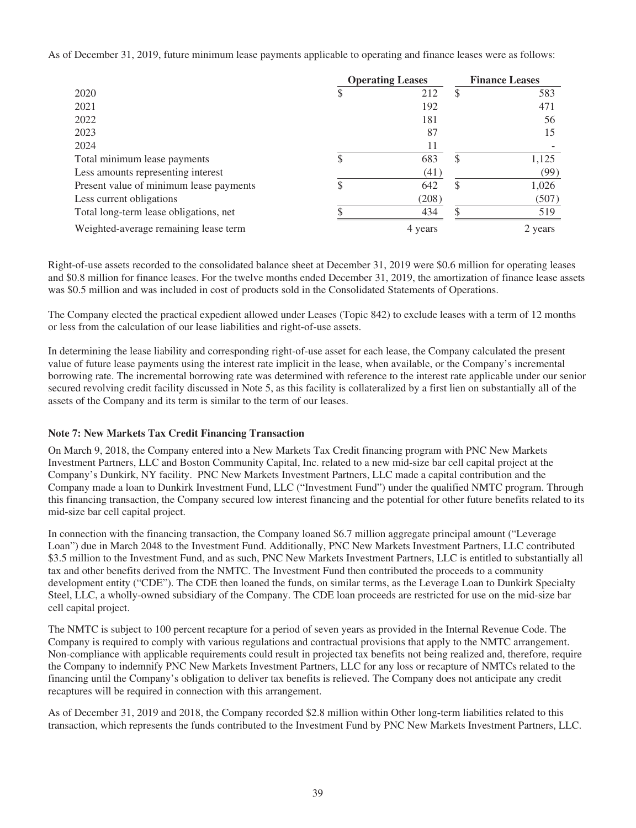As of December 31, 2019, future minimum lease payments applicable to operating and finance leases were as follows:

|                                         |    | <b>Operating Leases</b> | <b>Finance Leases</b> |         |  |
|-----------------------------------------|----|-------------------------|-----------------------|---------|--|
| 2020                                    | \$ | 212                     | S                     | 583     |  |
| 2021                                    |    | 192                     |                       | 471     |  |
| 2022                                    |    | 181                     |                       | 56      |  |
| 2023                                    |    | 87                      |                       | 15      |  |
| 2024                                    |    | 11                      |                       |         |  |
| Total minimum lease payments            | \$ | 683                     | \$                    | 1,125   |  |
| Less amounts representing interest      |    | (41)                    |                       | (99)    |  |
| Present value of minimum lease payments | S  | 642                     | <sup>\$</sup>         | 1,026   |  |
| Less current obligations                |    | (208)                   |                       | (507)   |  |
| Total long-term lease obligations, net  |    | 434                     |                       | 519     |  |
| Weighted-average remaining lease term   |    | 4 years                 |                       | 2 years |  |

Right-of-use assets recorded to the consolidated balance sheet at December 31, 2019 were \$0.6 million for operating leases and \$0.8 million for finance leases. For the twelve months ended December 31, 2019, the amortization of finance lease assets was \$0.5 million and was included in cost of products sold in the Consolidated Statements of Operations.

The Company elected the practical expedient allowed under Leases (Topic 842) to exclude leases with a term of 12 months or less from the calculation of our lease liabilities and right-of-use assets.

In determining the lease liability and corresponding right-of-use asset for each lease, the Company calculated the present value of future lease payments using the interest rate implicit in the lease, when available, or the Company's incremental borrowing rate. The incremental borrowing rate was determined with reference to the interest rate applicable under our senior secured revolving credit facility discussed in Note 5, as this facility is collateralized by a first lien on substantially all of the assets of the Company and its term is similar to the term of our leases.

# **Note 7: New Markets Tax Credit Financing Transaction**

On March 9, 2018, the Company entered into a New Markets Tax Credit financing program with PNC New Markets Investment Partners, LLC and Boston Community Capital, Inc. related to a new mid-size bar cell capital project at the Company's Dunkirk, NY facility. PNC New Markets Investment Partners, LLC made a capital contribution and the Company made a loan to Dunkirk Investment Fund, LLC ("Investment Fund") under the qualified NMTC program. Through this financing transaction, the Company secured low interest financing and the potential for other future benefits related to its mid-size bar cell capital project.

In connection with the financing transaction, the Company loaned \$6.7 million aggregate principal amount ("Leverage Loan") due in March 2048 to the Investment Fund. Additionally, PNC New Markets Investment Partners, LLC contributed \$3.5 million to the Investment Fund, and as such, PNC New Markets Investment Partners, LLC is entitled to substantially all tax and other benefits derived from the NMTC. The Investment Fund then contributed the proceeds to a community development entity ("CDE"). The CDE then loaned the funds, on similar terms, as the Leverage Loan to Dunkirk Specialty Steel, LLC, a wholly-owned subsidiary of the Company. The CDE loan proceeds are restricted for use on the mid-size bar cell capital project.

The NMTC is subject to 100 percent recapture for a period of seven years as provided in the Internal Revenue Code. The Company is required to comply with various regulations and contractual provisions that apply to the NMTC arrangement. Non-compliance with applicable requirements could result in projected tax benefits not being realized and, therefore, require the Company to indemnify PNC New Markets Investment Partners, LLC for any loss or recapture of NMTCs related to the financing until the Company's obligation to deliver tax benefits is relieved. The Company does not anticipate any credit recaptures will be required in connection with this arrangement.

As of December 31, 2019 and 2018, the Company recorded \$2.8 million within Other long-term liabilities related to this transaction, which represents the funds contributed to the Investment Fund by PNC New Markets Investment Partners, LLC.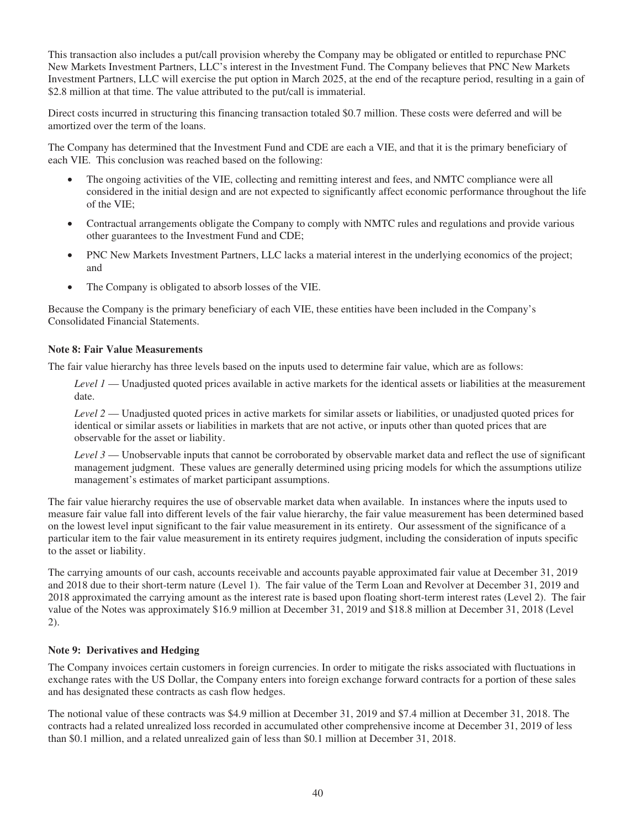This transaction also includes a put/call provision whereby the Company may be obligated or entitled to repurchase PNC New Markets Investment Partners, LLC's interest in the Investment Fund. The Company believes that PNC New Markets Investment Partners, LLC will exercise the put option in March 2025, at the end of the recapture period, resulting in a gain of \$2.8 million at that time. The value attributed to the put/call is immaterial.

Direct costs incurred in structuring this financing transaction totaled \$0.7 million. These costs were deferred and will be amortized over the term of the loans.

The Company has determined that the Investment Fund and CDE are each a VIE, and that it is the primary beneficiary of each VIE. This conclusion was reached based on the following:

- The ongoing activities of the VIE, collecting and remitting interest and fees, and NMTC compliance were all considered in the initial design and are not expected to significantly affect economic performance throughout the life of the VIE;
- Contractual arrangements obligate the Company to comply with NMTC rules and regulations and provide various other guarantees to the Investment Fund and CDE;
- PNC New Markets Investment Partners, LLC lacks a material interest in the underlying economics of the project; and
- The Company is obligated to absorb losses of the VIE.

Because the Company is the primary beneficiary of each VIE, these entities have been included in the Company's Consolidated Financial Statements.

## **Note 8: Fair Value Measurements**

The fair value hierarchy has three levels based on the inputs used to determine fair value, which are as follows:

*Level 1* — Unadjusted quoted prices available in active markets for the identical assets or liabilities at the measurement date.

*Level 2* — Unadjusted quoted prices in active markets for similar assets or liabilities, or unadjusted quoted prices for identical or similar assets or liabilities in markets that are not active, or inputs other than quoted prices that are observable for the asset or liability.

*Level 3* — Unobservable inputs that cannot be corroborated by observable market data and reflect the use of significant management judgment. These values are generally determined using pricing models for which the assumptions utilize management's estimates of market participant assumptions.

The fair value hierarchy requires the use of observable market data when available. In instances where the inputs used to measure fair value fall into different levels of the fair value hierarchy, the fair value measurement has been determined based on the lowest level input significant to the fair value measurement in its entirety. Our assessment of the significance of a particular item to the fair value measurement in its entirety requires judgment, including the consideration of inputs specific to the asset or liability.

The carrying amounts of our cash, accounts receivable and accounts payable approximated fair value at December 31, 2019 and 2018 due to their short-term nature (Level 1). The fair value of the Term Loan and Revolver at December 31, 2019 and 2018 approximated the carrying amount as the interest rate is based upon floating short-term interest rates (Level 2). The fair value of the Notes was approximately \$16.9 million at December 31, 2019 and \$18.8 million at December 31, 2018 (Level 2).

# **Note 9: Derivatives and Hedging**

The Company invoices certain customers in foreign currencies. In order to mitigate the risks associated with fluctuations in exchange rates with the US Dollar, the Company enters into foreign exchange forward contracts for a portion of these sales and has designated these contracts as cash flow hedges.

The notional value of these contracts was \$4.9 million at December 31, 2019 and \$7.4 million at December 31, 2018. The contracts had a related unrealized loss recorded in accumulated other comprehensive income at December 31, 2019 of less than \$0.1 million, and a related unrealized gain of less than \$0.1 million at December 31, 2018.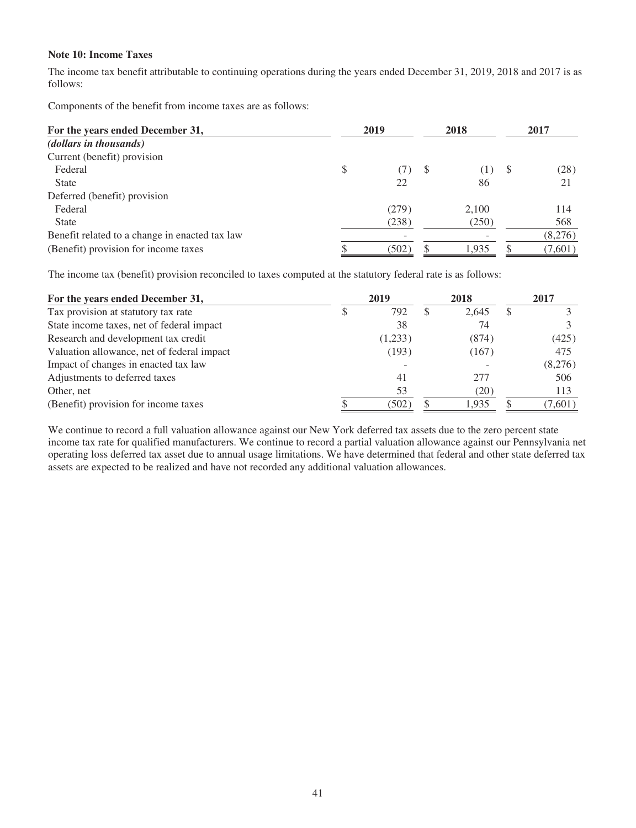### **Note 10: Income Taxes**

The income tax benefit attributable to continuing operations during the years ended December 31, 2019, 2018 and 2017 is as follows:

Components of the benefit from income taxes are as follows:

| For the years ended December 31,               | 2019     |    | 2018    |   | 2017    |
|------------------------------------------------|----------|----|---------|---|---------|
| ( <i>dollars in thousands</i> )                |          |    |         |   |         |
| Current (benefit) provision                    |          |    |         |   |         |
| Federal                                        | \$<br>7) | -S | $\perp$ | S | (28)    |
| <b>State</b>                                   | 22       |    | 86      |   | 21      |
| Deferred (benefit) provision                   |          |    |         |   |         |
| Federal                                        | (279)    |    | 2.100   |   | 114     |
| <b>State</b>                                   | (238)    |    | (250)   |   | 568     |
| Benefit related to a change in enacted tax law | -        |    |         |   | (8,276) |
| (Benefit) provision for income taxes           | (502)    |    | 1,935   |   | (7,601) |

The income tax (benefit) provision reconciled to taxes computed at the statutory federal rate is as follows:

| For the years ended December 31,           |   | 2019    | 2018  | 2017    |
|--------------------------------------------|---|---------|-------|---------|
| Tax provision at statutory tax rate        | S | 792     | 2.645 |         |
| State income taxes, net of federal impact  |   | 38      | 74    |         |
| Research and development tax credit        |   | (1,233) | (874) | (425)   |
| Valuation allowance, net of federal impact |   | (193)   | (167) | 475     |
| Impact of changes in enacted tax law       |   |         |       | (8,276) |
| Adjustments to deferred taxes              |   | 41      | 277   | 506     |
| Other, net                                 |   | 53      | (20)  | 113     |
| (Benefit) provision for income taxes       |   | (502)   | 1,935 | (7,601) |

We continue to record a full valuation allowance against our New York deferred tax assets due to the zero percent state income tax rate for qualified manufacturers. We continue to record a partial valuation allowance against our Pennsylvania net operating loss deferred tax asset due to annual usage limitations. We have determined that federal and other state deferred tax assets are expected to be realized and have not recorded any additional valuation allowances.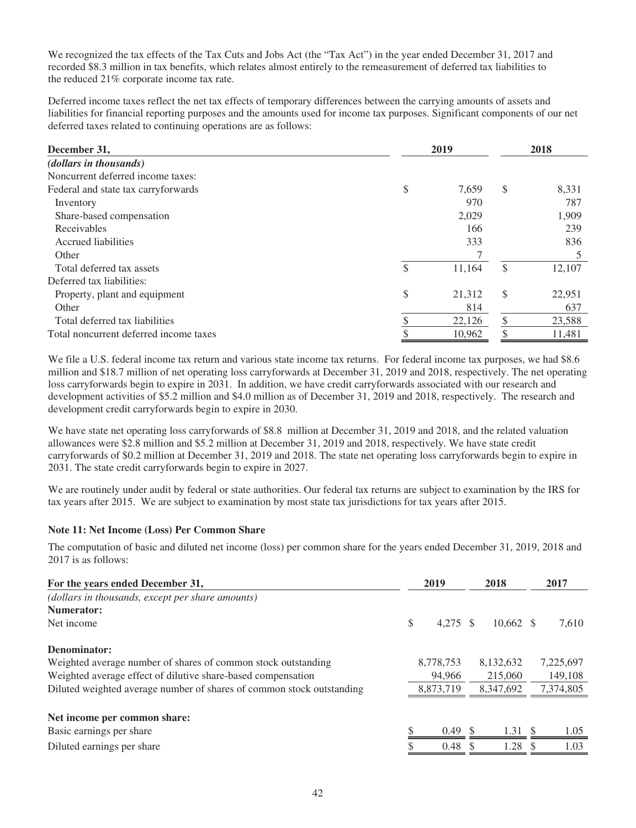We recognized the tax effects of the Tax Cuts and Jobs Act (the "Tax Act") in the year ended December 31, 2017 and recorded \$8.3 million in tax benefits, which relates almost entirely to the remeasurement of deferred tax liabilities to the reduced 21% corporate income tax rate.

Deferred income taxes reflect the net tax effects of temporary differences between the carrying amounts of assets and liabilities for financial reporting purposes and the amounts used for income tax purposes. Significant components of our net deferred taxes related to continuing operations are as follows:

| December 31,                           | 2019 |        | 2018         |  |
|----------------------------------------|------|--------|--------------|--|
| ( <i>dollars in thousands</i> )        |      |        |              |  |
| Noncurrent deferred income taxes:      |      |        |              |  |
| Federal and state tax carryforwards    | \$   | 7.659  | \$<br>8,331  |  |
| Inventory                              |      | 970    | 787          |  |
| Share-based compensation               |      | 2,029  | 1,909        |  |
| Receivables                            |      | 166    | 239          |  |
| Accrued liabilities                    |      | 333    | 836          |  |
| Other                                  |      |        | 5            |  |
| Total deferred tax assets              | \$   | 11,164 | \$<br>12,107 |  |
| Deferred tax liabilities:              |      |        |              |  |
| Property, plant and equipment          | \$   | 21,312 | \$<br>22,951 |  |
| Other                                  |      | 814    | 637          |  |
| Total deferred tax liabilities         |      | 22,126 | \$<br>23,588 |  |
| Total noncurrent deferred income taxes |      | 10,962 | \$<br>11.481 |  |

We file a U.S. federal income tax return and various state income tax returns. For federal income tax purposes, we had \$8.6 million and \$18.7 million of net operating loss carryforwards at December 31, 2019 and 2018, respectively. The net operating loss carryforwards begin to expire in 2031. In addition, we have credit carryforwards associated with our research and development activities of \$5.2 million and \$4.0 million as of December 31, 2019 and 2018, respectively. The research and development credit carryforwards begin to expire in 2030.

We have state net operating loss carryforwards of \$8.8 million at December 31, 2019 and 2018, and the related valuation allowances were \$2.8 million and \$5.2 million at December 31, 2019 and 2018, respectively. We have state credit carryforwards of \$0.2 million at December 31, 2019 and 2018. The state net operating loss carryforwards begin to expire in 2031. The state credit carryforwards begin to expire in 2027.

We are routinely under audit by federal or state authorities. Our federal tax returns are subject to examination by the IRS for tax years after 2015. We are subject to examination by most state tax jurisdictions for tax years after 2015.

## **Note 11: Net Income (Loss) Per Common Share**

The computation of basic and diluted net income (loss) per common share for the years ended December 31, 2019, 2018 and 2017 is as follows:

| For the years ended December 31,                                      | 2019 |                    | 2018 |                   | 2017 |           |
|-----------------------------------------------------------------------|------|--------------------|------|-------------------|------|-----------|
| (dollars in thousands, except per share amounts)                      |      |                    |      |                   |      |           |
| Numerator:                                                            |      |                    |      |                   |      |           |
| Net income                                                            | \$   | $4.275$ \$         |      | $10.662 \text{ }$ |      | 7,610     |
| Denominator:                                                          |      |                    |      |                   |      |           |
| Weighted average number of shares of common stock outstanding         |      | 8,778,753          |      | 8,132,632         |      | 7,225,697 |
| Weighted average effect of dilutive share-based compensation          |      | 94,966             |      | 215,060           |      | 149,108   |
| Diluted weighted average number of shares of common stock outstanding |      | 8,873,719          |      | 8,347,692         |      | 7,374,805 |
| Net income per common share:                                          |      |                    |      |                   |      |           |
| Basic earnings per share                                              |      | $0.49 \text{ }$ \$ |      | 1.31S             |      | 1.05      |
| Diluted earnings per share                                            |      | 0.48               |      | 1.28              |      | 1.03      |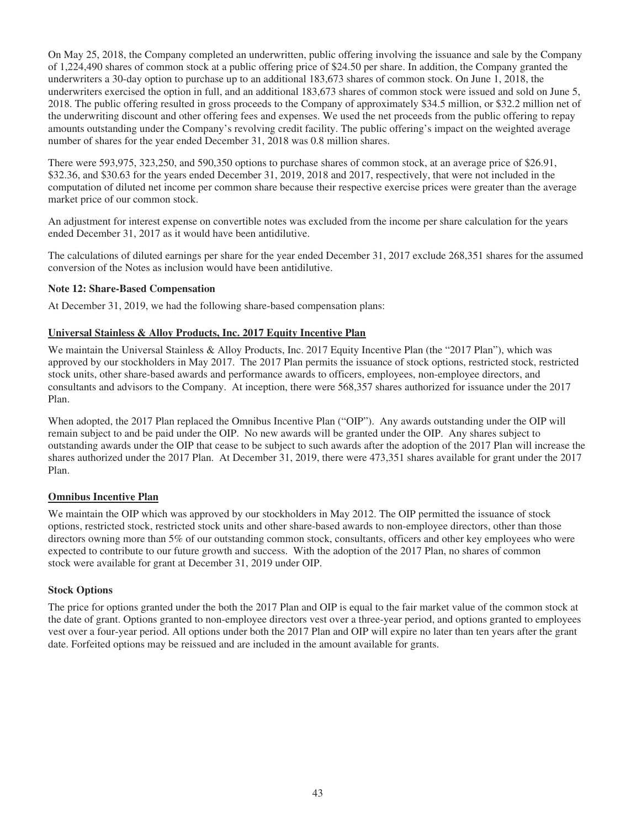On May 25, 2018, the Company completed an underwritten, public offering involving the issuance and sale by the Company of 1,224,490 shares of common stock at a public offering price of \$24.50 per share. In addition, the Company granted the underwriters a 30-day option to purchase up to an additional 183,673 shares of common stock. On June 1, 2018, the underwriters exercised the option in full, and an additional 183,673 shares of common stock were issued and sold on June 5, 2018. The public offering resulted in gross proceeds to the Company of approximately \$34.5 million, or \$32.2 million net of the underwriting discount and other offering fees and expenses. We used the net proceeds from the public offering to repay amounts outstanding under the Company's revolving credit facility. The public offering's impact on the weighted average number of shares for the year ended December 31, 2018 was 0.8 million shares.

There were 593,975, 323,250, and 590,350 options to purchase shares of common stock, at an average price of \$26.91, \$32.36, and \$30.63 for the years ended December 31, 2019, 2018 and 2017, respectively, that were not included in the computation of diluted net income per common share because their respective exercise prices were greater than the average market price of our common stock.

An adjustment for interest expense on convertible notes was excluded from the income per share calculation for the years ended December 31, 2017 as it would have been antidilutive.

The calculations of diluted earnings per share for the year ended December 31, 2017 exclude 268,351 shares for the assumed conversion of the Notes as inclusion would have been antidilutive.

# **Note 12: Share-Based Compensation**

At December 31, 2019, we had the following share-based compensation plans:

# **Universal Stainless & Alloy Products, Inc. 2017 Equity Incentive Plan**

We maintain the Universal Stainless & Alloy Products, Inc. 2017 Equity Incentive Plan (the "2017 Plan"), which was approved by our stockholders in May 2017. The 2017 Plan permits the issuance of stock options, restricted stock, restricted stock units, other share-based awards and performance awards to officers, employees, non-employee directors, and consultants and advisors to the Company. At inception, there were 568,357 shares authorized for issuance under the 2017 Plan.

When adopted, the 2017 Plan replaced the Omnibus Incentive Plan ("OIP"). Any awards outstanding under the OIP will remain subject to and be paid under the OIP. No new awards will be granted under the OIP. Any shares subject to outstanding awards under the OIP that cease to be subject to such awards after the adoption of the 2017 Plan will increase the shares authorized under the 2017 Plan. At December 31, 2019, there were 473,351 shares available for grant under the 2017 Plan.

## **Omnibus Incentive Plan**

We maintain the OIP which was approved by our stockholders in May 2012. The OIP permitted the issuance of stock options, restricted stock, restricted stock units and other share-based awards to non-employee directors, other than those directors owning more than 5% of our outstanding common stock, consultants, officers and other key employees who were expected to contribute to our future growth and success. With the adoption of the 2017 Plan, no shares of common stock were available for grant at December 31, 2019 under OIP.

## **Stock Options**

The price for options granted under the both the 2017 Plan and OIP is equal to the fair market value of the common stock at the date of grant. Options granted to non-employee directors vest over a three-year period, and options granted to employees vest over a four-year period. All options under both the 2017 Plan and OIP will expire no later than ten years after the grant date. Forfeited options may be reissued and are included in the amount available for grants.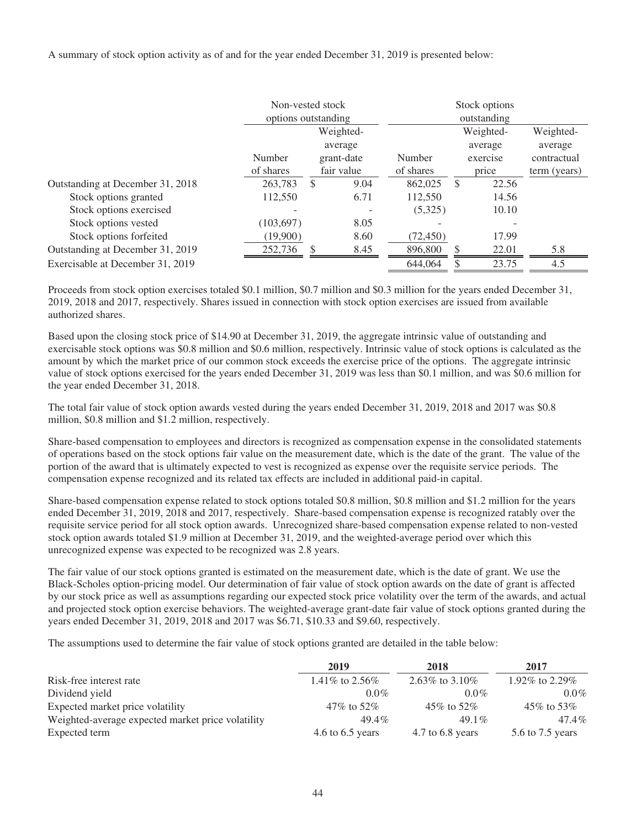A summary of stock option activity as of and for the year ended December 31, 2019 is presented below:

|                                  | Non-vested stock<br>options outstanding |               |            | Stock options<br>outstanding |             |              |
|----------------------------------|-----------------------------------------|---------------|------------|------------------------------|-------------|--------------|
|                                  |                                         |               | Weighted-  |                              | Weighted-   | Weighted-    |
|                                  |                                         |               | average    |                              | average     | average      |
|                                  | Number                                  |               | grant-date | <b>Number</b>                | exercise    | contractual  |
|                                  | of shares                               |               | fair value | of shares                    | price       | term (years) |
| Outstanding at December 31, 2018 | 263,783                                 | <sup>\$</sup> | 9.04       | 862,025                      | \$<br>22.56 |              |
| Stock options granted            | 112,550                                 |               | 6.71       | 112,550                      | 14.56       |              |
| Stock options exercised          |                                         |               |            | (5,325)                      | 10.10       |              |
| Stock options vested             | (103, 697)                              |               | 8.05       |                              |             |              |
| Stock options forfeited          | (19,900)                                |               | 8.60       | (72, 450)                    | 17.99       |              |
| Outstanding at December 31, 2019 | 252,736                                 |               | 8.45       | 896,800                      | 22.01       | 5.8          |
| Exercisable at December 31, 2019 |                                         |               |            | 644,064                      | 23.75       | 4.5          |

Proceeds from stock option exercises totaled \$0.1 million, \$0.7 million and \$0.3 million for the years ended December 31, 2019, 2018 and 2017, respectively. Shares issued in connection with stock option exercises are issued from available authorized shares.

Based upon the closing stock price of \$14.90 at December 31, 2019, the aggregate intrinsic value of outstanding and exercisable stock options was \$0.8 million and \$0.6 million, respectively. Intrinsic value of stock options is calculated as the amount by which the market price of our common stock exceeds the exercise price of the options. The aggregate intrinsic value of stock options exercised for the years ended December 31, 2019 was less than \$0.1 million, and was \$0.6 million for the year ended December 31, 2018.

The total fair value of stock option awards vested during the years ended December 31, 2019, 2018 and 2017 was \$0.8 million, \$0.8 million and \$1.2 million, respectively.

Share-based compensation to employees and directors is recognized as compensation expense in the consolidated statements of operations based on the stock options fair value on the measurement date, which is the date of the grant. The value of the portion of the award that is ultimately expected to vest is recognized as expense over the requisite service periods. The compensation expense recognized and its related tax effects are included in additional paid-in capital.

Share-based compensation expense related to stock options totaled \$0.8 million, \$0.8 million and \$1.2 million for the years ended December 31, 2019, 2018 and 2017, respectively. Share-based compensation expense is recognized ratably over the requisite service period for all stock option awards. Unrecognized share-based compensation expense related to non-vested stock option awards totaled \$1.9 million at December 31, 2019, and the weighted-average period over which this unrecognized expense was expected to be recognized was 2.8 years.

The fair value of our stock options granted is estimated on the measurement date, which is the date of grant. We use the Black-Scholes option-pricing model. Our determination of fair value of stock option awards on the date of grant is affected by our stock price as well as assumptions regarding our expected stock price volatility over the term of the awards, and actual and projected stock option exercise behaviors. The weighted-average grant-date fair value of stock options granted during the years ended December 31, 2019, 2018 and 2017 was \$6.71, \$10.33 and \$9.60, respectively.

The assumptions used to determine the fair value of stock options granted are detailed in the table below:

|                                                   | 2019               | 2018               | 2017             |
|---------------------------------------------------|--------------------|--------------------|------------------|
| Risk-free interest rate                           | 1.41\% to 2.56\%   | 2.63\% to 3.10\%   | 1.92\% to 2.29\% |
| Dividend yield                                    | $0.0\%$            | $0.0\%$            | $0.0\%$          |
| Expected market price volatility                  | 47\% to 52\%       | 45\% to 52\%       | 45\% to 53\%     |
| Weighted-average expected market price volatility | $49.4\%$           | 49.1%              | $47.4\%$         |
| Expected term                                     | 4.6 to $6.5$ years | 4.7 to $6.8$ years | 5.6 to 7.5 years |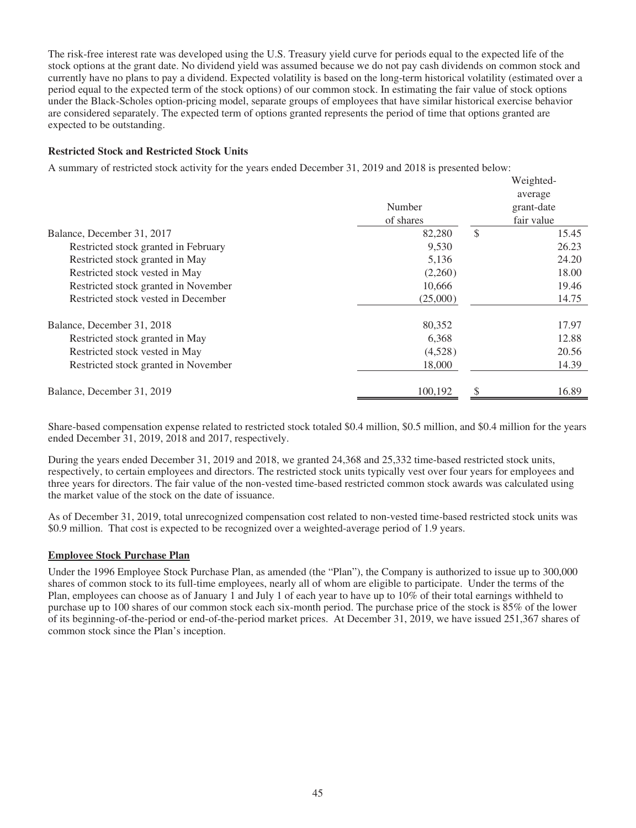The risk-free interest rate was developed using the U.S. Treasury yield curve for periods equal to the expected life of the stock options at the grant date. No dividend yield was assumed because we do not pay cash dividends on common stock and currently have no plans to pay a dividend. Expected volatility is based on the long-term historical volatility (estimated over a period equal to the expected term of the stock options) of our common stock. In estimating the fair value of stock options under the Black-Scholes option-pricing model, separate groups of employees that have similar historical exercise behavior are considered separately. The expected term of options granted represents the period of time that options granted are expected to be outstanding.

# **Restricted Stock and Restricted Stock Units**

A summary of restricted stock activity for the years ended December 31, 2019 and 2018 is presented below:

|                                      |                     | Weighted-<br>average     |
|--------------------------------------|---------------------|--------------------------|
|                                      | Number<br>of shares | grant-date<br>fair value |
| Balance, December 31, 2017           | 82,280              | \$<br>15.45              |
| Restricted stock granted in February | 9,530               | 26.23                    |
| Restricted stock granted in May      | 5,136               | 24.20                    |
| Restricted stock vested in May       | (2,260)             | 18.00                    |
| Restricted stock granted in November | 10,666              | 19.46                    |
| Restricted stock vested in December  | (25,000)            | 14.75                    |
| Balance, December 31, 2018           | 80,352              | 17.97                    |
| Restricted stock granted in May      | 6,368               | 12.88                    |
| Restricted stock vested in May       | (4,528)             | 20.56                    |
| Restricted stock granted in November | 18,000              | 14.39                    |
| Balance, December 31, 2019           | 100,192             | 16.89                    |

Share-based compensation expense related to restricted stock totaled \$0.4 million, \$0.5 million, and \$0.4 million for the years ended December 31, 2019, 2018 and 2017, respectively.

During the years ended December 31, 2019 and 2018, we granted 24,368 and 25,332 time-based restricted stock units, respectively, to certain employees and directors. The restricted stock units typically vest over four years for employees and three years for directors. The fair value of the non-vested time-based restricted common stock awards was calculated using the market value of the stock on the date of issuance.

As of December 31, 2019, total unrecognized compensation cost related to non-vested time-based restricted stock units was \$0.9 million. That cost is expected to be recognized over a weighted-average period of 1.9 years.

## **Employee Stock Purchase Plan**

Under the 1996 Employee Stock Purchase Plan, as amended (the "Plan"), the Company is authorized to issue up to 300,000 shares of common stock to its full-time employees, nearly all of whom are eligible to participate. Under the terms of the Plan, employees can choose as of January 1 and July 1 of each year to have up to 10% of their total earnings withheld to purchase up to 100 shares of our common stock each six-month period. The purchase price of the stock is 85% of the lower of its beginning-of-the-period or end-of-the-period market prices. At December 31, 2019, we have issued 251,367 shares of common stock since the Plan's inception.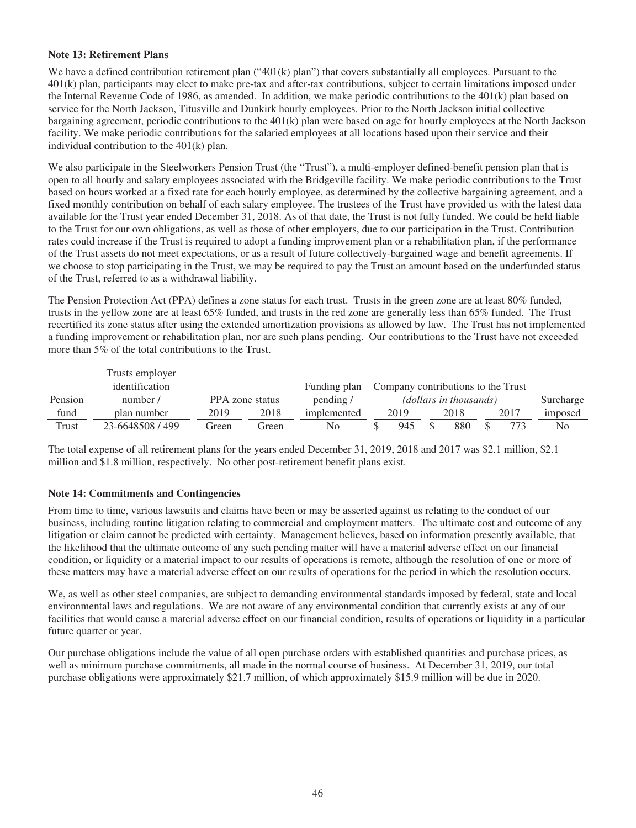## **Note 13: Retirement Plans**

We have a defined contribution retirement plan  $("401(k)$  plan") that covers substantially all employees. Pursuant to the 401(k) plan, participants may elect to make pre-tax and after-tax contributions, subject to certain limitations imposed under the Internal Revenue Code of 1986, as amended. In addition, we make periodic contributions to the 401(k) plan based on service for the North Jackson, Titusville and Dunkirk hourly employees. Prior to the North Jackson initial collective bargaining agreement, periodic contributions to the 401(k) plan were based on age for hourly employees at the North Jackson facility. We make periodic contributions for the salaried employees at all locations based upon their service and their individual contribution to the 401(k) plan.

We also participate in the Steelworkers Pension Trust (the "Trust"), a multi-employer defined-benefit pension plan that is open to all hourly and salary employees associated with the Bridgeville facility. We make periodic contributions to the Trust based on hours worked at a fixed rate for each hourly employee, as determined by the collective bargaining agreement, and a fixed monthly contribution on behalf of each salary employee. The trustees of the Trust have provided us with the latest data available for the Trust year ended December 31, 2018. As of that date, the Trust is not fully funded. We could be held liable to the Trust for our own obligations, as well as those of other employers, due to our participation in the Trust. Contribution rates could increase if the Trust is required to adopt a funding improvement plan or a rehabilitation plan, if the performance of the Trust assets do not meet expectations, or as a result of future collectively-bargained wage and benefit agreements. If we choose to stop participating in the Trust, we may be required to pay the Trust an amount based on the underfunded status of the Trust, referred to as a withdrawal liability.

The Pension Protection Act (PPA) defines a zone status for each trust. Trusts in the green zone are at least 80% funded, trusts in the yellow zone are at least 65% funded, and trusts in the red zone are generally less than 65% funded. The Trust recertified its zone status after using the extended amortization provisions as allowed by law. The Trust has not implemented a funding improvement or rehabilitation plan, nor are such plans pending. Our contributions to the Trust have not exceeded more than 5% of the total contributions to the Trust.

|         | Trusts employer  |       |                 |              |      |                        |                                    |           |
|---------|------------------|-------|-----------------|--------------|------|------------------------|------------------------------------|-----------|
|         | identification   |       |                 | Funding plan |      |                        | Company contributions to the Trust |           |
| Pension | number $\prime$  |       | PPA zone status | pending/     |      | (dollars in thousands) |                                    | Surcharge |
| fund    | plan number      | 2019  | 2018            | implemented  | 2019 | 2018                   | 2017                               | imposed   |
| Trust   | 23-6648508 / 499 | Green | Green           | No           | 945  | 880                    | 773.                               | No        |

The total expense of all retirement plans for the years ended December 31, 2019, 2018 and 2017 was \$2.1 million, \$2.1 million and \$1.8 million, respectively. No other post-retirement benefit plans exist.

## **Note 14: Commitments and Contingencies**

From time to time, various lawsuits and claims have been or may be asserted against us relating to the conduct of our business, including routine litigation relating to commercial and employment matters. The ultimate cost and outcome of any litigation or claim cannot be predicted with certainty. Management believes, based on information presently available, that the likelihood that the ultimate outcome of any such pending matter will have a material adverse effect on our financial condition, or liquidity or a material impact to our results of operations is remote, although the resolution of one or more of these matters may have a material adverse effect on our results of operations for the period in which the resolution occurs.

We, as well as other steel companies, are subject to demanding environmental standards imposed by federal, state and local environmental laws and regulations. We are not aware of any environmental condition that currently exists at any of our facilities that would cause a material adverse effect on our financial condition, results of operations or liquidity in a particular future quarter or year.

Our purchase obligations include the value of all open purchase orders with established quantities and purchase prices, as well as minimum purchase commitments, all made in the normal course of business. At December 31, 2019, our total purchase obligations were approximately \$21.7 million, of which approximately \$15.9 million will be due in 2020.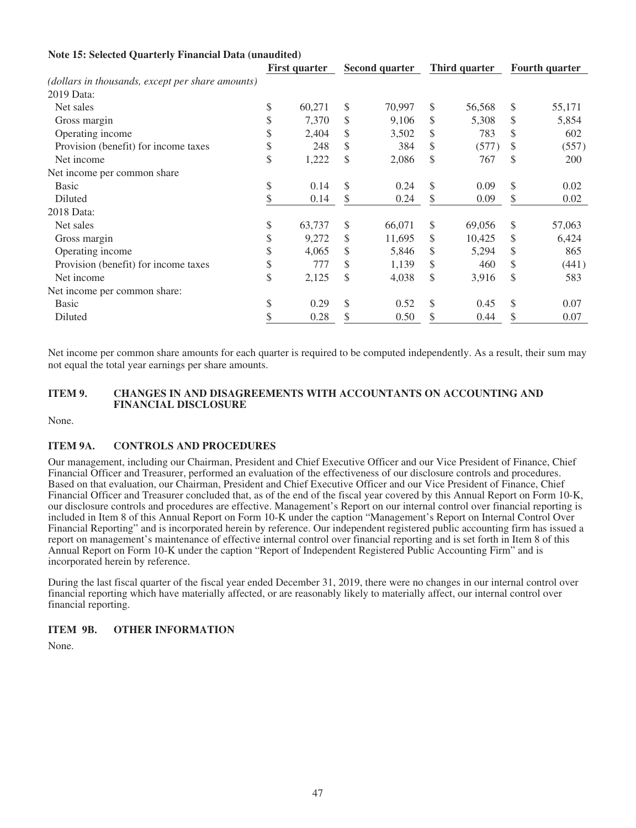| $1000$ To $00000$ $0000$ $0000$ $0000$ $0000$ $0000$ |                      |                |               |                       |
|------------------------------------------------------|----------------------|----------------|---------------|-----------------------|
|                                                      | <b>First quarter</b> | Second quarter | Third quarter | <b>Fourth quarter</b> |
| (dollars in thousands, except per share amounts)     |                      |                |               |                       |
| 2019 Data:                                           |                      |                |               |                       |
| Net sales                                            | \$<br>60,271         | \$<br>70,997   | \$<br>56,568  | \$<br>55,171          |
| Gross margin                                         | \$<br>7,370          | \$<br>9,106    | \$<br>5,308   | \$<br>5,854           |
| Operating income                                     | \$<br>2,404          | \$<br>3,502    | \$<br>783     | \$<br>602             |
| Provision (benefit) for income taxes                 | \$<br>248            | \$<br>384      | \$<br>(577)   | \$<br>(557)           |
| Net income                                           | \$<br>1,222          | \$<br>2,086    | \$<br>767     | \$<br>200             |
| Net income per common share                          |                      |                |               |                       |
| <b>Basic</b>                                         | \$<br>0.14           | \$<br>0.24     | \$<br>0.09    | \$<br>0.02            |
| Diluted                                              | \$<br>0.14           | \$<br>0.24     | \$<br>0.09    | \$<br>0.02            |
| 2018 Data:                                           |                      |                |               |                       |
| Net sales                                            | \$<br>63,737         | \$<br>66,071   | \$<br>69,056  | \$<br>57,063          |
| Gross margin                                         | \$<br>9,272          | \$<br>11,695   | \$<br>10,425  | \$<br>6,424           |
| Operating income                                     | \$<br>4,065          | \$<br>5,846    | \$<br>5,294   | \$<br>865             |
| Provision (benefit) for income taxes                 | \$<br>777            | \$<br>1,139    | \$<br>460     | \$<br>(441)           |
| Net income                                           | \$<br>2,125          | \$<br>4,038    | \$<br>3,916   | \$<br>583             |
| Net income per common share:                         |                      |                |               |                       |
| <b>Basic</b>                                         | \$<br>0.29           | \$<br>0.52     | \$<br>0.45    | \$<br>0.07            |
| Diluted                                              | 0.28                 | \$<br>0.50     | \$<br>0.44    | \$<br>0.07            |
|                                                      |                      |                |               |                       |

#### **Note 15: Selected Quarterly Financial Data (unaudited)**

Net income per common share amounts for each quarter is required to be computed independently. As a result, their sum may not equal the total year earnings per share amounts.

#### **ITEM 9. CHANGES IN AND DISAGREEMENTS WITH ACCOUNTANTS ON ACCOUNTING AND FINANCIAL DISCLOSURE**

None.

## **ITEM 9A. CONTROLS AND PROCEDURES**

Our management, including our Chairman, President and Chief Executive Officer and our Vice President of Finance, Chief Financial Officer and Treasurer, performed an evaluation of the effectiveness of our disclosure controls and procedures. Based on that evaluation, our Chairman, President and Chief Executive Officer and our Vice President of Finance, Chief Financial Officer and Treasurer concluded that, as of the end of the fiscal year covered by this Annual Report on Form 10-K, our disclosure controls and procedures are effective. Management's Report on our internal control over financial reporting is included in Item 8 of this Annual Report on Form 10-K under the caption "Management's Report on Internal Control Over Financial Reporting" and is incorporated herein by reference. Our independent registered public accounting firm has issued a report on management's maintenance of effective internal control over financial reporting and is set forth in Item 8 of this Annual Report on Form 10-K under the caption "Report of Independent Registered Public Accounting Firm" and is incorporated herein by reference.

During the last fiscal quarter of the fiscal year ended December 31, 2019, there were no changes in our internal control over financial reporting which have materially affected, or are reasonably likely to materially affect, our internal control over financial reporting.

#### **ITEM 9B. OTHER INFORMATION**

None.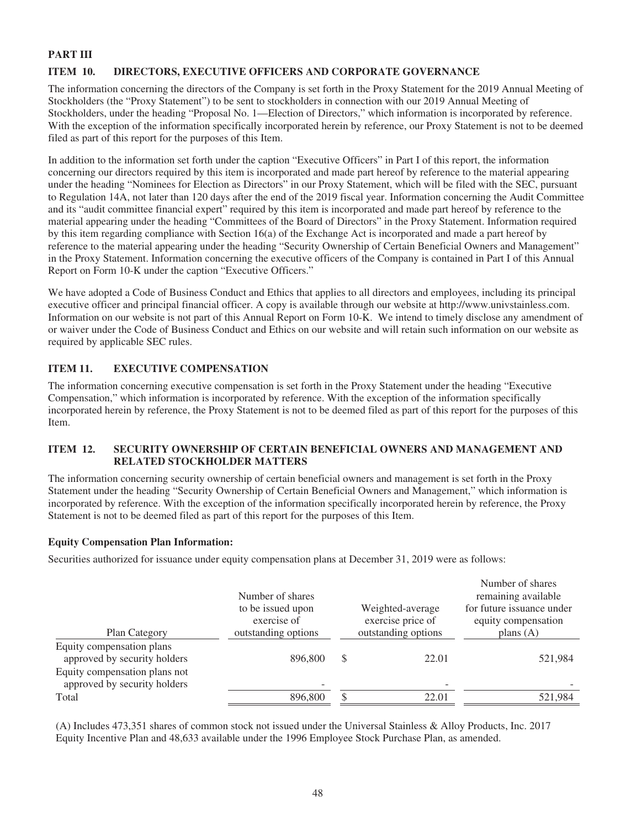# **PART III**

# **ITEM 10. DIRECTORS, EXECUTIVE OFFICERS AND CORPORATE GOVERNANCE**

The information concerning the directors of the Company is set forth in the Proxy Statement for the 2019 Annual Meeting of Stockholders (the "Proxy Statement") to be sent to stockholders in connection with our 2019 Annual Meeting of Stockholders, under the heading "Proposal No. 1—Election of Directors," which information is incorporated by reference. With the exception of the information specifically incorporated herein by reference, our Proxy Statement is not to be deemed filed as part of this report for the purposes of this Item.

In addition to the information set forth under the caption "Executive Officers" in Part I of this report, the information concerning our directors required by this item is incorporated and made part hereof by reference to the material appearing under the heading "Nominees for Election as Directors" in our Proxy Statement, which will be filed with the SEC, pursuant to Regulation 14A, not later than 120 days after the end of the 2019 fiscal year. Information concerning the Audit Committee and its "audit committee financial expert" required by this item is incorporated and made part hereof by reference to the material appearing under the heading "Committees of the Board of Directors" in the Proxy Statement. Information required by this item regarding compliance with Section 16(a) of the Exchange Act is incorporated and made a part hereof by reference to the material appearing under the heading "Security Ownership of Certain Beneficial Owners and Management" in the Proxy Statement. Information concerning the executive officers of the Company is contained in Part I of this Annual Report on Form 10-K under the caption "Executive Officers."

We have adopted a Code of Business Conduct and Ethics that applies to all directors and employees, including its principal executive officer and principal financial officer. A copy is available through our website at http://www.univstainless.com. Information on our website is not part of this Annual Report on Form 10-K. We intend to timely disclose any amendment of or waiver under the Code of Business Conduct and Ethics on our website and will retain such information on our website as required by applicable SEC rules.

# **ITEM 11. EXECUTIVE COMPENSATION**

The information concerning executive compensation is set forth in the Proxy Statement under the heading "Executive Compensation," which information is incorporated by reference. With the exception of the information specifically incorporated herein by reference, the Proxy Statement is not to be deemed filed as part of this report for the purposes of this Item.

# **ITEM 12. SECURITY OWNERSHIP OF CERTAIN BENEFICIAL OWNERS AND MANAGEMENT AND RELATED STOCKHOLDER MATTERS**

The information concerning security ownership of certain beneficial owners and management is set forth in the Proxy Statement under the heading "Security Ownership of Certain Beneficial Owners and Management," which information is incorporated by reference. With the exception of the information specifically incorporated herein by reference, the Proxy Statement is not to be deemed filed as part of this report for the purposes of this Item.

# **Equity Compensation Plan Information:**

Securities authorized for issuance under equity compensation plans at December 31, 2019 were as follows:

|                                                               | Number of shares<br>to be issued upon<br>exercise of |               | Weighted-average<br>exercise price of | Number of shares<br>remaining available<br>for future issuance under<br>equity compensation |
|---------------------------------------------------------------|------------------------------------------------------|---------------|---------------------------------------|---------------------------------------------------------------------------------------------|
| Plan Category                                                 | outstanding options                                  |               | outstanding options                   | plans $(A)$                                                                                 |
| Equity compensation plans<br>approved by security holders     | 896,800                                              | <sup>\$</sup> | 22.01                                 | 521,984                                                                                     |
| Equity compensation plans not<br>approved by security holders |                                                      |               |                                       |                                                                                             |
| Total                                                         | 896,800                                              |               | 22.01                                 | 521,984                                                                                     |

(A) Includes 473,351 shares of common stock not issued under the Universal Stainless & Alloy Products, Inc. 2017 Equity Incentive Plan and 48,633 available under the 1996 Employee Stock Purchase Plan, as amended.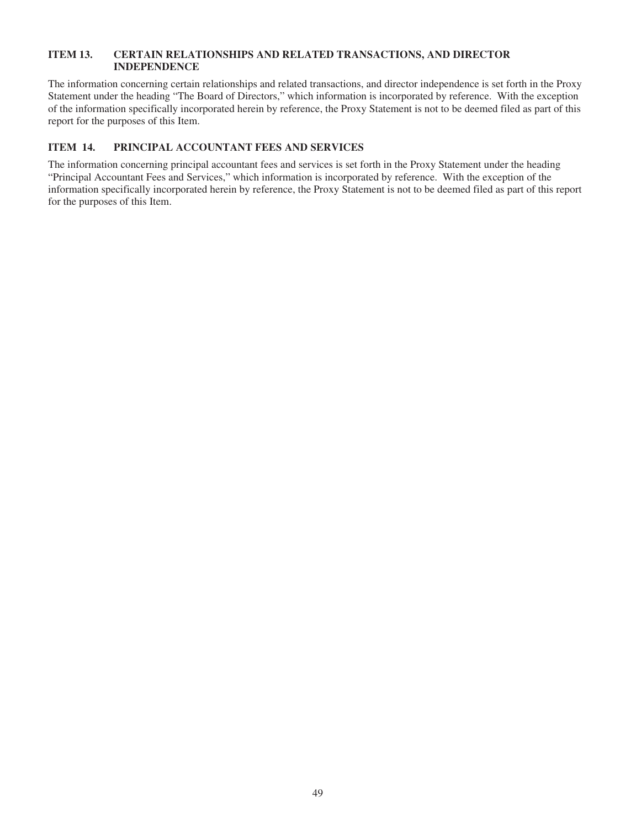# **ITEM 13. CERTAIN RELATIONSHIPS AND RELATED TRANSACTIONS, AND DIRECTOR INDEPENDENCE**

The information concerning certain relationships and related transactions, and director independence is set forth in the Proxy Statement under the heading "The Board of Directors," which information is incorporated by reference. With the exception of the information specifically incorporated herein by reference, the Proxy Statement is not to be deemed filed as part of this report for the purposes of this Item.

# **ITEM 14. PRINCIPAL ACCOUNTANT FEES AND SERVICES**

The information concerning principal accountant fees and services is set forth in the Proxy Statement under the heading "Principal Accountant Fees and Services," which information is incorporated by reference. With the exception of the information specifically incorporated herein by reference, the Proxy Statement is not to be deemed filed as part of this report for the purposes of this Item.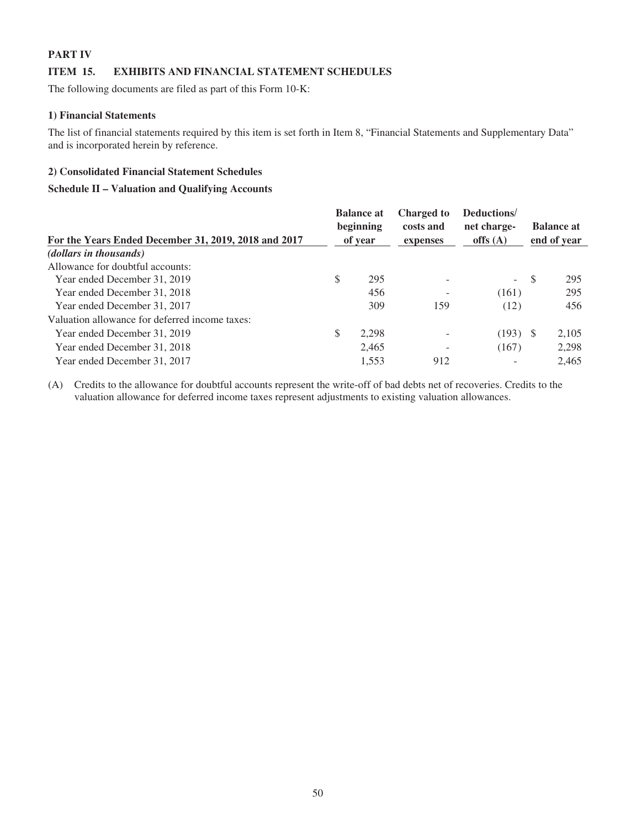# **PART IV**

# **ITEM 15. EXHIBITS AND FINANCIAL STATEMENT SCHEDULES**

The following documents are filed as part of this Form 10-K:

#### **1) Financial Statements**

The list of financial statements required by this item is set forth in Item 8, "Financial Statements and Supplementary Data" and is incorporated herein by reference.

## **2) Consolidated Financial Statement Schedules**

## **Schedule II – Valuation and Qualifying Accounts**

| For the Years Ended December 31, 2019, 2018 and 2017 | <b>Balance at</b><br>beginning<br>of year | <b>Charged to</b><br>costs and<br>expenses | Deductions/<br>net charge-<br>offs $(A)$ |      | <b>Balance at</b><br>end of year |
|------------------------------------------------------|-------------------------------------------|--------------------------------------------|------------------------------------------|------|----------------------------------|
| ( <i>dollars in thousands</i> )                      |                                           |                                            |                                          |      |                                  |
| Allowance for doubtful accounts:                     |                                           |                                            |                                          |      |                                  |
| Year ended December 31, 2019                         | \$<br>295                                 | $\overline{\phantom{a}}$                   | $\sim$ 10 $\,$                           | S    | 295                              |
| Year ended December 31, 2018                         | 456                                       | $\overline{\phantom{a}}$                   | (161)                                    |      | 295                              |
| Year ended December 31, 2017                         | 309                                       | 159                                        | (12)                                     |      | 456                              |
| Valuation allowance for deferred income taxes:       |                                           |                                            |                                          |      |                                  |
| Year ended December 31, 2019                         | \$<br>2,298                               | $\overline{\phantom{0}}$                   | (193)                                    | - \$ | 2,105                            |
| Year ended December 31, 2018                         | 2,465                                     | -                                          | (167)                                    |      | 2,298                            |
| Year ended December 31, 2017                         | 1,553                                     | 912                                        | $\overline{\phantom{a}}$                 |      | 2,465                            |

(A) Credits to the allowance for doubtful accounts represent the write-off of bad debts net of recoveries. Credits to the valuation allowance for deferred income taxes represent adjustments to existing valuation allowances.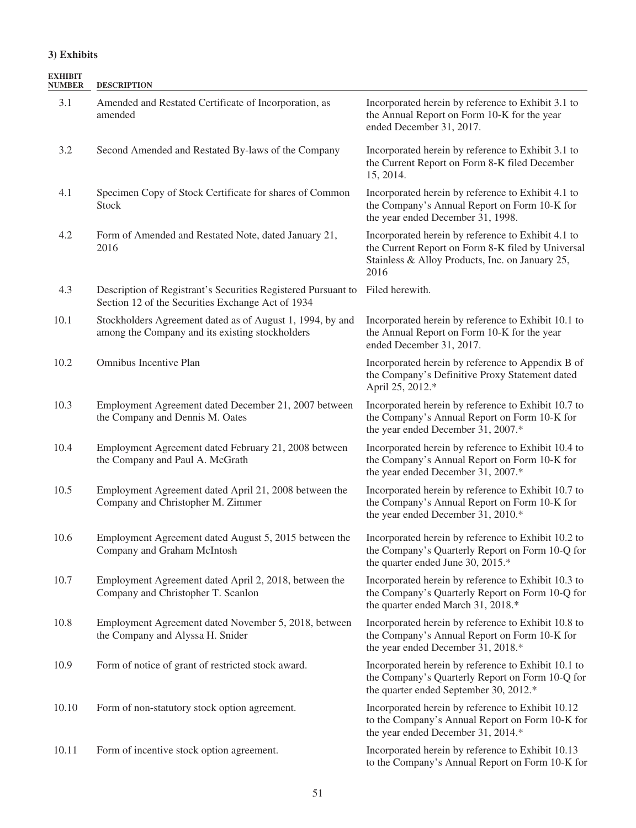# **3) Exhibits**

| <b>EXHIBIT</b><br><b>NUMBER</b> | <b>DESCRIPTION</b>                                                                                                 |                                                                                                                                                                    |
|---------------------------------|--------------------------------------------------------------------------------------------------------------------|--------------------------------------------------------------------------------------------------------------------------------------------------------------------|
| 3.1                             | Amended and Restated Certificate of Incorporation, as<br>amended                                                   | Incorporated herein by reference to Exhibit 3.1 to<br>the Annual Report on Form 10-K for the year<br>ended December 31, 2017.                                      |
| 3.2                             | Second Amended and Restated By-laws of the Company                                                                 | Incorporated herein by reference to Exhibit 3.1 to<br>the Current Report on Form 8-K filed December<br>15, 2014.                                                   |
| 4.1                             | Specimen Copy of Stock Certificate for shares of Common<br><b>Stock</b>                                            | Incorporated herein by reference to Exhibit 4.1 to<br>the Company's Annual Report on Form 10-K for<br>the year ended December 31, 1998.                            |
| 4.2                             | Form of Amended and Restated Note, dated January 21,<br>2016                                                       | Incorporated herein by reference to Exhibit 4.1 to<br>the Current Report on Form 8-K filed by Universal<br>Stainless & Alloy Products, Inc. on January 25,<br>2016 |
| 4.3                             | Description of Registrant's Securities Registered Pursuant to<br>Section 12 of the Securities Exchange Act of 1934 | Filed herewith.                                                                                                                                                    |
| 10.1                            | Stockholders Agreement dated as of August 1, 1994, by and<br>among the Company and its existing stockholders       | Incorporated herein by reference to Exhibit 10.1 to<br>the Annual Report on Form 10-K for the year<br>ended December 31, 2017.                                     |
| 10.2                            | Omnibus Incentive Plan                                                                                             | Incorporated herein by reference to Appendix B of<br>the Company's Definitive Proxy Statement dated<br>April 25, 2012.*                                            |
| 10.3                            | Employment Agreement dated December 21, 2007 between<br>the Company and Dennis M. Oates                            | Incorporated herein by reference to Exhibit 10.7 to<br>the Company's Annual Report on Form 10-K for<br>the year ended December 31, 2007.*                          |
| 10.4                            | Employment Agreement dated February 21, 2008 between<br>the Company and Paul A. McGrath                            | Incorporated herein by reference to Exhibit 10.4 to<br>the Company's Annual Report on Form 10-K for<br>the year ended December 31, 2007.*                          |
| 10.5                            | Employment Agreement dated April 21, 2008 between the<br>Company and Christopher M. Zimmer                         | Incorporated herein by reference to Exhibit 10.7 to<br>the Company's Annual Report on Form 10-K for<br>the year ended December 31, 2010.*                          |
| 10.6                            | Employment Agreement dated August 5, 2015 between the<br>Company and Graham McIntosh                               | Incorporated herein by reference to Exhibit 10.2 to<br>the Company's Quarterly Report on Form 10-Q for<br>the quarter ended June 30, 2015.*                        |
| 10.7                            | Employment Agreement dated April 2, 2018, between the<br>Company and Christopher T. Scanlon                        | Incorporated herein by reference to Exhibit 10.3 to<br>the Company's Quarterly Report on Form 10-Q for<br>the quarter ended March 31, 2018.*                       |
| 10.8                            | Employment Agreement dated November 5, 2018, between<br>the Company and Alyssa H. Snider                           | Incorporated herein by reference to Exhibit 10.8 to<br>the Company's Annual Report on Form 10-K for<br>the year ended December 31, 2018.*                          |
| 10.9                            | Form of notice of grant of restricted stock award.                                                                 | Incorporated herein by reference to Exhibit 10.1 to<br>the Company's Quarterly Report on Form 10-Q for<br>the quarter ended September 30, 2012.*                   |
| 10.10                           | Form of non-statutory stock option agreement.                                                                      | Incorporated herein by reference to Exhibit 10.12<br>to the Company's Annual Report on Form 10-K for<br>the year ended December 31, 2014.*                         |
| 10.11                           | Form of incentive stock option agreement.                                                                          | Incorporated herein by reference to Exhibit 10.13<br>to the Company's Annual Report on Form 10-K for                                                               |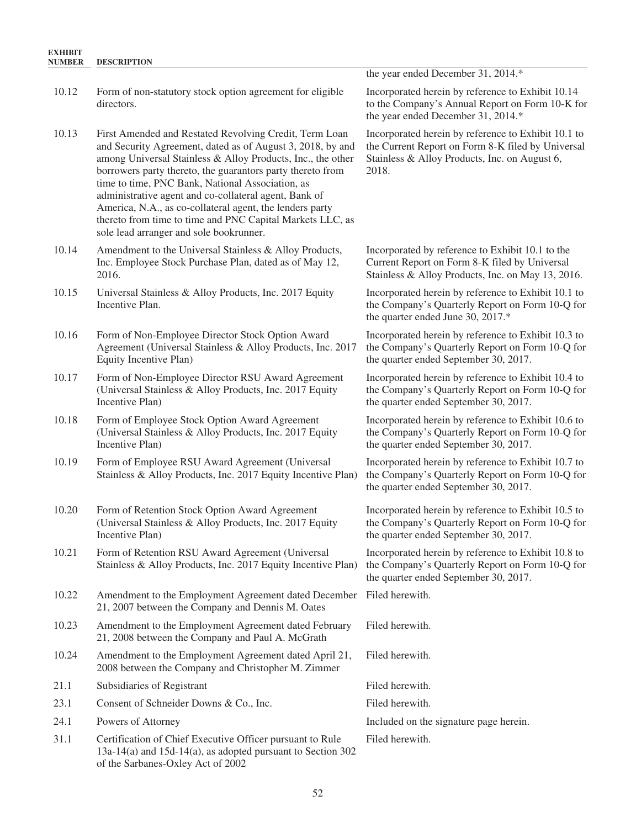- 10.12 Form of non-statutory stock option agreement for eligible directors. 10.13 First Amended and Restated Revolving Credit, Term Loan and Security Agreement, dated as of August 3, 2018, by and among Universal Stainless & Alloy Products, Inc., the other borrowers party thereto, the guarantors party thereto from time to time, PNC Bank, National Association, as administrative agent and co-collateral agent, Bank of America, N.A., as co-collateral agent, the lenders party thereto from time to time and PNC Capital Markets LLC, as sole lead arranger and sole bookrunner. 2018. 10.14 Amendment to the Universal Stainless & Alloy Products, Inc. Employee Stock Purchase Plan, dated as of May 12, 2016. 10.15 Universal Stainless & Alloy Products, Inc. 2017 Equity Incentive Plan. 10.16 Form of Non-Employee Director Stock Option Award Agreement (Universal Stainless & Alloy Products, Inc. 2017 Equity Incentive Plan) 10.17 Form of Non-Employee Director RSU Award Agreement (Universal Stainless & Alloy Products, Inc. 2017 Equity Incentive Plan) 10.18 Form of Employee Stock Option Award Agreement (Universal Stainless & Alloy Products, Inc. 2017 Equity Incentive Plan) 10.19 Form of Employee RSU Award Agreement (Universal Stainless & Alloy Products, Inc. 2017 Equity Incentive Plan)
	- 10.20 Form of Retention Stock Option Award Agreement (Universal Stainless & Alloy Products, Inc. 2017 Equity Incentive Plan)
	- 10.21 Form of Retention RSU Award Agreement (Universal Stainless & Alloy Products, Inc. 2017 Equity Incentive Plan)
	- 10.22 Amendment to the Employment Agreement dated December 21, 2007 between the Company and Dennis M. Oates
	- 10.23 Amendment to the Employment Agreement dated February 21, 2008 between the Company and Paul A. McGrath
	- 10.24 Amendment to the Employment Agreement dated April 21, 2008 between the Company and Christopher M. Zimmer
	- 21.1 Subsidiaries of Registrant Filed herewith.
	- 23.1 Consent of Schneider Downs & Co., Inc. Filed herewith.
	-
	- 31.1 Certification of Chief Executive Officer pursuant to Rule 13a-14(a) and 15d-14(a), as adopted pursuant to Section 302 of the Sarbanes-Oxley Act of 2002

the year ended December 31, 2014.\*

Incorporated herein by reference to Exhibit 10.14 to the Company's Annual Report on Form 10-K for the year ended December 31, 2014.\*

Incorporated herein by reference to Exhibit 10.1 to the Current Report on Form 8-K filed by Universal Stainless & Alloy Products, Inc. on August 6,

Incorporated by reference to Exhibit 10.1 to the Current Report on Form 8-K filed by Universal Stainless & Alloy Products, Inc. on May 13, 2016.

Incorporated herein by reference to Exhibit 10.1 to the Company's Quarterly Report on Form 10-Q for the quarter ended June 30, 2017.\*

Incorporated herein by reference to Exhibit 10.3 to the Company's Quarterly Report on Form 10-Q for the quarter ended September 30, 2017.

Incorporated herein by reference to Exhibit 10.4 to the Company's Quarterly Report on Form 10-Q for the quarter ended September 30, 2017.

Incorporated herein by reference to Exhibit 10.6 to the Company's Quarterly Report on Form 10-Q for the quarter ended September 30, 2017.

Incorporated herein by reference to Exhibit 10.7 to the Company's Quarterly Report on Form 10-Q for the quarter ended September 30, 2017.

Incorporated herein by reference to Exhibit 10.5 to the Company's Quarterly Report on Form 10-Q for the quarter ended September 30, 2017.

Incorporated herein by reference to Exhibit 10.8 to the Company's Quarterly Report on Form 10-Q for the quarter ended September 30, 2017.

Filed herewith.

Filed herewith.

Filed herewith.

24.1 Powers of Attorney Included on the signature page herein.

Filed herewith.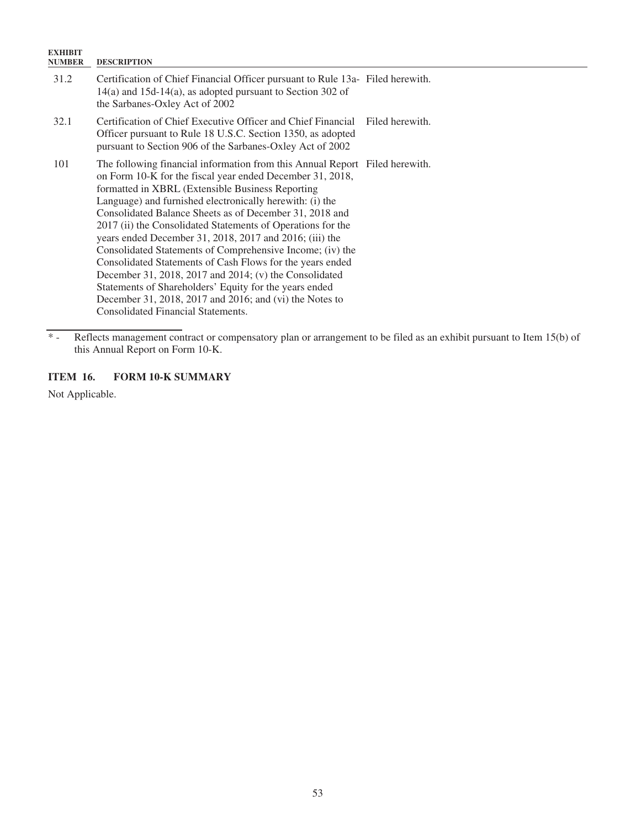| <b>EXHIBIT</b><br><b>NUMBER</b> | <b>DESCRIPTION</b>                                                                                                                                                                                                                                                                                                                                                                                                                                                                                                                                                                                                                                                                                                                                                                           |                 |
|---------------------------------|----------------------------------------------------------------------------------------------------------------------------------------------------------------------------------------------------------------------------------------------------------------------------------------------------------------------------------------------------------------------------------------------------------------------------------------------------------------------------------------------------------------------------------------------------------------------------------------------------------------------------------------------------------------------------------------------------------------------------------------------------------------------------------------------|-----------------|
| 31.2                            | Certification of Chief Financial Officer pursuant to Rule 13a- Filed herewith.<br>$14(a)$ and $15d-14(a)$ , as adopted pursuant to Section 302 of<br>the Sarbanes-Oxley Act of 2002                                                                                                                                                                                                                                                                                                                                                                                                                                                                                                                                                                                                          |                 |
| 32.1                            | Certification of Chief Executive Officer and Chief Financial<br>Officer pursuant to Rule 18 U.S.C. Section 1350, as adopted<br>pursuant to Section 906 of the Sarbanes-Oxley Act of 2002                                                                                                                                                                                                                                                                                                                                                                                                                                                                                                                                                                                                     | Filed herewith. |
| 101                             | The following financial information from this Annual Report Filed herewith.<br>on Form 10-K for the fiscal year ended December 31, 2018,<br>formatted in XBRL (Extensible Business Reporting<br>Language) and furnished electronically herewith: (i) the<br>Consolidated Balance Sheets as of December 31, 2018 and<br>2017 (ii) the Consolidated Statements of Operations for the<br>years ended December 31, 2018, 2017 and 2016; (iii) the<br>Consolidated Statements of Comprehensive Income; (iv) the<br>Consolidated Statements of Cash Flows for the years ended<br>December 31, 2018, 2017 and 2014; (v) the Consolidated<br>Statements of Shareholders' Equity for the years ended<br>December 31, 2018, 2017 and 2016; and (vi) the Notes to<br>Consolidated Financial Statements. |                 |

<sup>\* -</sup> Reflects management contract or compensatory plan or arrangement to be filed as an exhibit pursuant to Item 15(b) of this Annual Report on Form 10-K.

# **ITEM 16. FORM 10-K SUMMARY**

Not Applicable.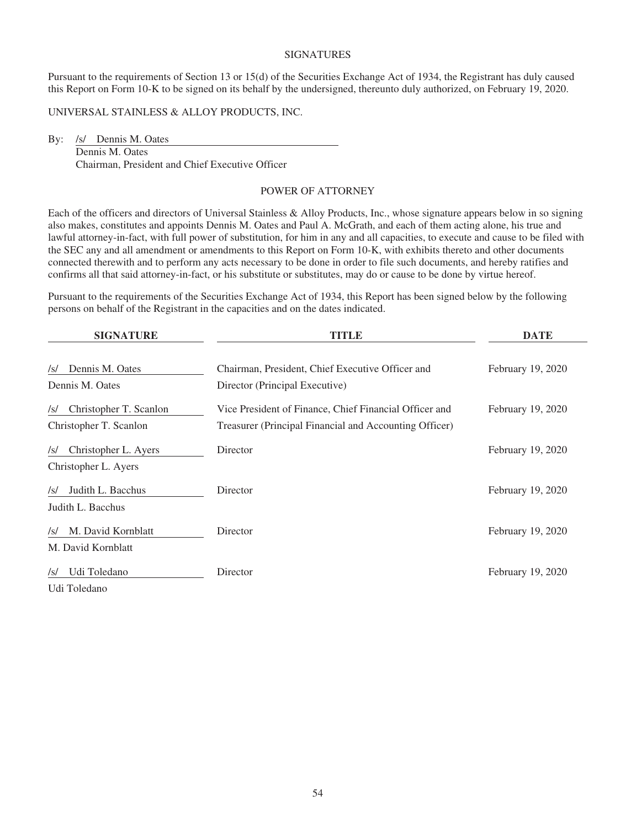#### SIGNATURES

Pursuant to the requirements of Section 13 or 15(d) of the Securities Exchange Act of 1934, the Registrant has duly caused this Report on Form 10-K to be signed on its behalf by the undersigned, thereunto duly authorized, on February 19, 2020.

UNIVERSAL STAINLESS & ALLOY PRODUCTS, INC.

By: /s/ Dennis M. Oates Dennis M. Oates Chairman, President and Chief Executive Officer

## POWER OF ATTORNEY

Each of the officers and directors of Universal Stainless & Alloy Products, Inc., whose signature appears below in so signing also makes, constitutes and appoints Dennis M. Oates and Paul A. McGrath, and each of them acting alone, his true and lawful attorney-in-fact, with full power of substitution, for him in any and all capacities, to execute and cause to be filed with the SEC any and all amendment or amendments to this Report on Form 10-K, with exhibits thereto and other documents connected therewith and to perform any acts necessary to be done in order to file such documents, and hereby ratifies and confirms all that said attorney-in-fact, or his substitute or substitutes, may do or cause to be done by virtue hereof.

Pursuant to the requirements of the Securities Exchange Act of 1934, this Report has been signed below by the following persons on behalf of the Registrant in the capacities and on the dates indicated.

| <b>SIGNATURE</b>                                               | TITLE                                                                                                            | <b>DATE</b>       |  |  |
|----------------------------------------------------------------|------------------------------------------------------------------------------------------------------------------|-------------------|--|--|
| Dennis M. Oates<br>$\sqrt{s}$<br>Dennis M. Oates               | Chairman, President, Chief Executive Officer and<br>Director (Principal Executive)                               | February 19, 2020 |  |  |
| Christopher T. Scanlon<br>$\sqrt{s}$<br>Christopher T. Scanlon | Vice President of Finance, Chief Financial Officer and<br>Treasurer (Principal Financial and Accounting Officer) | February 19, 2020 |  |  |
| Christopher L. Ayers<br>$\sqrt{s}$                             | Director                                                                                                         | February 19, 2020 |  |  |
| Christopher L. Ayers                                           |                                                                                                                  |                   |  |  |
| Judith L. Bacchus<br>$\sqrt{s}$                                | Director                                                                                                         | February 19, 2020 |  |  |
| Judith L. Bacchus                                              |                                                                                                                  |                   |  |  |
| M. David Kornblatt<br>$\sqrt{s}$                               | Director                                                                                                         | February 19, 2020 |  |  |
| M. David Kornblatt                                             |                                                                                                                  |                   |  |  |
| Udi Toledano<br>/s/                                            | Director                                                                                                         | February 19, 2020 |  |  |
| Udi Toledano                                                   |                                                                                                                  |                   |  |  |